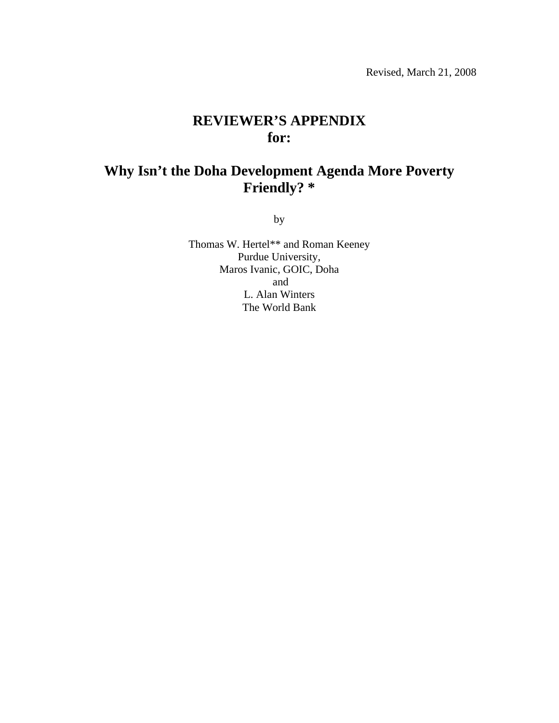# **REVIEWER'S APPENDIX for:**

# **Why Isn't the Doha Development Agenda More Poverty Friendly? \***

by

Thomas W. Hertel\*\* and Roman Keeney Purdue University, Maros Ivanic, GOIC, Doha and L. Alan Winters The World Bank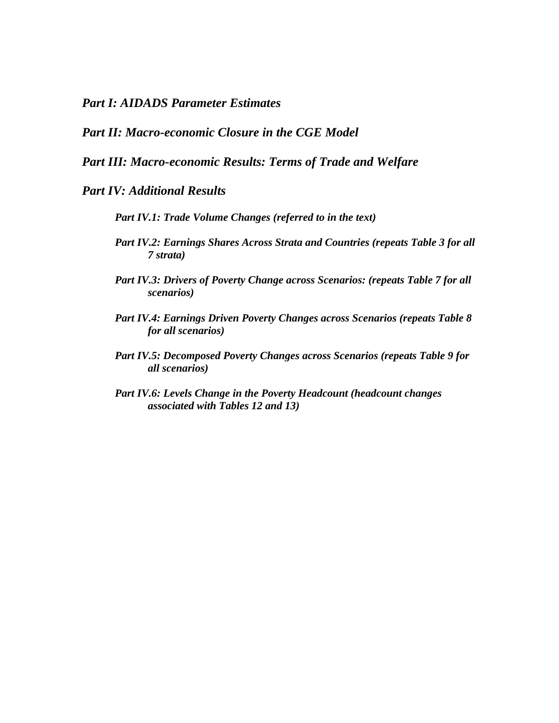*Part I: AIDADS Parameter Estimates* 

## *Part II: Macro-economic Closure in the CGE Model*

#### *Part III: Macro-economic Results: Terms of Trade and Welfare*

#### *Part IV: Additional Results*

- *Part IV.1: Trade Volume Changes (referred to in the text)*
- *Part IV.2: Earnings Shares Across Strata and Countries (repeats Table 3 for all 7 strata)*
- *Part IV.3: Drivers of Poverty Change across Scenarios: (repeats Table 7 for all scenarios)*
- *Part IV.4: Earnings Driven Poverty Changes across Scenarios (repeats Table 8 for all scenarios)*
- *Part IV.5: Decomposed Poverty Changes across Scenarios (repeats Table 9 for all scenarios)*
- *Part IV.6: Levels Change in the Poverty Headcount (headcount changes associated with Tables 12 and 13)*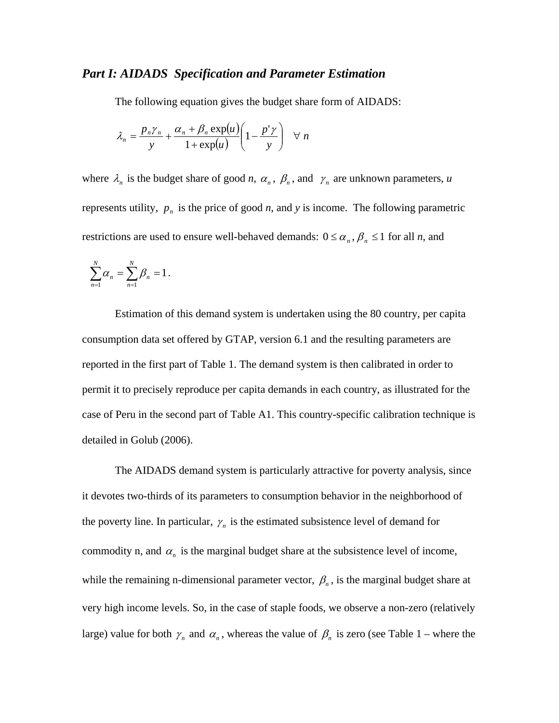#### *Part I: AIDADS Specification and Parameter Estimation*

The following equation gives the budget share form of AIDADS:

$$
\lambda_n = \frac{p_n \gamma_n}{y} + \frac{\alpha_n + \beta_n \exp(u)}{1 + \exp(u)} \left(1 - \frac{p' \gamma}{y}\right) \quad \forall \ n
$$

where  $\lambda_n$  is the budget share of good *n*,  $\alpha_n$ ,  $\beta_n$ , and  $\gamma_n$  are unknown parameters, *u* represents utility,  $p_n$  is the price of good *n*, and *y* is income. The following parametric restrictions are used to ensure well-behaved demands:  $0 \le \alpha_n$ ,  $\beta_n \le 1$  for all *n*, and

$$
\sum_{n=1}^N \alpha_n = \sum_{n=1}^N \beta_n = 1.
$$

Estimation of this demand system is undertaken using the 80 country, per capita consumption data set offered by GTAP, version 6.1 and the resulting parameters are reported in the first part of Table 1. The demand system is then calibrated in order to permit it to precisely reproduce per capita demands in each country, as illustrated for the case of Peru in the second part of Table A1. This country-specific calibration technique is detailed in Golub (2006).

The AIDADS demand system is particularly attractive for poverty analysis, since it devotes two-thirds of its parameters to consumption behavior in the neighborhood of the poverty line. In particular,  $\gamma_n$  is the estimated subsistence level of demand for commodity n, and  $\alpha_n$  is the marginal budget share at the subsistence level of income, while the remaining n-dimensional parameter vector,  $\beta_n$ , is the marginal budget share at very high income levels. So, in the case of staple foods, we observe a non-zero (relatively large) value for both  $\gamma_n$  and  $\alpha_n$ , whereas the value of  $\beta_n$  is zero (see Table 1 – where the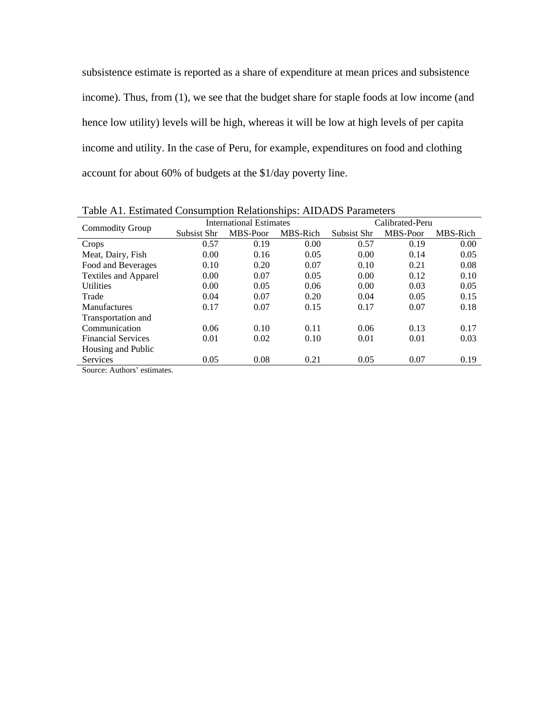subsistence estimate is reported as a share of expenditure at mean prices and subsistence income). Thus, from (1), we see that the budget share for staple foods at low income (and hence low utility) levels will be high, whereas it will be low at high levels of per capita income and utility. In the case of Peru, for example, expenditures on food and clothing account for about 60% of budgets at the \$1/day poverty line.

| Taon TYT, Estimated Consumption Relationships. TYD/TDD I arameters |             |                         |          |             |                 |          |
|--------------------------------------------------------------------|-------------|-------------------------|----------|-------------|-----------------|----------|
|                                                                    |             | International Estimates |          |             | Calibrated-Peru |          |
| <b>Commodity Group</b>                                             | Subsist Shr | MBS-Poor                | MBS-Rich | Subsist Shr | MBS-Poor        | MBS-Rich |
| Crops                                                              | 0.57        | 0.19                    | 0.00     | 0.57        | 0.19            | 0.00     |
| Meat, Dairy, Fish                                                  | 0.00        | 0.16                    | 0.05     | 0.00        | 0.14            | 0.05     |
| Food and Beverages                                                 | 0.10        | 0.20                    | 0.07     | 0.10        | 0.21            | 0.08     |
| <b>Textiles and Apparel</b>                                        | 0.00        | 0.07                    | 0.05     | 0.00        | 0.12            | 0.10     |
| <b>Utilities</b>                                                   | 0.00        | 0.05                    | 0.06     | 0.00        | 0.03            | 0.05     |
| Trade                                                              | 0.04        | 0.07                    | 0.20     | 0.04        | 0.05            | 0.15     |
| <b>Manufactures</b>                                                | 0.17        | 0.07                    | 0.15     | 0.17        | 0.07            | 0.18     |
| Transportation and                                                 |             |                         |          |             |                 |          |
| Communication                                                      | 0.06        | 0.10                    | 0.11     | 0.06        | 0.13            | 0.17     |
| <b>Financial Services</b>                                          | 0.01        | 0.02                    | 0.10     | 0.01        | 0.01            | 0.03     |
| Housing and Public                                                 |             |                         |          |             |                 |          |
| <b>Services</b>                                                    | 0.05        | 0.08                    | 0.21     | 0.05        | 0.07            | 0.19     |
| Cource: Authors' estimator                                         |             |                         |          |             |                 |          |

Table A1. Estimated Consumption Relationships: AIDADS Parameters

Source: Authors' estimates.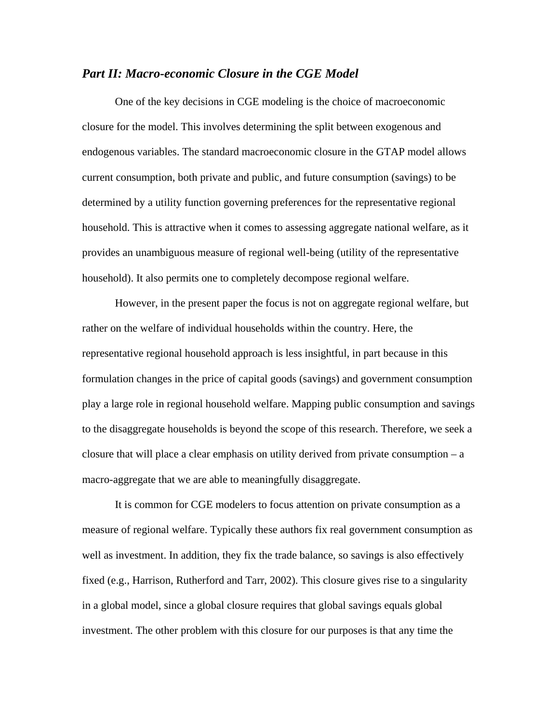#### *Part II: Macro-economic Closure in the CGE Model*

 One of the key decisions in CGE modeling is the choice of macroeconomic closure for the model. This involves determining the split between exogenous and endogenous variables. The standard macroeconomic closure in the GTAP model allows current consumption, both private and public, and future consumption (savings) to be determined by a utility function governing preferences for the representative regional household. This is attractive when it comes to assessing aggregate national welfare, as it provides an unambiguous measure of regional well-being (utility of the representative household). It also permits one to completely decompose regional welfare.

However, in the present paper the focus is not on aggregate regional welfare, but rather on the welfare of individual households within the country. Here, the representative regional household approach is less insightful, in part because in this formulation changes in the price of capital goods (savings) and government consumption play a large role in regional household welfare. Mapping public consumption and savings to the disaggregate households is beyond the scope of this research. Therefore, we seek a closure that will place a clear emphasis on utility derived from private consumption – a macro-aggregate that we are able to meaningfully disaggregate.

 It is common for CGE modelers to focus attention on private consumption as a measure of regional welfare. Typically these authors fix real government consumption as well as investment. In addition, they fix the trade balance, so savings is also effectively fixed (e.g., Harrison, Rutherford and Tarr, 2002). This closure gives rise to a singularity in a global model, since a global closure requires that global savings equals global investment. The other problem with this closure for our purposes is that any time the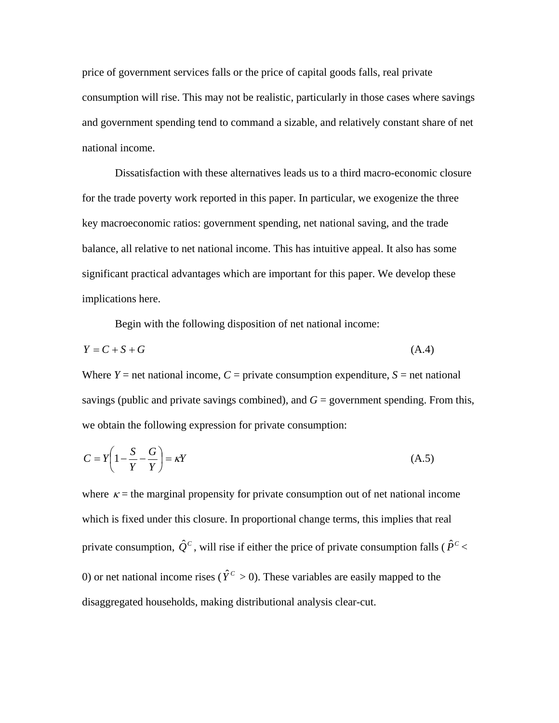price of government services falls or the price of capital goods falls, real private consumption will rise. This may not be realistic, particularly in those cases where savings and government spending tend to command a sizable, and relatively constant share of net national income.

 Dissatisfaction with these alternatives leads us to a third macro-economic closure for the trade poverty work reported in this paper. In particular, we exogenize the three key macroeconomic ratios: government spending, net national saving, and the trade balance, all relative to net national income. This has intuitive appeal. It also has some significant practical advantages which are important for this paper. We develop these implications here.

Begin with the following disposition of net national income:

$$
Y = C + S + G \tag{A.4}
$$

Where  $Y =$  net national income,  $C =$  private consumption expenditure,  $S =$  net national savings (public and private savings combined), and  $G =$  government spending. From this, we obtain the following expression for private consumption:

$$
C = Y \left( 1 - \frac{S}{Y} - \frac{G}{Y} \right) = \kappa Y \tag{A.5}
$$

where  $\kappa$  = the marginal propensity for private consumption out of net national income which is fixed under this closure. In proportional change terms, this implies that real private consumption,  $\hat{Q}^c$ , will rise if either the price of private consumption falls ( $\hat{P}^c$  < 0) or net national income rises ( $\hat{Y}^c > 0$ ). These variables are easily mapped to the disaggregated households, making distributional analysis clear-cut.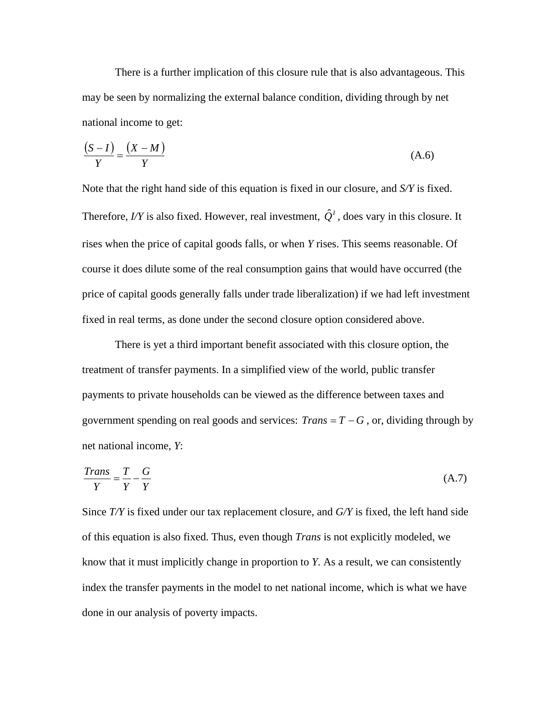There is a further implication of this closure rule that is also advantageous. This may be seen by normalizing the external balance condition, dividing through by net national income to get:

$$
\frac{(S-I)}{Y} = \frac{(X-M)}{Y}
$$
 (A.6)

Note that the right hand side of this equation is fixed in our closure, and *S/Y* is fixed. Therefore, *I/Y* is also fixed. However, real investment,  $\hat{Q}^{\prime}$ , does vary in this closure. It rises when the price of capital goods falls, or when *Y* rises. This seems reasonable. Of course it does dilute some of the real consumption gains that would have occurred (the price of capital goods generally falls under trade liberalization) if we had left investment fixed in real terms, as done under the second closure option considered above.

There is yet a third important benefit associated with this closure option, the treatment of transfer payments. In a simplified view of the world, public transfer payments to private households can be viewed as the difference between taxes and government spending on real goods and services:  $Trans = T - G$ , or, dividing through by net national income, *Y*:

$$
\frac{Trans}{Y} = \frac{T}{Y} - \frac{G}{Y}
$$
 (A.7)

Since *T/Y* is fixed under our tax replacement closure, and *G/Y* is fixed, the left hand side of this equation is also fixed. Thus, even though *Trans* is not explicitly modeled, we know that it must implicitly change in proportion to *Y*. As a result, we can consistently index the transfer payments in the model to net national income, which is what we have done in our analysis of poverty impacts.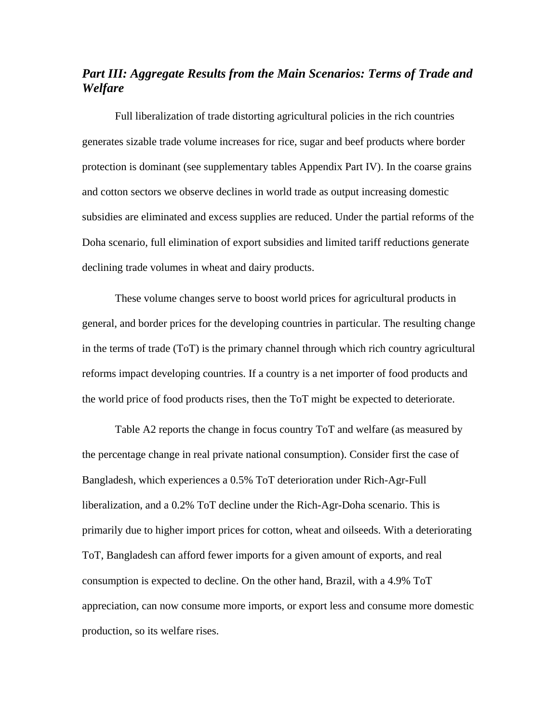## *Part III: Aggregate Results from the Main Scenarios: Terms of Trade and Welfare*

Full liberalization of trade distorting agricultural policies in the rich countries generates sizable trade volume increases for rice, sugar and beef products where border protection is dominant (see supplementary tables Appendix Part IV). In the coarse grains and cotton sectors we observe declines in world trade as output increasing domestic subsidies are eliminated and excess supplies are reduced. Under the partial reforms of the Doha scenario, full elimination of export subsidies and limited tariff reductions generate declining trade volumes in wheat and dairy products.

These volume changes serve to boost world prices for agricultural products in general, and border prices for the developing countries in particular. The resulting change in the terms of trade (ToT) is the primary channel through which rich country agricultural reforms impact developing countries. If a country is a net importer of food products and the world price of food products rises, then the ToT might be expected to deteriorate.

Table A2 reports the change in focus country ToT and welfare (as measured by the percentage change in real private national consumption). Consider first the case of Bangladesh, which experiences a 0.5% ToT deterioration under Rich-Agr-Full liberalization, and a 0.2% ToT decline under the Rich-Agr-Doha scenario. This is primarily due to higher import prices for cotton, wheat and oilseeds. With a deteriorating ToT, Bangladesh can afford fewer imports for a given amount of exports, and real consumption is expected to decline. On the other hand, Brazil, with a 4.9% ToT appreciation, can now consume more imports, or export less and consume more domestic production, so its welfare rises.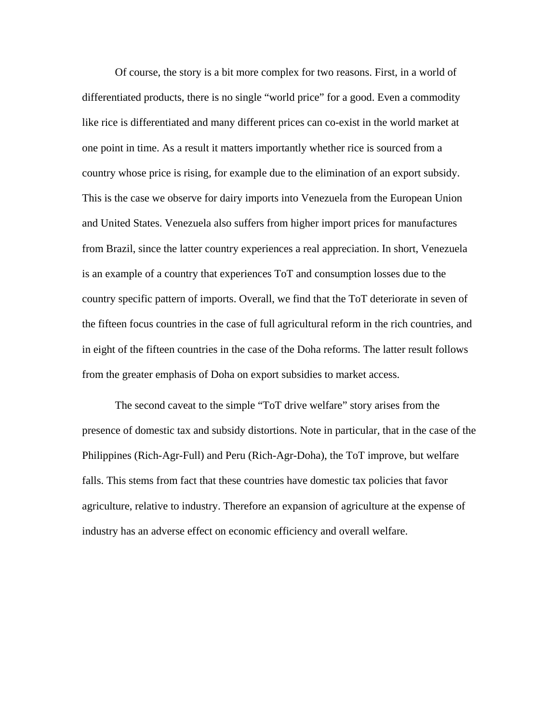Of course, the story is a bit more complex for two reasons. First, in a world of differentiated products, there is no single "world price" for a good. Even a commodity like rice is differentiated and many different prices can co-exist in the world market at one point in time. As a result it matters importantly whether rice is sourced from a country whose price is rising, for example due to the elimination of an export subsidy. This is the case we observe for dairy imports into Venezuela from the European Union and United States. Venezuela also suffers from higher import prices for manufactures from Brazil, since the latter country experiences a real appreciation. In short, Venezuela is an example of a country that experiences ToT and consumption losses due to the country specific pattern of imports. Overall, we find that the ToT deteriorate in seven of the fifteen focus countries in the case of full agricultural reform in the rich countries, and in eight of the fifteen countries in the case of the Doha reforms. The latter result follows from the greater emphasis of Doha on export subsidies to market access.

The second caveat to the simple "ToT drive welfare" story arises from the presence of domestic tax and subsidy distortions. Note in particular, that in the case of the Philippines (Rich-Agr-Full) and Peru (Rich-Agr-Doha), the ToT improve, but welfare falls. This stems from fact that these countries have domestic tax policies that favor agriculture, relative to industry. Therefore an expansion of agriculture at the expense of industry has an adverse effect on economic efficiency and overall welfare.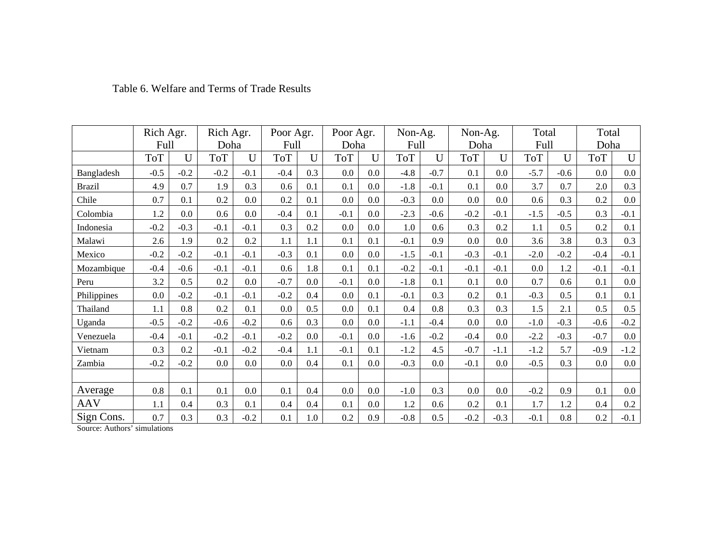|               | Rich Agr.  |        | Rich Agr.  |        | Poor Agr.  |     | Poor Agr.  |     | Non-Ag.    |        | Non-Ag.    |         | Total      |        | Total      |         |
|---------------|------------|--------|------------|--------|------------|-----|------------|-----|------------|--------|------------|---------|------------|--------|------------|---------|
|               | Full       |        | Doha       |        | Full       |     | Doha       |     | Full       |        | Doha       |         | Full       |        | Doha       |         |
|               | <b>ToT</b> | U      | <b>ToT</b> | U      | <b>ToT</b> | U   | <b>ToT</b> | U   | <b>ToT</b> | U      | <b>ToT</b> | U       | <b>ToT</b> | U      | <b>ToT</b> | U       |
| Bangladesh    | $-0.5$     | $-0.2$ | $-0.2$     | $-0.1$ | $-0.4$     | 0.3 | 0.0        | 0.0 | $-4.8$     | $-0.7$ | 0.1        | $0.0\,$ | $-5.7$     | $-0.6$ | 0.0        | $0.0\,$ |
| <b>Brazil</b> | 4.9        | 0.7    | 1.9        | 0.3    | 0.6        | 0.1 | 0.1        | 0.0 | $-1.8$     | $-0.1$ | 0.1        | 0.0     | 3.7        | 0.7    | 2.0        | 0.3     |
| Chile         | 0.7        | 0.1    | 0.2        | 0.0    | 0.2        | 0.1 | 0.0        | 0.0 | $-0.3$     | 0.0    | 0.0        | 0.0     | 0.6        | 0.3    | 0.2        | $0.0\,$ |
| Colombia      | 1.2        | 0.0    | 0.6        | 0.0    | $-0.4$     | 0.1 | $-0.1$     | 0.0 | $-2.3$     | $-0.6$ | $-0.2$     | $-0.1$  | $-1.5$     | $-0.5$ | 0.3        | $-0.1$  |
| Indonesia     | $-0.2$     | $-0.3$ | $-0.1$     | $-0.1$ | 0.3        | 0.2 | 0.0        | 0.0 | 1.0        | 0.6    | 0.3        | 0.2     | 1.1        | 0.5    | 0.2        | 0.1     |
| Malawi        | 2.6        | 1.9    | 0.2        | 0.2    | 1.1        | 1.1 | 0.1        | 0.1 | $-0.1$     | 0.9    | 0.0        | 0.0     | 3.6        | 3.8    | 0.3        | 0.3     |
| Mexico        | $-0.2$     | $-0.2$ | $-0.1$     | $-0.1$ | $-0.3$     | 0.1 | 0.0        | 0.0 | $-1.5$     | $-0.1$ | $-0.3$     | $-0.1$  | $-2.0$     | $-0.2$ | $-0.4$     | $-0.1$  |
| Mozambique    | $-0.4$     | $-0.6$ | $-0.1$     | $-0.1$ | 0.6        | 1.8 | 0.1        | 0.1 | $-0.2$     | $-0.1$ | $-0.1$     | $-0.1$  | 0.0        | 1.2    | $-0.1$     | $-0.1$  |
| Peru          | 3.2        | 0.5    | 0.2        | 0.0    | $-0.7$     | 0.0 | $-0.1$     | 0.0 | $-1.8$     | 0.1    | 0.1        | 0.0     | 0.7        | 0.6    | 0.1        | $0.0\,$ |
| Philippines   | 0.0        | $-0.2$ | $-0.1$     | $-0.1$ | $-0.2$     | 0.4 | 0.0        | 0.1 | $-0.1$     | 0.3    | 0.2        | 0.1     | $-0.3$     | 0.5    | 0.1        | 0.1     |
| Thailand      | 1.1        | 0.8    | 0.2        | 0.1    | 0.0        | 0.5 | 0.0        | 0.1 | 0.4        | 0.8    | 0.3        | 0.3     | 1.5        | 2.1    | 0.5        | 0.5     |
| Uganda        | $-0.5$     | $-0.2$ | $-0.6$     | $-0.2$ | 0.6        | 0.3 | 0.0        | 0.0 | $-1.1$     | $-0.4$ | 0.0        | $0.0\,$ | $-1.0$     | $-0.3$ | $-0.6$     | $-0.2$  |
| Venezuela     | $-0.4$     | $-0.1$ | $-0.2$     | $-0.1$ | $-0.2$     | 0.0 | $-0.1$     | 0.0 | $-1.6$     | $-0.2$ | $-0.4$     | 0.0     | $-2.2$     | $-0.3$ | $-0.7$     | $0.0\,$ |
| Vietnam       | 0.3        | 0.2    | $-0.1$     | $-0.2$ | $-0.4$     | 1.1 | $-0.1$     | 0.1 | $-1.2$     | 4.5    | $-0.7$     | $-1.1$  | $-1.2$     | 5.7    | $-0.9$     | $-1.2$  |
| Zambia        | $-0.2$     | $-0.2$ | 0.0        | 0.0    | 0.0        | 0.4 | 0.1        | 0.0 | $-0.3$     | 0.0    | $-0.1$     | 0.0     | $-0.5$     | 0.3    | 0.0        | $0.0\,$ |
|               |            |        |            |        |            |     |            |     |            |        |            |         |            |        |            |         |
| Average       | 0.8        | 0.1    | 0.1        | 0.0    | 0.1        | 0.4 | 0.0        | 0.0 | $-1.0$     | 0.3    | 0.0        | 0.0     | $-0.2$     | 0.9    | 0.1        | $0.0\,$ |
| AAV           | 1.1        | 0.4    | 0.3        | 0.1    | 0.4        | 0.4 | 0.1        | 0.0 | 1.2        | 0.6    | 0.2        | 0.1     | 1.7        | 1.2    | 0.4        | 0.2     |
| Sign Cons.    | 0.7        | 0.3    | 0.3        | $-0.2$ | 0.1        | 1.0 | 0.2        | 0.9 | $-0.8$     | 0.5    | $-0.2$     | $-0.3$  | $-0.1$     | 0.8    | $0.2\,$    | $-0.1$  |

#### Table 6. Welfare and Terms of Trade Results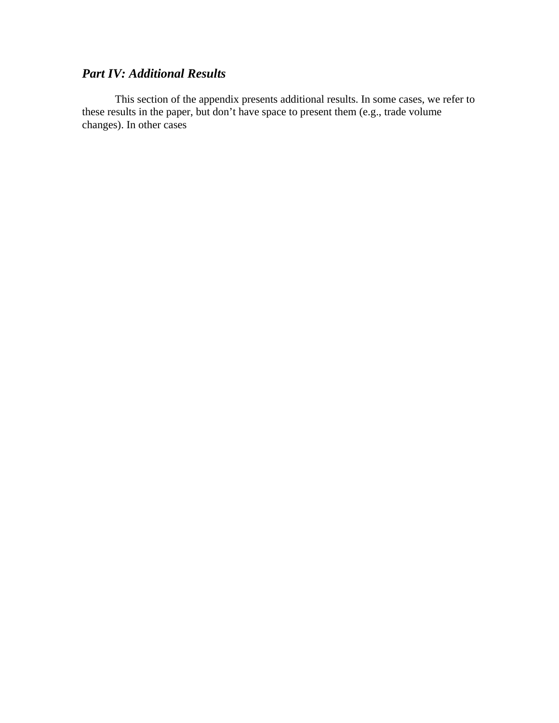# *Part IV: Additional Results*

 This section of the appendix presents additional results. In some cases, we refer to these results in the paper, but don't have space to present them (e.g., trade volume changes). In other cases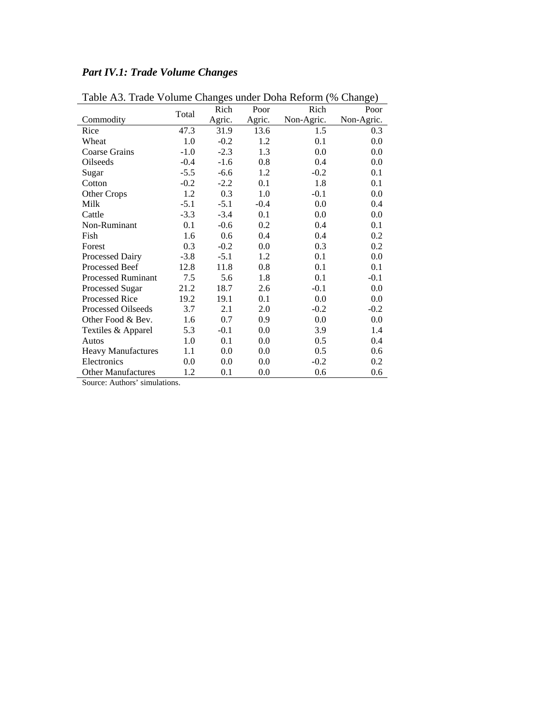| Table A3. Trade Volume Changes under Doha Reform (% Change) |        |        |        |            |            |
|-------------------------------------------------------------|--------|--------|--------|------------|------------|
|                                                             | Total  | Rich   | Poor   | Rich       | Poor       |
| Commodity                                                   |        | Agric. | Agric. | Non-Agric. | Non-Agric. |
| Rice                                                        | 47.3   | 31.9   | 13.6   | 1.5        | 0.3        |
| Wheat                                                       | 1.0    | $-0.2$ | 1.2    | 0.1        | 0.0        |
| <b>Coarse Grains</b>                                        | $-1.0$ | $-2.3$ | 1.3    | 0.0        | 0.0        |
| Oilseeds                                                    | $-0.4$ | $-1.6$ | 0.8    | 0.4        | 0.0        |
| Sugar                                                       | $-5.5$ | $-6.6$ | 1.2    | $-0.2$     | 0.1        |
| Cotton                                                      | $-0.2$ | $-2.2$ | 0.1    | 1.8        | 0.1        |
| <b>Other Crops</b>                                          | 1.2    | 0.3    | 1.0    | $-0.1$     | 0.0        |
| Milk                                                        | $-5.1$ | $-5.1$ | $-0.4$ | 0.0        | 0.4        |
| Cattle                                                      | $-3.3$ | $-3.4$ | 0.1    | 0.0        | 0.0        |
| Non-Ruminant                                                | 0.1    | $-0.6$ | 0.2    | 0.4        | 0.1        |
| Fish                                                        | 1.6    | 0.6    | 0.4    | 0.4        | 0.2        |
| Forest                                                      | 0.3    | $-0.2$ | 0.0    | 0.3        | 0.2        |
| Processed Dairy                                             | $-3.8$ | $-5.1$ | 1.2    | 0.1        | 0.0        |
| <b>Processed Beef</b>                                       | 12.8   | 11.8   | 0.8    | 0.1        | 0.1        |
| <b>Processed Ruminant</b>                                   | 7.5    | 5.6    | 1.8    | 0.1        | $-0.1$     |
| Processed Sugar                                             | 21.2   | 18.7   | 2.6    | $-0.1$     | 0.0        |
| <b>Processed Rice</b>                                       | 19.2   | 19.1   | 0.1    | 0.0        | 0.0        |
| <b>Processed Oilseeds</b>                                   | 3.7    | 2.1    | 2.0    | $-0.2$     | $-0.2$     |
| Other Food & Bev.                                           | 1.6    | 0.7    | 0.9    | 0.0        | 0.0        |
| Textiles & Apparel                                          | 5.3    | $-0.1$ | 0.0    | 3.9        | 1.4        |
| Autos                                                       | 1.0    | 0.1    | 0.0    | 0.5        | 0.4        |
| <b>Heavy Manufactures</b>                                   | 1.1    | 0.0    | 0.0    | 0.5        | 0.6        |
| Electronics                                                 | 0.0    | 0.0    | 0.0    | $-0.2$     | 0.2        |
| <b>Other Manufactures</b>                                   | 1.2    | 0.1    | 0.0    | 0.6        | 0.6        |
| Source: Authors' simulations.                               |        |        |        |            |            |

*Part IV.1: Trade Volume Changes*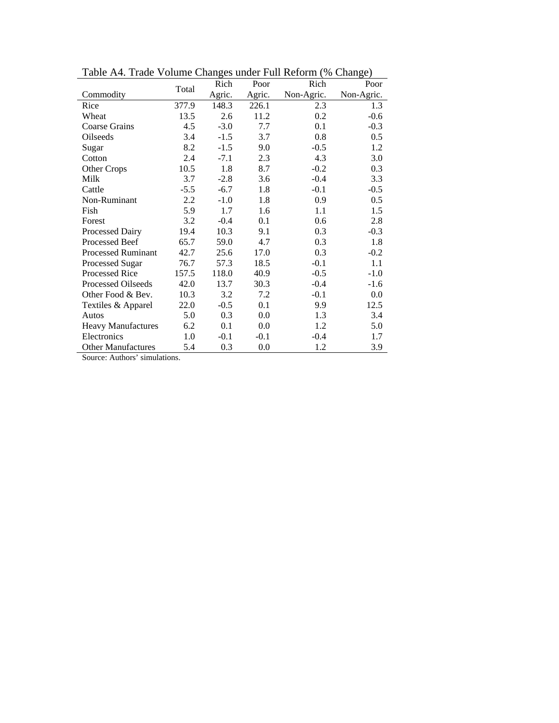|                           |        | Rich   | Poor   | Rich       | Poor       |
|---------------------------|--------|--------|--------|------------|------------|
| Commodity                 | Total  | Agric. | Agric. | Non-Agric. | Non-Agric. |
| Rice                      | 377.9  | 148.3  | 226.1  | 2.3        | 1.3        |
| Wheat                     | 13.5   | 2.6    | 11.2   | 0.2        | $-0.6$     |
| <b>Coarse Grains</b>      | 4.5    | $-3.0$ | 7.7    | 0.1        | $-0.3$     |
| Oilseeds                  | 3.4    | $-1.5$ | 3.7    | 0.8        | 0.5        |
| Sugar                     | 8.2    | $-1.5$ | 9.0    | $-0.5$     | 1.2        |
| Cotton                    | 2.4    | $-7.1$ | 2.3    | 4.3        | 3.0        |
| Other Crops               | 10.5   | 1.8    | 8.7    | $-0.2$     | 0.3        |
| Milk                      | 3.7    | $-2.8$ | 3.6    | $-0.4$     | 3.3        |
| Cattle                    | $-5.5$ | $-6.7$ | 1.8    | $-0.1$     | $-0.5$     |
| Non-Ruminant              | 2.2    | $-1.0$ | 1.8    | 0.9        | 0.5        |
| Fish                      | 5.9    | 1.7    | 1.6    | 1.1        | 1.5        |
| Forest                    | 3.2    | $-0.4$ | 0.1    | 0.6        | 2.8        |
| Processed Dairy           | 19.4   | 10.3   | 9.1    | 0.3        | $-0.3$     |
| <b>Processed Beef</b>     | 65.7   | 59.0   | 4.7    | 0.3        | 1.8        |
| <b>Processed Ruminant</b> | 42.7   | 25.6   | 17.0   | 0.3        | $-0.2$     |
| Processed Sugar           | 76.7   | 57.3   | 18.5   | $-0.1$     | 1.1        |
| Processed Rice            | 157.5  | 118.0  | 40.9   | $-0.5$     | $-1.0$     |
| Processed Oilseeds        | 42.0   | 13.7   | 30.3   | $-0.4$     | $-1.6$     |
| Other Food & Bev.         | 10.3   | 3.2    | 7.2    | $-0.1$     | 0.0        |
| Textiles & Apparel        | 22.0   | $-0.5$ | 0.1    | 9.9        | 12.5       |
| Autos                     | 5.0    | 0.3    | 0.0    | 1.3        | 3.4        |
| <b>Heavy Manufactures</b> | 6.2    | 0.1    | 0.0    | 1.2        | 5.0        |
| Electronics               | 1.0    | $-0.1$ | $-0.1$ | $-0.4$     | 1.7        |
| <b>Other Manufactures</b> | 5.4    | 0.3    | 0.0    | 1.2        | 3.9        |

Table A4. Trade Volume Changes under Full Reform (% Change)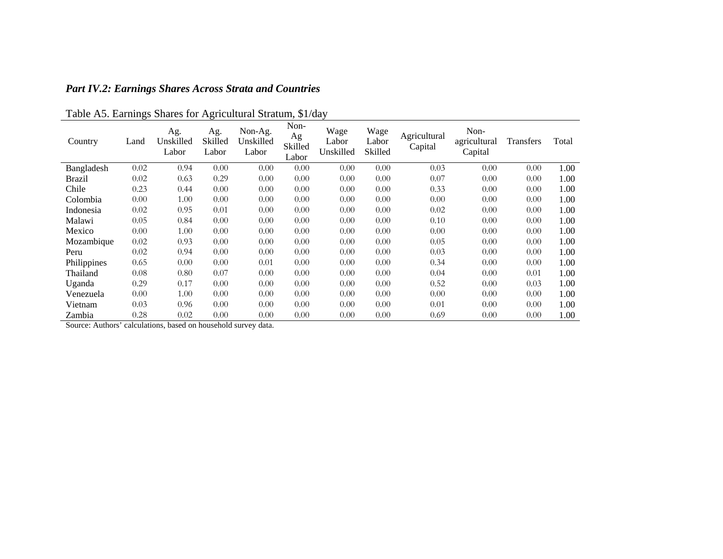| <b>Part IV.2: Earnings Shares Across Strata and Countries</b> |  |  |  |  |  |  |  |  |
|---------------------------------------------------------------|--|--|--|--|--|--|--|--|
|---------------------------------------------------------------|--|--|--|--|--|--|--|--|

| Country     | Land | Ag.<br>Unskilled<br>Labor | Ag.<br>Skilled<br>Labor | Non-Ag.<br>Unskilled<br>Labor | Non-<br>Ag<br>Skilled<br>Labor | Wage<br>Labor<br>Unskilled | Wage<br>Labor<br>Skilled | Agricultural<br>Capital | Non-<br>agricultural<br>Capital | <b>Transfers</b> | Total |
|-------------|------|---------------------------|-------------------------|-------------------------------|--------------------------------|----------------------------|--------------------------|-------------------------|---------------------------------|------------------|-------|
| Bangladesh  | 0.02 | 0.94                      | 0.00                    | 0.00                          | 0.00                           | 0.00                       | 0.00                     | 0.03                    | 0.00                            | 0.00             | 1.00  |
| Brazil      | 0.02 | 0.63                      | 0.29                    | 0.00                          | 0.00                           | 0.00                       | 0.00                     | 0.07                    | 0.00                            | 0.00             | 1.00  |
| Chile       | 0.23 | 0.44                      | 0.00                    | 0.00                          | 0.00                           | 0.00                       | 0.00                     | 0.33                    | 0.00                            | 0.00             | 1.00  |
| Colombia    | 0.00 | 1.00                      | 0.00                    | 0.00                          | 0.00                           | 0.00                       | 0.00                     | 0.00                    | 0.00                            | 0.00             | 1.00  |
| Indonesia   | 0.02 | 0.95                      | 0.01                    | 0.00                          | 0.00                           | 0.00                       | 0.00                     | 0.02                    | 0.00                            | 0.00             | 1.00  |
| Malawi      | 0.05 | 0.84                      | 0.00                    | 0.00                          | 0.00                           | 0.00                       | 0.00                     | 0.10                    | 0.00                            | 0.00             | 1.00  |
| Mexico      | 0.00 | 1.00                      | 0.00                    | 0.00                          | 0.00                           | 0.00                       | 0.00                     | 0.00                    | 0.00                            | 0.00             | 1.00  |
| Mozambique  | 0.02 | 0.93                      | 0.00                    | 0.00                          | 0.00                           | 0.00                       | 0.00                     | 0.05                    | 0.00                            | 0.00             | 1.00  |
| Peru        | 0.02 | 0.94                      | 0.00                    | 0.00                          | 0.00                           | 0.00                       | 0.00                     | 0.03                    | 0.00                            | 0.00             | 1.00  |
| Philippines | 0.65 | 0.00                      | 0.00                    | 0.01                          | 0.00                           | 0.00                       | 0.00                     | 0.34                    | 0.00                            | 0.00             | 1.00  |
| Thailand    | 0.08 | 0.80                      | 0.07                    | 0.00                          | 0.00                           | 0.00                       | 0.00                     | 0.04                    | 0.00                            | 0.01             | 1.00  |
| Uganda      | 0.29 | 0.17                      | 0.00                    | 0.00                          | 0.00                           | 0.00                       | 0.00                     | 0.52                    | 0.00                            | 0.03             | 1.00  |
| Venezuela   | 0.00 | 1.00                      | 0.00                    | 0.00                          | 0.00                           | 0.00                       | 0.00                     | 0.00                    | 0.00                            | 0.00             | 1.00  |
| Vietnam     | 0.03 | 0.96                      | 0.00                    | 0.00                          | 0.00                           | 0.00                       | 0.00                     | 0.01                    | 0.00                            | 0.00             | 1.00  |
| Zambia      | 0.28 | 0.02                      | 0.00                    | 0.00                          | 0.00                           | 0.00                       | 0.00                     | 0.69                    | 0.00                            | 0.00             | 1.00  |

Table A5. Earnings Shares for Agricultural Stratum, \$1/day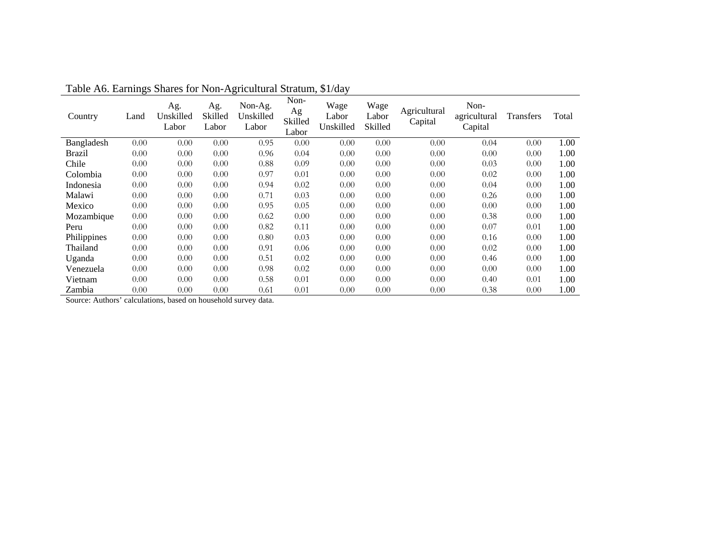| Country     | Land | Ag.<br>Unskilled<br>Labor | Ag.<br>Skilled<br>Labor | Non-Ag.<br>Unskilled<br>Labor | Non-<br>Ag<br>Skilled<br>Labor | Wage<br>Labor<br>Unskilled | Wage<br>Labor<br>Skilled | Agricultural<br>Capital | Non-<br>agricultural<br>Capital | <b>Transfers</b> | Total |
|-------------|------|---------------------------|-------------------------|-------------------------------|--------------------------------|----------------------------|--------------------------|-------------------------|---------------------------------|------------------|-------|
| Bangladesh  | 0.00 | 0.00                      | 0.00                    | 0.95                          | 0.00                           | 0.00                       | 0.00                     | 0.00                    | 0.04                            | 0.00             | 1.00  |
| Brazil      | 0.00 | 0.00                      | 0.00                    | 0.96                          | 0.04                           | 0.00                       | 0.00                     | 0.00                    | 0.00                            | 0.00             | 1.00  |
| Chile       | 0.00 | 0.00                      | 0.00                    | 0.88                          | 0.09                           | 0.00                       | 0.00                     | 0.00                    | 0.03                            | 0.00             | 1.00  |
| Colombia    | 0.00 | 0.00                      | 0.00                    | 0.97                          | 0.01                           | 0.00                       | 0.00                     | 0.00                    | 0.02                            | 0.00             | 1.00  |
| Indonesia   | 0.00 | 0.00                      | 0.00                    | 0.94                          | 0.02                           | 0.00                       | 0.00                     | 0.00                    | 0.04                            | 0.00             | 1.00  |
| Malawi      | 0.00 | 0.00                      | 0.00                    | 0.71                          | 0.03                           | 0.00                       | 0.00                     | 0.00                    | 0.26                            | 0.00             | 1.00  |
| Mexico      | 0.00 | 0.00                      | 0.00                    | 0.95                          | 0.05                           | 0.00                       | 0.00                     | 0.00                    | 0.00                            | 0.00             | 1.00  |
| Mozambique  | 0.00 | 0.00                      | 0.00                    | 0.62                          | 0.00                           | 0.00                       | 0.00                     | 0.00                    | 0.38                            | 0.00             | 1.00  |
| Peru        | 0.00 | 0.00                      | 0.00                    | 0.82                          | 0.11                           | 0.00                       | 0.00                     | 0.00                    | 0.07                            | 0.01             | 1.00  |
| Philippines | 0.00 | 0.00                      | 0.00                    | 0.80                          | 0.03                           | 0.00                       | 0.00                     | 0.00                    | 0.16                            | 0.00             | 1.00  |
| Thailand    | 0.00 | 0.00                      | 0.00                    | 0.91                          | 0.06                           | 0.00                       | 0.00                     | 0.00                    | 0.02                            | 0.00             | 1.00  |
| Uganda      | 0.00 | 0.00                      | 0.00                    | 0.51                          | 0.02                           | 0.00                       | 0.00                     | 0.00                    | 0.46                            | 0.00             | 1.00  |
| Venezuela   | 0.00 | 0.00                      | 0.00                    | 0.98                          | 0.02                           | 0.00                       | 0.00                     | 0.00                    | 0.00                            | 0.00             | 1.00  |
| Vietnam     | 0.00 | 0.00                      | 0.00                    | 0.58                          | 0.01                           | 0.00                       | 0.00                     | 0.00                    | 0.40                            | 0.01             | 1.00  |
| Zambia      | 0.00 | 0.00                      | 0.00                    | 0.61                          | 0.01                           | 0.00                       | 0.00                     | 0.00                    | 0.38                            | 0.00             | 1.00  |

Table A6. Earnings Shares for Non-Agricultural Stratum, \$1/day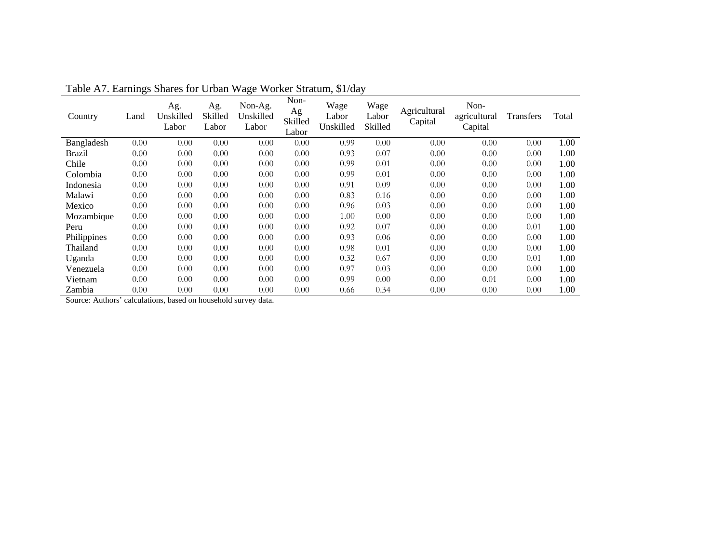| Country     | Land | Ag.<br>Unskilled<br>Labor | Ag.<br>Skilled<br>Labor | Non-Ag.<br>Unskilled<br>Labor | Non-<br>Ag<br>Skilled<br>Labor | Wage<br>Labor<br>Unskilled | Wage<br>Labor<br>Skilled | Agricultural<br>Capital | Non-<br>agricultural<br>Capital | <b>Transfers</b> | Total |
|-------------|------|---------------------------|-------------------------|-------------------------------|--------------------------------|----------------------------|--------------------------|-------------------------|---------------------------------|------------------|-------|
| Bangladesh  | 0.00 | 0.00                      | 0.00                    | 0.00                          | 0.00                           | 0.99                       | 0.00                     | 0.00                    | 0.00                            | 0.00             | 1.00  |
| Brazil      | 0.00 | 0.00                      | 0.00                    | 0.00                          | 0.00                           | 0.93                       | 0.07                     | 0.00                    | 0.00                            | 0.00             | 1.00  |
| Chile       | 0.00 | 0.00                      | 0.00                    | 0.00                          | 0.00                           | 0.99                       | 0.01                     | 0.00                    | 0.00                            | 0.00             | 1.00  |
| Colombia    | 0.00 | 0.00                      | 0.00                    | 0.00                          | 0.00                           | 0.99                       | 0.01                     | 0.00                    | 0.00                            | 0.00             | 1.00  |
| Indonesia   | 0.00 | 0.00                      | 0.00                    | 0.00                          | 0.00                           | 0.91                       | 0.09                     | 0.00                    | 0.00                            | 0.00             | 1.00  |
| Malawi      | 0.00 | 0.00                      | 0.00                    | 0.00                          | 0.00                           | 0.83                       | 0.16                     | 0.00                    | 0.00                            | 0.00             | 1.00  |
| Mexico      | 0.00 | 0.00                      | 0.00                    | 0.00                          | 0.00                           | 0.96                       | 0.03                     | 0.00                    | 0.00                            | 0.00             | 1.00  |
| Mozambique  | 0.00 | 0.00                      | 0.00                    | 0.00                          | 0.00                           | 1.00                       | 0.00                     | 0.00                    | 0.00                            | 0.00             | 1.00  |
| Peru        | 0.00 | 0.00                      | 0.00                    | 0.00                          | 0.00                           | 0.92                       | 0.07                     | 0.00                    | 0.00                            | 0.01             | 1.00  |
| Philippines | 0.00 | 0.00                      | 0.00                    | 0.00                          | 0.00                           | 0.93                       | 0.06                     | 0.00                    | 0.00                            | 0.00             | 1.00  |
| Thailand    | 0.00 | 0.00                      | 0.00                    | 0.00                          | 0.00                           | 0.98                       | 0.01                     | 0.00                    | 0.00                            | 0.00             | 1.00  |
| Uganda      | 0.00 | 0.00                      | 0.00                    | 0.00                          | 0.00                           | 0.32                       | 0.67                     | 0.00                    | 0.00                            | 0.01             | 1.00  |
| Venezuela   | 0.00 | 0.00                      | 0.00                    | 0.00                          | 0.00                           | 0.97                       | 0.03                     | 0.00                    | 0.00                            | 0.00             | 1.00  |
| Vietnam     | 0.00 | 0.00                      | 0.00                    | 0.00                          | 0.00                           | 0.99                       | 0.00                     | 0.00                    | 0.01                            | 0.00             | 1.00  |
| Zambia      | 0.00 | 0.00                      | 0.00                    | 0.00                          | 0.00                           | 0.66                       | 0.34                     | 0.00                    | 0.00                            | 0.00             | 1.00  |

Table A7. Earnings Shares for Urban Wage Worker Stratum, \$1/day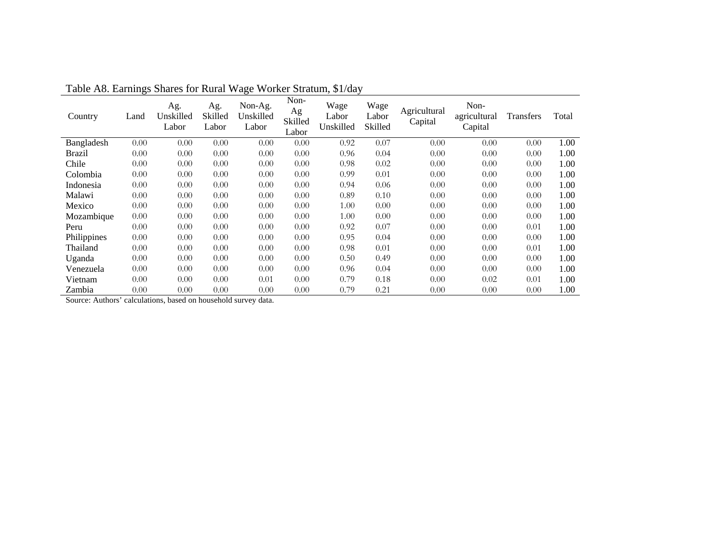| Country     | Land | Ag.<br>Unskilled<br>Labor | Ag.<br>Skilled<br>Labor | Non-Ag.<br>Unskilled<br>Labor | Non-<br>Ag<br>Skilled<br>Labor | Wage<br>Labor<br>Unskilled | Wage<br>Labor<br>Skilled | Agricultural<br>Capital | Non-<br>agricultural<br>Capital | <b>Transfers</b> | Total |
|-------------|------|---------------------------|-------------------------|-------------------------------|--------------------------------|----------------------------|--------------------------|-------------------------|---------------------------------|------------------|-------|
| Bangladesh  | 0.00 | 0.00                      | 0.00                    | 0.00                          | 0.00                           | 0.92                       | 0.07                     | 0.00                    | 0.00                            | 0.00             | 1.00  |
| Brazil      | 0.00 | 0.00                      | 0.00                    | 0.00                          | 0.00                           | 0.96                       | 0.04                     | 0.00                    | 0.00                            | 0.00             | 1.00  |
| Chile       | 0.00 | 0.00                      | 0.00                    | 0.00                          | 0.00                           | 0.98                       | 0.02                     | 0.00                    | 0.00                            | 0.00             | 1.00  |
| Colombia    | 0.00 | 0.00                      | 0.00                    | 0.00                          | 0.00                           | 0.99                       | 0.01                     | 0.00                    | 0.00                            | 0.00             | 1.00  |
| Indonesia   | 0.00 | 0.00                      | 0.00                    | 0.00                          | 0.00                           | 0.94                       | 0.06                     | 0.00                    | 0.00                            | 0.00             | 1.00  |
| Malawi      | 0.00 | 0.00                      | 0.00                    | 0.00                          | 0.00                           | 0.89                       | 0.10                     | 0.00                    | 0.00                            | 0.00             | 1.00  |
| Mexico      | 0.00 | 0.00                      | 0.00                    | 0.00                          | 0.00                           | 1.00                       | 0.00                     | 0.00                    | 0.00                            | 0.00             | 1.00  |
| Mozambique  | 0.00 | 0.00                      | 0.00                    | 0.00                          | 0.00                           | 1.00                       | 0.00                     | 0.00                    | 0.00                            | 0.00             | 1.00  |
| Peru        | 0.00 | 0.00                      | 0.00                    | 0.00                          | 0.00                           | 0.92                       | 0.07                     | 0.00                    | 0.00                            | 0.01             | 1.00  |
| Philippines | 0.00 | 0.00                      | 0.00                    | 0.00                          | 0.00                           | 0.95                       | 0.04                     | 0.00                    | 0.00                            | 0.00             | 1.00  |
| Thailand    | 0.00 | 0.00                      | 0.00                    | 0.00                          | 0.00                           | 0.98                       | 0.01                     | 0.00                    | 0.00                            | 0.01             | 1.00  |
| Uganda      | 0.00 | 0.00                      | 0.00                    | 0.00                          | 0.00                           | 0.50                       | 0.49                     | 0.00                    | 0.00                            | 0.00             | 1.00  |
| Venezuela   | 0.00 | 0.00                      | 0.00                    | 0.00                          | 0.00                           | 0.96                       | 0.04                     | 0.00                    | 0.00                            | 0.00             | 1.00  |
| Vietnam     | 0.00 | 0.00                      | 0.00                    | 0.01                          | 0.00                           | 0.79                       | 0.18                     | 0.00                    | 0.02                            | 0.01             | 1.00  |
| Zambia      | 0.00 | 0.00                      | 0.00                    | 0.00                          | 0.00                           | 0.79                       | 0.21                     | 0.00                    | 0.00                            | 0.00             | 1.00  |

Table A8. Earnings Shares for Rural Wage Worker Stratum, \$1/day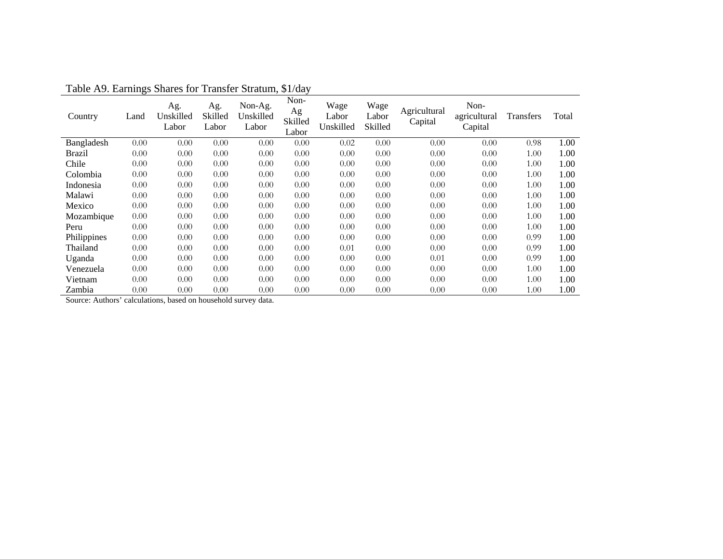| Country     | Land | Ag.<br>Unskilled<br>Labor | Ag.<br>Skilled<br>Labor | Non-Ag.<br>Unskilled<br>Labor | Non-<br>Ag<br>Skilled<br>Labor | Wage<br>Labor<br>Unskilled | Wage<br>Labor<br>Skilled | Agricultural<br>Capital | Non-<br>agricultural<br>Capital | <b>Transfers</b> | Total |
|-------------|------|---------------------------|-------------------------|-------------------------------|--------------------------------|----------------------------|--------------------------|-------------------------|---------------------------------|------------------|-------|
| Bangladesh  | 0.00 | 0.00                      | 0.00                    | 0.00                          | 0.00                           | 0.02                       | 0.00                     | 0.00                    | 0.00                            | 0.98             | 1.00  |
| Brazil      | 0.00 | 0.00                      | 0.00                    | 0.00                          | 0.00                           | 0.00                       | 0.00                     | 0.00                    | 0.00                            | 1.00             | 1.00  |
| Chile       | 0.00 | 0.00                      | 0.00                    | 0.00                          | 0.00                           | 0.00                       | 0.00                     | 0.00                    | 0.00                            | 1.00             | 1.00  |
| Colombia    | 0.00 | 0.00                      | 0.00                    | 0.00                          | 0.00                           | 0.00                       | 0.00                     | 0.00                    | 0.00                            | 1.00             | 1.00  |
| Indonesia   | 0.00 | 0.00                      | 0.00                    | 0.00                          | 0.00                           | 0.00                       | 0.00                     | 0.00                    | 0.00                            | 1.00             | 1.00  |
| Malawi      | 0.00 | 0.00                      | 0.00                    | 0.00                          | 0.00                           | 0.00                       | 0.00                     | 0.00                    | 0.00                            | 1.00             | 1.00  |
| Mexico      | 0.00 | 0.00                      | 0.00                    | 0.00                          | 0.00                           | 0.00                       | 0.00                     | 0.00                    | 0.00                            | 1.00             | 1.00  |
| Mozambique  | 0.00 | 0.00                      | 0.00                    | 0.00                          | 0.00                           | 0.00                       | 0.00                     | 0.00                    | 0.00                            | 1.00             | 1.00  |
| Peru        | 0.00 | 0.00                      | 0.00                    | 0.00                          | 0.00                           | 0.00                       | 0.00                     | 0.00                    | 0.00                            | 1.00             | 1.00  |
| Philippines | 0.00 | 0.00                      | 0.00                    | 0.00                          | 0.00                           | 0.00                       | 0.00                     | 0.00                    | 0.00                            | 0.99             | 1.00  |
| Thailand    | 0.00 | 0.00                      | 0.00                    | 0.00                          | 0.00                           | 0.01                       | 0.00                     | 0.00                    | 0.00                            | 0.99             | 1.00  |
| Uganda      | 0.00 | 0.00                      | 0.00                    | 0.00                          | 0.00                           | 0.00                       | 0.00                     | 0.01                    | 0.00                            | 0.99             | 1.00  |
| Venezuela   | 0.00 | 0.00                      | 0.00                    | 0.00                          | 0.00                           | 0.00                       | 0.00                     | 0.00                    | 0.00                            | 1.00             | 1.00  |
| Vietnam     | 0.00 | 0.00                      | 0.00                    | 0.00                          | 0.00                           | 0.00                       | 0.00                     | 0.00                    | 0.00                            | 1.00             | 1.00  |
| Zambia      | 0.00 | 0.00                      | 0.00                    | 0.00                          | 0.00                           | 0.00                       | 0.00                     | 0.00                    | 0.00                            | 1.00             | 1.00  |

Table A9. Earnings Shares for Transfer Stratum, \$1/day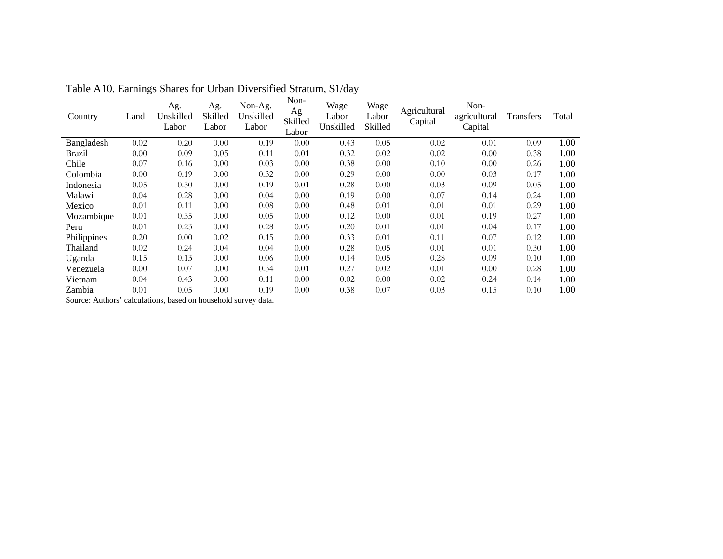| Country     | Land | Ag.<br>Unskilled<br>Labor | Ag.<br>Skilled<br>Labor | Non-Ag.<br>Unskilled<br>Labor | Non-<br>Ag<br>Skilled<br>Labor | Wage<br>Labor<br>Unskilled | Wage<br>Labor<br>Skilled | Agricultural<br>Capital | Non-<br>agricultural<br>Capital | <b>Transfers</b> | Total |
|-------------|------|---------------------------|-------------------------|-------------------------------|--------------------------------|----------------------------|--------------------------|-------------------------|---------------------------------|------------------|-------|
| Bangladesh  | 0.02 | 0.20                      | 0.00                    | 0.19                          | 0.00                           | 0.43                       | 0.05                     | 0.02                    | 0.01                            | 0.09             | 1.00  |
| Brazil      | 0.00 | 0.09                      | 0.05                    | 0.11                          | 0.01                           | 0.32                       | 0.02                     | 0.02                    | 0.00                            | 0.38             | 1.00  |
| Chile       | 0.07 | 0.16                      | 0.00                    | 0.03                          | 0.00                           | 0.38                       | 0.00                     | 0.10                    | 0.00                            | 0.26             | 1.00  |
| Colombia    | 0.00 | 0.19                      | 0.00                    | 0.32                          | 0.00                           | 0.29                       | 0.00                     | 0.00                    | 0.03                            | 0.17             | 1.00  |
| Indonesia   | 0.05 | 0.30                      | 0.00                    | 0.19                          | 0.01                           | 0.28                       | 0.00                     | 0.03                    | 0.09                            | 0.05             | 1.00  |
| Malawi      | 0.04 | 0.28                      | 0.00                    | 0.04                          | 0.00                           | 0.19                       | 0.00                     | 0.07                    | 0.14                            | 0.24             | 1.00  |
| Mexico      | 0.01 | 0.11                      | 0.00                    | 0.08                          | 0.00                           | 0.48                       | 0.01                     | 0.01                    | 0.01                            | 0.29             | 1.00  |
| Mozambique  | 0.01 | 0.35                      | 0.00                    | 0.05                          | 0.00                           | 0.12                       | 0.00                     | 0.01                    | 0.19                            | 0.27             | 1.00  |
| Peru        | 0.01 | 0.23                      | 0.00                    | 0.28                          | 0.05                           | 0.20                       | 0.01                     | 0.01                    | 0.04                            | 0.17             | 1.00  |
| Philippines | 0.20 | 0.00                      | 0.02                    | 0.15                          | 0.00                           | 0.33                       | 0.01                     | 0.11                    | 0.07                            | 0.12             | 1.00  |
| Thailand    | 0.02 | 0.24                      | 0.04                    | 0.04                          | 0.00                           | 0.28                       | 0.05                     | 0.01                    | 0.01                            | 0.30             | 1.00  |
| Uganda      | 0.15 | 0.13                      | 0.00                    | 0.06                          | 0.00                           | 0.14                       | 0.05                     | 0.28                    | 0.09                            | 0.10             | 1.00  |
| Venezuela   | 0.00 | 0.07                      | 0.00                    | 0.34                          | 0.01                           | 0.27                       | 0.02                     | 0.01                    | 0.00                            | 0.28             | 1.00  |
| Vietnam     | 0.04 | 0.43                      | 0.00                    | 0.11                          | 0.00                           | 0.02                       | 0.00                     | 0.02                    | 0.24                            | 0.14             | 1.00  |
| Zambia      | 0.01 | 0.05                      | 0.00                    | 0.19                          | 0.00                           | 0.38                       | 0.07                     | 0.03                    | 0.15                            | 0.10             | 1.00  |

Table A10. Earnings Shares for Urban Diversified Stratum, \$1/day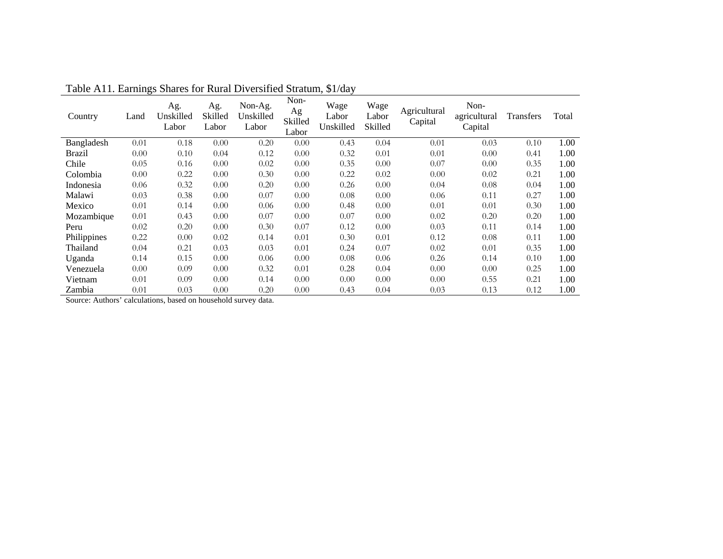| Country     | Land | Ag.<br>Unskilled<br>Labor | Ag.<br>Skilled<br>Labor | Non-Ag.<br>Unskilled<br>Labor | Non-<br>Ag<br>Skilled<br>Labor | Wage<br>Labor<br>Unskilled | Wage<br>Labor<br>Skilled | Agricultural<br>Capital | Non-<br>agricultural<br>Capital | Transfers | Total |
|-------------|------|---------------------------|-------------------------|-------------------------------|--------------------------------|----------------------------|--------------------------|-------------------------|---------------------------------|-----------|-------|
| Bangladesh  | 0.01 | 0.18                      | 0.00                    | 0.20                          | 0.00                           | 0.43                       | 0.04                     | 0.01                    | 0.03                            | 0.10      | 1.00  |
| Brazil      | 0.00 | 0.10                      | 0.04                    | 0.12                          | 0.00                           | 0.32                       | 0.01                     | 0.01                    | 0.00                            | 0.41      | 1.00  |
| Chile       | 0.05 | 0.16                      | 0.00                    | 0.02                          | 0.00                           | 0.35                       | 0.00                     | 0.07                    | 0.00                            | 0.35      | 1.00  |
| Colombia    | 0.00 | 0.22                      | 0.00                    | 0.30                          | 0.00                           | 0.22                       | 0.02                     | 0.00                    | 0.02                            | 0.21      | 1.00  |
| Indonesia   | 0.06 | 0.32                      | 0.00                    | 0.20                          | 0.00                           | 0.26                       | 0.00                     | 0.04                    | 0.08                            | 0.04      | 1.00  |
| Malawi      | 0.03 | 0.38                      | 0.00                    | 0.07                          | 0.00                           | 0.08                       | 0.00                     | 0.06                    | 0.11                            | 0.27      | 1.00  |
| Mexico      | 0.01 | 0.14                      | 0.00                    | 0.06                          | 0.00                           | 0.48                       | 0.00                     | 0.01                    | 0.01                            | 0.30      | 1.00  |
| Mozambique  | 0.01 | 0.43                      | 0.00                    | 0.07                          | 0.00                           | 0.07                       | 0.00                     | 0.02                    | 0.20                            | 0.20      | 1.00  |
| Peru        | 0.02 | 0.20                      | 0.00                    | 0.30                          | 0.07                           | 0.12                       | 0.00                     | 0.03                    | 0.11                            | 0.14      | 1.00  |
| Philippines | 0.22 | 0.00                      | 0.02                    | 0.14                          | 0.01                           | 0.30                       | 0.01                     | 0.12                    | 0.08                            | 0.11      | 1.00  |
| Thailand    | 0.04 | 0.21                      | 0.03                    | 0.03                          | 0.01                           | 0.24                       | 0.07                     | 0.02                    | 0.01                            | 0.35      | 1.00  |
| Uganda      | 0.14 | 0.15                      | 0.00                    | 0.06                          | 0.00                           | 0.08                       | 0.06                     | 0.26                    | 0.14                            | 0.10      | 1.00  |
| Venezuela   | 0.00 | 0.09                      | 0.00                    | 0.32                          | 0.01                           | 0.28                       | 0.04                     | 0.00                    | 0.00                            | 0.25      | 1.00  |
| Vietnam     | 0.01 | 0.09                      | 0.00                    | 0.14                          | 0.00                           | 0.00                       | 0.00                     | 0.00                    | 0.55                            | 0.21      | 1.00  |
| Zambia      | 0.01 | 0.03                      | 0.00                    | 0.20                          | 0.00                           | 0.43                       | 0.04                     | 0.03                    | 0.13                            | 0.12      | 1.00  |

Table A11. Earnings Shares for Rural Diversified Stratum, \$1/day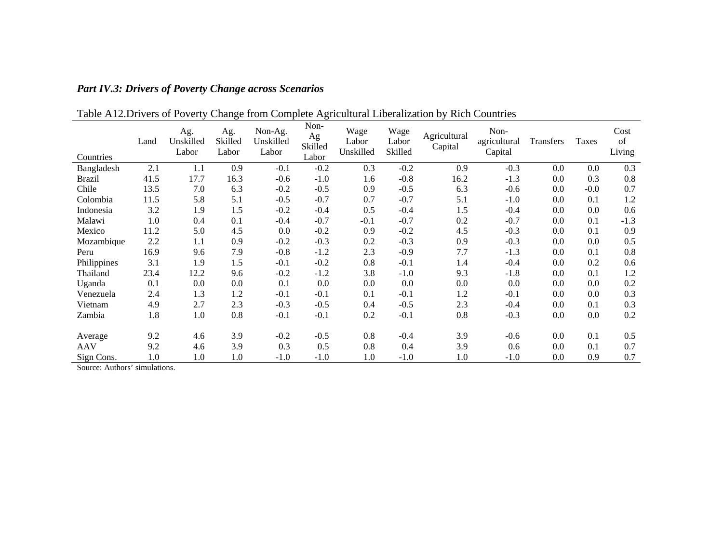| Countries     | Land | Ag.<br>Unskilled<br>Labor | Ag.<br>Skilled<br>Labor | Non-Ag.<br>Unskilled<br>Labor | Non-<br>Ag<br>Skilled<br>Labor | Wage<br>Labor<br>Unskilled | Wage<br>Labor<br>Skilled | Agricultural<br>Capital | Non-<br>agricultural<br>Capital | Transfers | <b>Taxes</b> | Cost<br>of<br>Living |
|---------------|------|---------------------------|-------------------------|-------------------------------|--------------------------------|----------------------------|--------------------------|-------------------------|---------------------------------|-----------|--------------|----------------------|
| Bangladesh    | 2.1  | 1.1                       | 0.9                     | $-0.1$                        | $-0.2$                         | 0.3                        | $-0.2$                   | 0.9                     | $-0.3$                          | 0.0       | 0.0          | 0.3                  |
| <b>Brazil</b> | 41.5 | 17.7                      | 16.3                    | $-0.6$                        | $-1.0$                         | 1.6                        | $-0.8$                   | 16.2                    | $-1.3$                          | 0.0       | 0.3          | 0.8                  |
| Chile         | 13.5 | 7.0                       | 6.3                     | $-0.2$                        | $-0.5$                         | 0.9                        | $-0.5$                   | 6.3                     | $-0.6$                          | 0.0       | $-0.0$       | 0.7                  |
| Colombia      | 11.5 | 5.8                       | 5.1                     | $-0.5$                        | $-0.7$                         | 0.7                        | $-0.7$                   | 5.1                     | $-1.0$                          | 0.0       | 0.1          | 1.2                  |
| Indonesia     | 3.2  | 1.9                       | 1.5                     | $-0.2$                        | $-0.4$                         | 0.5                        | $-0.4$                   | 1.5                     | $-0.4$                          | 0.0       | 0.0          | 0.6                  |
| Malawi        | 1.0  | 0.4                       | 0.1                     | $-0.4$                        | $-0.7$                         | $-0.1$                     | $-0.7$                   | 0.2                     | $-0.7$                          | 0.0       | 0.1          | $-1.3$               |
| Mexico        | 11.2 | 5.0                       | 4.5                     | 0.0                           | $-0.2$                         | 0.9                        | $-0.2$                   | 4.5                     | $-0.3$                          | 0.0       | 0.1          | 0.9                  |
| Mozambique    | 2.2  | 1.1                       | 0.9                     | $-0.2$                        | $-0.3$                         | 0.2                        | $-0.3$                   | 0.9                     | $-0.3$                          | 0.0       | 0.0          | 0.5                  |
| Peru          | 16.9 | 9.6                       | 7.9                     | $-0.8$                        | $-1.2$                         | 2.3                        | $-0.9$                   | 7.7                     | $-1.3$                          | 0.0       | 0.1          | 0.8                  |
| Philippines   | 3.1  | 1.9                       | 1.5                     | $-0.1$                        | $-0.2$                         | 0.8                        | $-0.1$                   | 1.4                     | $-0.4$                          | 0.0       | 0.2          | 0.6                  |
| Thailand      | 23.4 | 12.2                      | 9.6                     | $-0.2$                        | $-1.2$                         | 3.8                        | $-1.0$                   | 9.3                     | $-1.8$                          | 0.0       | 0.1          | 1.2                  |
| Uganda        | 0.1  | 0.0                       | 0.0                     | 0.1                           | 0.0                            | 0.0                        | 0.0                      | $0.0\,$                 | 0.0                             | 0.0       | 0.0          | 0.2                  |
| Venezuela     | 2.4  | 1.3                       | 1.2                     | $-0.1$                        | $-0.1$                         | 0.1                        | $-0.1$                   | 1.2                     | $-0.1$                          | 0.0       | 0.0          | 0.3                  |
| Vietnam       | 4.9  | 2.7                       | 2.3                     | $-0.3$                        | $-0.5$                         | 0.4                        | $-0.5$                   | 2.3                     | $-0.4$                          | 0.0       | 0.1          | 0.3                  |
| Zambia        | 1.8  | 1.0                       | 0.8                     | $-0.1$                        | $-0.1$                         | 0.2                        | $-0.1$                   | 0.8                     | $-0.3$                          | 0.0       | 0.0          | 0.2                  |
|               |      |                           |                         |                               |                                |                            |                          |                         |                                 |           |              |                      |
| Average       | 9.2  | 4.6                       | 3.9                     | $-0.2$                        | $-0.5$                         | 0.8                        | $-0.4$                   | 3.9                     | $-0.6$                          | 0.0       | 0.1          | 0.5                  |
| <b>AAV</b>    | 9.2  | 4.6                       | 3.9                     | 0.3                           | 0.5                            | 0.8                        | 0.4                      | 3.9                     | 0.6                             | 0.0       | 0.1          | 0.7                  |
| Sign Cons.    | 1.0  | 1.0                       | 1.0                     | $-1.0$                        | $-1.0$                         | 1.0                        | $-1.0$                   | 1.0                     | $-1.0$                          | 0.0       | 0.9          | 0.7                  |

## Table A12.Drivers of Poverty Change from Complete Agricultural Liberalization by Rich Countries

*Part IV.3: Drivers of Poverty Change across Scenarios*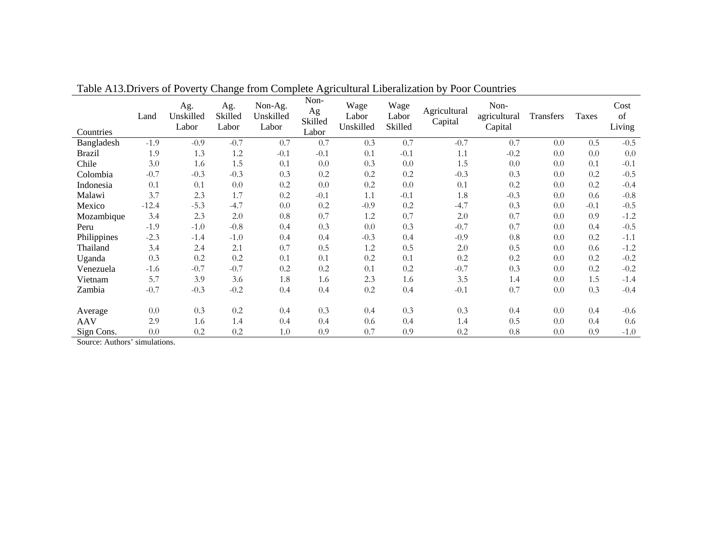| Countries     | Land    | Ag.<br>Unskilled<br>Labor | Ag.<br>Skilled<br>Labor | Non-Ag.<br>Unskilled<br>Labor | Non-<br>Ag<br>Skilled<br>Labor | Wage<br>Labor<br>Unskilled | Wage<br>Labor<br>Skilled | Agricultural<br>Capital | Non-<br>agricultural<br>Capital | Transfers | Taxes  | Cost<br>of<br>Living |
|---------------|---------|---------------------------|-------------------------|-------------------------------|--------------------------------|----------------------------|--------------------------|-------------------------|---------------------------------|-----------|--------|----------------------|
| Bangladesh    | $-1.9$  | $-0.9$                    | $-0.7$                  | 0.7                           | 0.7                            | 0.3                        | 0.7                      | $-0.7$                  | 0.7                             | 0.0       | 0.5    | $-0.5$               |
| <b>Brazil</b> | 1.9     | 1.3                       | 1.2                     | $-0.1$                        | $-0.1$                         | 0.1                        | $-0.1$                   | 1.1                     | $-0.2$                          | 0.0       | 0.0    | 0.0                  |
| Chile         | 3.0     | 1.6                       | 1.5                     | 0.1                           | 0.0                            | 0.3                        | 0.0                      | 1.5                     | 0.0                             | 0.0       | 0.1    | $-0.1$               |
| Colombia      | $-0.7$  | $-0.3$                    | $-0.3$                  | 0.3                           | 0.2                            | 0.2                        | 0.2                      | $-0.3$                  | 0.3                             | 0.0       | 0.2    | $-0.5$               |
| Indonesia     | 0.1     | 0.1                       | 0.0                     | 0.2                           | 0.0                            | 0.2                        | 0.0                      | 0.1                     | 0.2                             | 0.0       | 0.2    | $-0.4$               |
| Malawi        | 3.7     | 2.3                       | 1.7                     | 0.2                           | $-0.1$                         | 1.1                        | $-0.1$                   | 1.8                     | $-0.3$                          | 0.0       | 0.6    | $-0.8$               |
| Mexico        | $-12.4$ | $-5.3$                    | $-4.7$                  | 0.0                           | 0.2                            | $-0.9$                     | 0.2                      | $-4.7$                  | 0.3                             | 0.0       | $-0.1$ | $-0.5$               |
| Mozambique    | 3.4     | 2.3                       | 2.0                     | 0.8                           | 0.7                            | 1.2                        | 0.7                      | 2.0                     | 0.7                             | 0.0       | 0.9    | $-1.2$               |
| Peru          | $-1.9$  | $-1.0$                    | $-0.8$                  | 0.4                           | 0.3                            | 0.0                        | 0.3                      | $-0.7$                  | 0.7                             | 0.0       | 0.4    | $-0.5$               |
| Philippines   | $-2.3$  | $-1.4$                    | $-1.0$                  | 0.4                           | 0.4                            | $-0.3$                     | 0.4                      | $-0.9$                  | 0.8                             | 0.0       | 0.2    | $-1.1$               |
| Thailand      | 3.4     | 2.4                       | 2.1                     | 0.7                           | 0.5                            | 1.2                        | 0.5                      | 2.0                     | 0.5                             | 0.0       | 0.6    | $-1.2$               |
| Uganda        | 0.3     | 0.2                       | 0.2                     | 0.1                           | 0.1                            | 0.2                        | 0.1                      | 0.2                     | 0.2                             | 0.0       | 0.2    | $-0.2$               |
| Venezuela     | $-1.6$  | $-0.7$                    | $-0.7$                  | 0.2                           | 0.2                            | 0.1                        | 0.2                      | $-0.7$                  | 0.3                             | 0.0       | 0.2    | $-0.2$               |
| Vietnam       | 5.7     | 3.9                       | 3.6                     | 1.8                           | 1.6                            | 2.3                        | 1.6                      | 3.5                     | 1.4                             | 0.0       | 1.5    | $-1.4$               |
| Zambia        | $-0.7$  | $-0.3$                    | $-0.2$                  | 0.4                           | 0.4                            | 0.2                        | 0.4                      | $-0.1$                  | 0.7                             | 0.0       | 0.3    | $-0.4$               |
|               |         |                           |                         |                               |                                |                            |                          |                         |                                 |           |        |                      |
| Average       | 0.0     | 0.3                       | 0.2                     | 0.4                           | 0.3                            | 0.4                        | 0.3                      | 0.3                     | 0.4                             | 0.0       | 0.4    | $-0.6$               |
| <b>AAV</b>    | 2.9     | 1.6                       | 1.4                     | 0.4                           | 0.4                            | 0.6                        | 0.4                      | 1.4                     | 0.5                             | 0.0       | 0.4    | 0.6                  |
| Sign Cons.    | 0.0     | 0.2                       | 0.2                     | 1.0                           | 0.9                            | 0.7                        | 0.9                      | 0.2                     | 0.8                             | 0.0       | 0.9    | $-1.0$               |

Table A13.Drivers of Poverty Change from Complete Agricultural Liberalization by Poor Countries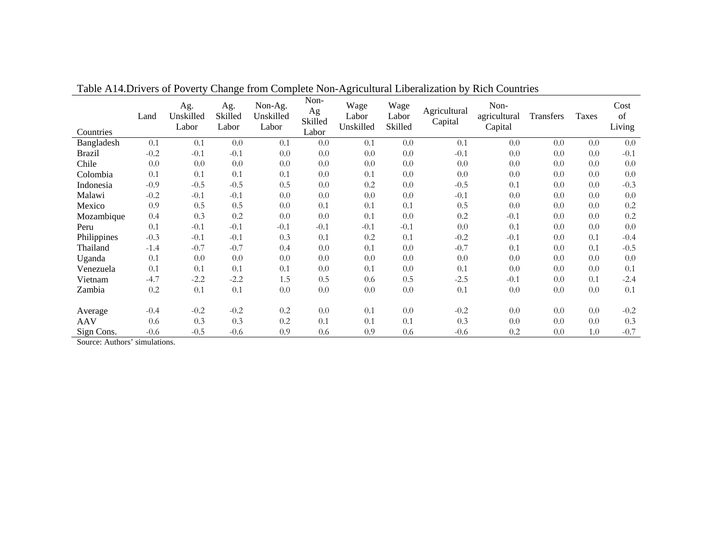| Countries     | Land   | Ag.<br>Unskilled<br>Labor | Ag.<br>Skilled<br>Labor | Non-Ag.<br>Unskilled<br>Labor | Non-<br>Ag<br>Skilled<br>Labor | Wage<br>Labor<br>Unskilled | Wage<br>Labor<br>Skilled | Agricultural<br>Capital | Non-<br>agricultural<br>Capital | Transfers | Taxes | Cost<br>of<br>Living |
|---------------|--------|---------------------------|-------------------------|-------------------------------|--------------------------------|----------------------------|--------------------------|-------------------------|---------------------------------|-----------|-------|----------------------|
| Bangladesh    | 0.1    | 0.1                       | 0.0                     | 0.1                           | 0.0                            | 0.1                        | 0.0                      | 0.1                     | 0.0                             | 0.0       | 0.0   | 0.0                  |
| <b>Brazil</b> | $-0.2$ | $-0.1$                    | $-0.1$                  | 0.0                           | 0.0                            | 0.0                        | 0.0                      | $-0.1$                  | 0.0                             | 0.0       | 0.0   | $-0.1$               |
| Chile         | 0.0    | 0.0                       | 0.0                     | 0.0                           | 0.0                            | 0.0                        | 0.0                      | 0.0                     | 0.0                             | 0.0       | 0.0   | 0.0                  |
| Colombia      | 0.1    | 0.1                       | 0.1                     | 0.1                           | 0.0                            | 0.1                        | 0.0                      | 0.0                     | 0.0                             | 0.0       | 0.0   | 0.0                  |
| Indonesia     | $-0.9$ | $-0.5$                    | $-0.5$                  | 0.5                           | 0.0                            | 0.2                        | 0.0                      | $-0.5$                  | 0.1                             | 0.0       | 0.0   | $-0.3$               |
| Malawi        | $-0.2$ | $-0.1$                    | $-0.1$                  | 0.0                           | 0.0                            | 0.0                        | 0.0                      | $-0.1$                  | 0.0                             | 0.0       | 0.0   | 0.0                  |
| Mexico        | 0.9    | 0.5                       | 0.5                     | 0.0                           | 0.1                            | 0.1                        | 0.1                      | 0.5                     | 0.0                             | 0.0       | 0.0   | $0.2\,$              |
| Mozambique    | 0.4    | 0.3                       | 0.2                     | 0.0                           | 0.0                            | 0.1                        | 0.0                      | 0.2                     | $-0.1$                          | 0.0       | 0.0   | 0.2                  |
| Peru          | 0.1    | $-0.1$                    | $-0.1$                  | $-0.1$                        | $-0.1$                         | $-0.1$                     | $-0.1$                   | 0.0                     | 0.1                             | 0.0       | 0.0   | 0.0                  |
| Philippines   | $-0.3$ | $-0.1$                    | $-0.1$                  | 0.3                           | 0.1                            | 0.2                        | 0.1                      | $-0.2$                  | $-0.1$                          | 0.0       | 0.1   | $-0.4$               |
| Thailand      | $-1.4$ | $-0.7$                    | $-0.7$                  | 0.4                           | 0.0                            | 0.1                        | 0.0                      | $-0.7$                  | 0.1                             | 0.0       | 0.1   | $-0.5$               |
| Uganda        | 0.1    | 0.0                       | 0.0                     | 0.0                           | 0.0                            | 0.0                        | 0.0                      | 0.0                     | 0.0                             | 0.0       | 0.0   | 0.0                  |
| Venezuela     | 0.1    | 0.1                       | 0.1                     | 0.1                           | 0.0                            | 0.1                        | 0.0                      | 0.1                     | 0.0                             | 0.0       | 0.0   | 0.1                  |
| Vietnam       | $-4.7$ | $-2.2$                    | $-2.2$                  | 1.5                           | 0.5                            | 0.6                        | 0.5                      | $-2.5$                  | $-0.1$                          | 0.0       | 0.1   | $-2.4$               |
| Zambia        | 0.2    | 0.1                       | 0.1                     | 0.0                           | 0.0                            | 0.0                        | 0.0                      | 0.1                     | 0.0                             | 0.0       | 0.0   | 0.1                  |
|               |        |                           |                         |                               |                                |                            |                          |                         |                                 |           |       |                      |
| Average       | $-0.4$ | $-0.2$                    | $-0.2$                  | 0.2                           | 0.0                            | 0.1                        | 0.0                      | $-0.2$                  | 0.0                             | 0.0       | 0.0   | $-0.2$               |
| <b>AAV</b>    | 0.6    | 0.3                       | 0.3                     | 0.2                           | 0.1                            | 0.1                        | 0.1                      | 0.3                     | 0.0                             | 0.0       | 0.0   | 0.3                  |
| Sign Cons.    | $-0.6$ | $-0.5$                    | $-0.6$                  | 0.9                           | 0.6                            | 0.9                        | 0.6                      | $-0.6$                  | 0.2                             | 0.0       | 1.0   | $-0.7$               |

Table A14.Drivers of Poverty Change from Complete Non-Agricultural Liberalization by Rich Countries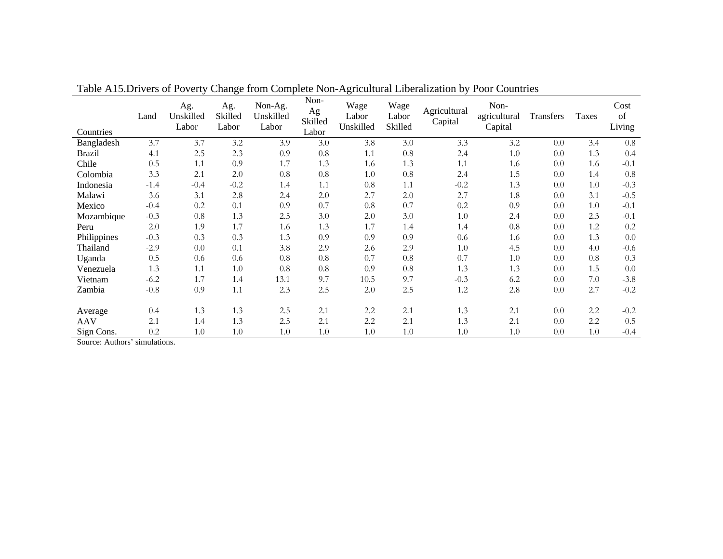| Countries     | Land   | Ag.<br>Unskilled<br>Labor | Ag.<br>Skilled<br>Labor | Non-Ag.<br>Unskilled<br>Labor | Non-<br>Ag<br>Skilled<br>Labor | Wage<br>Labor<br>Unskilled | Wage<br>Labor<br>Skilled | Agricultural<br>Capital | Non-<br>agricultural<br>Capital | Transfers | Taxes | Cost<br>of<br>Living |
|---------------|--------|---------------------------|-------------------------|-------------------------------|--------------------------------|----------------------------|--------------------------|-------------------------|---------------------------------|-----------|-------|----------------------|
| Bangladesh    | 3.7    | 3.7                       | 3.2                     | 3.9                           | 3.0                            | 3.8                        | 3.0                      | 3.3                     | 3.2                             | 0.0       | 3.4   | 0.8                  |
| <b>Brazil</b> | 4.1    | 2.5                       | 2.3                     | 0.9                           | 0.8                            | 1.1                        | 0.8                      | 2.4                     | 1.0                             | 0.0       | 1.3   | 0.4                  |
| Chile         | 0.5    | 1.1                       | 0.9                     | 1.7                           | 1.3                            | 1.6                        | 1.3                      | 1.1                     | 1.6                             | 0.0       | 1.6   | $-0.1$               |
| Colombia      | 3.3    | 2.1                       | 2.0                     | 0.8                           | 0.8                            | 1.0                        | 0.8                      | 2.4                     | 1.5                             | 0.0       | 1.4   | 0.8                  |
| Indonesia     | $-1.4$ | $-0.4$                    | $-0.2$                  | 1.4                           | 1.1                            | 0.8                        | 1.1                      | $-0.2$                  | 1.3                             | 0.0       | 1.0   | $-0.3$               |
| Malawi        | 3.6    | 3.1                       | 2.8                     | 2.4                           | 2.0                            | 2.7                        | 2.0                      | 2.7                     | 1.8                             | 0.0       | 3.1   | $-0.5$               |
| Mexico        | $-0.4$ | 0.2                       | 0.1                     | 0.9                           | 0.7                            | 0.8                        | 0.7                      | 0.2                     | 0.9                             | 0.0       | 1.0   | $-0.1$               |
| Mozambique    | $-0.3$ | 0.8                       | 1.3                     | 2.5                           | 3.0                            | 2.0                        | 3.0                      | 1.0                     | 2.4                             | 0.0       | 2.3   | $-0.1$               |
| Peru          | 2.0    | 1.9                       | 1.7                     | 1.6                           | 1.3                            | 1.7                        | 1.4                      | 1.4                     | 0.8                             | 0.0       | 1.2   | 0.2                  |
| Philippines   | $-0.3$ | 0.3                       | 0.3                     | 1.3                           | 0.9                            | 0.9                        | 0.9                      | 0.6                     | 1.6                             | 0.0       | 1.3   | 0.0                  |
| Thailand      | $-2.9$ | 0.0                       | 0.1                     | 3.8                           | 2.9                            | 2.6                        | 2.9                      | 1.0                     | 4.5                             | 0.0       | 4.0   | $-0.6$               |
| Uganda        | 0.5    | 0.6                       | 0.6                     | 0.8                           | 0.8                            | 0.7                        | 0.8                      | 0.7                     | 1.0                             | 0.0       | 0.8   | 0.3                  |
| Venezuela     | 1.3    | 1.1                       | 1.0                     | 0.8                           | 0.8                            | 0.9                        | 0.8                      | 1.3                     | 1.3                             | 0.0       | 1.5   | 0.0                  |
| Vietnam       | $-6.2$ | 1.7                       | 1.4                     | 13.1                          | 9.7                            | 10.5                       | 9.7                      | $-0.3$                  | 6.2                             | 0.0       | 7.0   | $-3.8$               |
| Zambia        | $-0.8$ | 0.9                       | 1.1                     | 2.3                           | 2.5                            | 2.0                        | 2.5                      | 1.2                     | 2.8                             | 0.0       | 2.7   | $-0.2$               |
|               |        |                           |                         |                               |                                |                            |                          |                         |                                 |           |       |                      |
| Average       | 0.4    | 1.3                       | 1.3                     | 2.5                           | 2.1                            | 2.2                        | 2.1                      | 1.3                     | 2.1                             | 0.0       | 2.2   | $-0.2$               |
| <b>AAV</b>    | 2.1    | 1.4                       | 1.3                     | 2.5                           | 2.1                            | 2.2                        | 2.1                      | 1.3                     | 2.1                             | 0.0       | 2.2   | 0.5                  |
| Sign Cons.    | 0.2    | 1.0                       | 1.0                     | 1.0                           | 1.0                            | 1.0                        | 1.0                      | 1.0                     | 1.0                             | 0.0       | 1.0   | $-0.4$               |

Table A15.Drivers of Poverty Change from Complete Non-Agricultural Liberalization by Poor Countries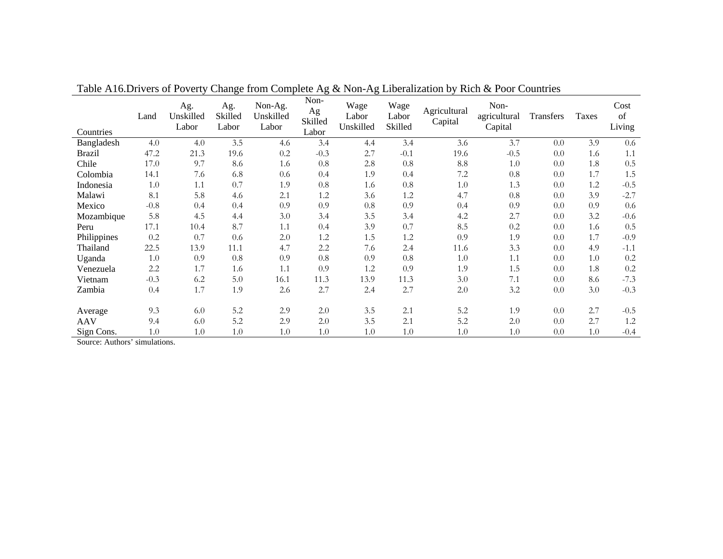| Countries     | Land   | Ag.<br>Unskilled<br>Labor | Ag.<br>Skilled<br>Labor | Non-Ag.<br>Unskilled<br>Labor | Non-<br>Ag<br>Skilled<br>Labor | Wage<br>Labor<br>Unskilled | Wage<br>Labor<br>Skilled | Agricultural<br>Capital | Non-<br>agricultural<br>Capital | Transfers | Taxes | Cost<br>of<br>Living |
|---------------|--------|---------------------------|-------------------------|-------------------------------|--------------------------------|----------------------------|--------------------------|-------------------------|---------------------------------|-----------|-------|----------------------|
| Bangladesh    | 4.0    | 4.0                       | 3.5                     | 4.6                           | 3.4                            | 4.4                        | 3.4                      | 3.6                     | 3.7                             | 0.0       | 3.9   | 0.6                  |
| <b>Brazil</b> | 47.2   | 21.3                      | 19.6                    | 0.2                           | $-0.3$                         | 2.7                        | $-0.1$                   | 19.6                    | $-0.5$                          | 0.0       | 1.6   | 1.1                  |
| Chile         | 17.0   | 9.7                       | 8.6                     | 1.6                           | 0.8                            | 2.8                        | 0.8                      | 8.8                     | 1.0                             | 0.0       | 1.8   | 0.5                  |
| Colombia      | 14.1   | 7.6                       | 6.8                     | $0.6\,$                       | 0.4                            | 1.9                        | 0.4                      | 7.2                     | 0.8                             | 0.0       | 1.7   | 1.5                  |
| Indonesia     | 1.0    | 1.1                       | 0.7                     | 1.9                           | 0.8                            | 1.6                        | 0.8                      | 1.0                     | 1.3                             | 0.0       | 1.2   | $-0.5$               |
| Malawi        | 8.1    | 5.8                       | 4.6                     | 2.1                           | 1.2                            | 3.6                        | 1.2                      | 4.7                     | 0.8                             | 0.0       | 3.9   | $-2.7$               |
| Mexico        | $-0.8$ | 0.4                       | 0.4                     | 0.9                           | 0.9                            | 0.8                        | 0.9                      | 0.4                     | 0.9                             | 0.0       | 0.9   | 0.6                  |
| Mozambique    | 5.8    | 4.5                       | 4.4                     | 3.0                           | 3.4                            | 3.5                        | 3.4                      | 4.2                     | 2.7                             | 0.0       | 3.2   | $-0.6$               |
| Peru          | 17.1   | 10.4                      | 8.7                     | 1.1                           | 0.4                            | 3.9                        | 0.7                      | 8.5                     | 0.2                             | 0.0       | 1.6   | 0.5                  |
| Philippines   | 0.2    | 0.7                       | $0.6\,$                 | 2.0                           | 1.2                            | 1.5                        | 1.2                      | 0.9                     | 1.9                             | 0.0       | 1.7   | $-0.9$               |
| Thailand      | 22.5   | 13.9                      | 11.1                    | 4.7                           | 2.2                            | 7.6                        | 2.4                      | 11.6                    | 3.3                             | 0.0       | 4.9   | $-1.1$               |
| Uganda        | 1.0    | 0.9                       | 0.8                     | 0.9                           | 0.8                            | 0.9                        | 0.8                      | 1.0                     | 1.1                             | 0.0       | 1.0   | 0.2                  |
| Venezuela     | 2.2    | 1.7                       | 1.6                     | 1.1                           | 0.9                            | 1.2                        | 0.9                      | 1.9                     | 1.5                             | 0.0       | 1.8   | 0.2                  |
| Vietnam       | $-0.3$ | 6.2                       | 5.0                     | 16.1                          | 11.3                           | 13.9                       | 11.3                     | 3.0                     | 7.1                             | 0.0       | 8.6   | $-7.3$               |
| Zambia        | 0.4    | 1.7                       | 1.9                     | 2.6                           | 2.7                            | 2.4                        | 2.7                      | 2.0                     | 3.2                             | 0.0       | 3.0   | $-0.3$               |
|               |        |                           |                         |                               |                                |                            |                          |                         |                                 |           |       |                      |
| Average       | 9.3    | 6.0                       | 5.2                     | 2.9                           | 2.0                            | 3.5                        | 2.1                      | 5.2                     | 1.9                             | 0.0       | 2.7   | $-0.5$               |
| <b>AAV</b>    | 9.4    | 6.0                       | 5.2                     | 2.9                           | 2.0                            | 3.5                        | 2.1                      | 5.2                     | 2.0                             | 0.0       | 2.7   | 1.2                  |
| Sign Cons.    | 1.0    | 1.0                       | 1.0                     | 1.0                           | 1.0                            | 1.0                        | 1.0                      | 1.0                     | 1.0                             | 0.0       | 1.0   | $-0.4$               |

Table A16.Drivers of Poverty Change from Complete Ag & Non-Ag Liberalization by Rich & Poor Countries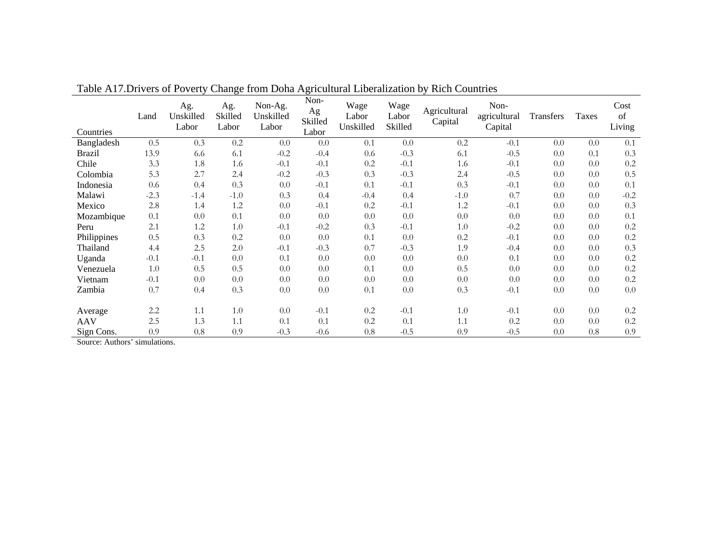| Countries     | Land    | Ag.<br>Unskilled<br>Labor | Ag.<br>Skilled<br>Labor | Non-Ag.<br>Unskilled<br>Labor | Non-<br>Ag<br>Skilled<br>Labor | Wage<br>Labor<br>Unskilled | Wage<br>Labor<br>Skilled | Agricultural<br>Capital | Non-<br>agricultural<br>Capital | Transfers | Taxes | Cost<br>of<br>Living |
|---------------|---------|---------------------------|-------------------------|-------------------------------|--------------------------------|----------------------------|--------------------------|-------------------------|---------------------------------|-----------|-------|----------------------|
| Bangladesh    | 0.5     | 0.3                       | 0.2                     | 0.0                           | 0.0                            | 0.1                        | 0.0                      | 0.2                     | $-0.1$                          | 0.0       | 0.0   | 0.1                  |
| <b>Brazil</b> | 13.9    | 6.6                       | 6.1                     | $-0.2$                        | $-0.4$                         | 0.6                        | $-0.3$                   | 6.1                     | $-0.5$                          | 0.0       | 0.1   | 0.3                  |
| Chile         | 3.3     | 1.8                       | 1.6                     | $-0.1$                        | $-0.1$                         | 0.2                        | $-0.1$                   | 1.6                     | $-0.1$                          | 0.0       | 0.0   | 0.2                  |
| Colombia      | 5.3     | 2.7                       | 2.4                     | $-0.2$                        | $-0.3$                         | 0.3                        | $-0.3$                   | 2.4                     | $-0.5$                          | 0.0       | 0.0   | 0.5                  |
| Indonesia     | $0.6\,$ | 0.4                       | 0.3                     | 0.0                           | $-0.1$                         | 0.1                        | $-0.1$                   | 0.3                     | $-0.1$                          | 0.0       | 0.0   | 0.1                  |
| Malawi        | $-2.3$  | $-1.4$                    | $-1.0$                  | 0.3                           | 0.4                            | $-0.4$                     | 0.4                      | $-1.0$                  | 0.7                             | 0.0       | 0.0   | $-0.2$               |
| Mexico        | 2.8     | 1.4                       | 1.2                     | 0.0                           | $-0.1$                         | 0.2                        | $-0.1$                   | 1.2                     | $-0.1$                          | 0.0       | 0.0   | 0.3                  |
| Mozambique    | 0.1     | 0.0                       | 0.1                     | 0.0                           | 0.0                            | 0.0                        | 0.0                      | 0.0                     | 0.0                             | 0.0       | 0.0   | 0.1                  |
| Peru          | 2.1     | 1.2                       | 1.0                     | $-0.1$                        | $-0.2$                         | 0.3                        | $-0.1$                   | 1.0                     | $-0.2$                          | 0.0       | 0.0   | 0.2                  |
| Philippines   | 0.5     | 0.3                       | 0.2                     | 0.0                           | 0.0                            | 0.1                        | 0.0                      | 0.2                     | $-0.1$                          | 0.0       | 0.0   | $0.2\,$              |
| Thailand      | 4.4     | 2.5                       | 2.0                     | $-0.1$                        | $-0.3$                         | 0.7                        | $-0.3$                   | 1.9                     | $-0.4$                          | 0.0       | 0.0   | 0.3                  |
| Uganda        | $-0.1$  | $-0.1$                    | 0.0                     | 0.1                           | 0.0                            | 0.0                        | 0.0                      | 0.0                     | 0.1                             | 0.0       | 0.0   | 0.2                  |
| Venezuela     | 1.0     | 0.5                       | 0.5                     | 0.0                           | 0.0                            | 0.1                        | 0.0                      | 0.5                     | 0.0                             | 0.0       | 0.0   | 0.2                  |
| Vietnam       | $-0.1$  | 0.0                       | 0.0                     | 0.0                           | 0.0                            | 0.0                        | 0.0                      | 0.0                     | 0.0                             | 0.0       | 0.0   | 0.2                  |
| Zambia        | 0.7     | 0.4                       | 0.3                     | 0.0                           | 0.0                            | 0.1                        | 0.0                      | 0.3                     | $-0.1$                          | 0.0       | 0.0   | 0.0                  |
|               |         |                           |                         |                               |                                |                            |                          |                         |                                 |           |       |                      |
| Average       | 2.2     | 1.1                       | 1.0                     | 0.0                           | $-0.1$                         | 0.2                        | $-0.1$                   | 1.0                     | $-0.1$                          | 0.0       | 0.0   | 0.2                  |
| <b>AAV</b>    | 2.5     | 1.3                       | 1.1                     | 0.1                           | 0.1                            | 0.2                        | 0.1                      | 1.1                     | 0.2                             | 0.0       | 0.0   | 0.2                  |
| Sign Cons.    | 0.9     | 0.8                       | 0.9                     | $-0.3$                        | $-0.6$                         | 0.8                        | $-0.5$                   | 0.9                     | $-0.5$                          | 0.0       | 0.8   | 0.9                  |

Table A17.Drivers of Poverty Change from Doha Agricultural Liberalization by Rich Countries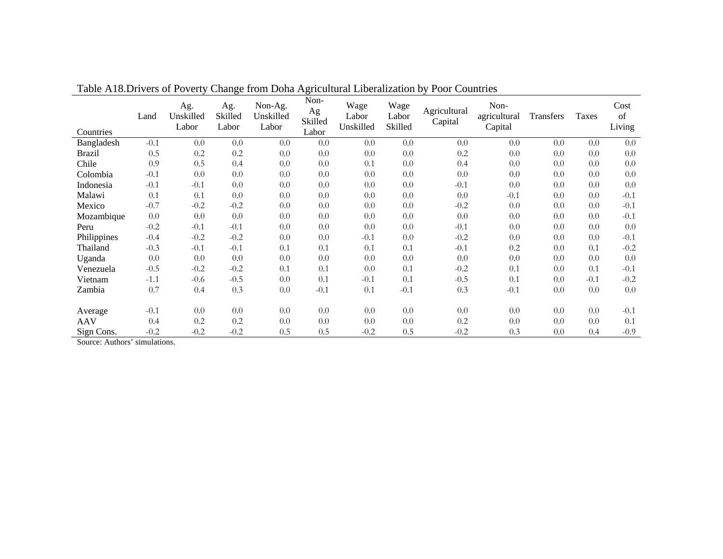| Countries     | Land   | Ag.<br>Unskilled<br>Labor | Ag.<br>Skilled<br>Labor | Non-Ag.<br>Unskilled<br>Labor | Non-<br>Ag<br>Skilled<br>Labor | Wage<br>Labor<br>Unskilled | Wage<br>Labor<br>Skilled | Agricultural<br>Capital | Non-<br>agricultural<br>Capital | Transfers | Taxes  | Cost<br>of<br>Living |
|---------------|--------|---------------------------|-------------------------|-------------------------------|--------------------------------|----------------------------|--------------------------|-------------------------|---------------------------------|-----------|--------|----------------------|
| Bangladesh    | $-0.1$ | 0.0                       | 0.0                     | 0.0                           | 0.0                            | 0.0                        | 0.0                      | 0.0                     | 0.0                             | 0.0       | 0.0    | 0.0                  |
| <b>Brazil</b> | 0.5    | 0.2                       | 0.2                     | 0.0                           | 0.0                            | 0.0                        | 0.0                      | 0.2                     | 0.0                             | 0.0       | 0.0    | 0.0                  |
| Chile         | 0.9    | 0.5                       | 0.4                     | 0.0                           | 0.0                            | 0.1                        | 0.0                      | 0.4                     | 0.0                             | 0.0       | 0.0    | 0.0                  |
| Colombia      | $-0.1$ | 0.0                       | 0.0                     | 0.0                           | 0.0                            | 0.0                        | 0.0                      | 0.0                     | 0.0                             | 0.0       | 0.0    | 0.0                  |
| Indonesia     | $-0.1$ | $-0.1$                    | 0.0                     | 0.0                           | 0.0                            | 0.0                        | 0.0                      | $-0.1$                  | 0.0                             | 0.0       | 0.0    | 0.0                  |
| Malawi        | 0.1    | 0.1                       | 0.0                     | 0.0                           | 0.0                            | 0.0                        | 0.0                      | 0.0                     | $-0.1$                          | 0.0       | 0.0    | $-0.1$               |
| Mexico        | $-0.7$ | $-0.2$                    | $-0.2$                  | 0.0                           | 0.0                            | 0.0                        | $0.0\,$                  | $-0.2$                  | 0.0                             | 0.0       | 0.0    | $-0.1$               |
| Mozambique    | 0.0    | 0.0                       | 0.0                     | 0.0                           | 0.0                            | 0.0                        | 0.0                      | 0.0                     | 0.0                             | 0.0       | 0.0    | $-0.1$               |
| Peru          | $-0.2$ | $-0.1$                    | $-0.1$                  | 0.0                           | 0.0                            | 0.0                        | 0.0                      | $-0.1$                  | 0.0                             | 0.0       | 0.0    | 0.0                  |
| Philippines   | $-0.4$ | $-0.2$                    | $-0.2$                  | 0.0                           | 0.0                            | $-0.1$                     | 0.0                      | $-0.2$                  | 0.0                             | 0.0       | 0.0    | $-0.1$               |
| Thailand      | $-0.3$ | $-0.1$                    | $-0.1$                  | 0.1                           | 0.1                            | 0.1                        | 0.1                      | $-0.1$                  | 0.2                             | 0.0       | 0.1    | $-0.2$               |
| Uganda        | 0.0    | 0.0                       | 0.0                     | 0.0                           | 0.0                            | 0.0                        | 0.0                      | 0.0                     | 0.0                             | 0.0       | 0.0    | 0.0                  |
| Venezuela     | $-0.5$ | $-0.2$                    | $-0.2$                  | 0.1                           | 0.1                            | 0.0                        | 0.1                      | $-0.2$                  | 0.1                             | 0.0       | 0.1    | $-0.1$               |
| Vietnam       | $-1.1$ | $-0.6$                    | $-0.5$                  | 0.0                           | 0.1                            | $-0.1$                     | 0.1                      | $-0.5$                  | 0.1                             | 0.0       | $-0.1$ | $-0.2$               |
| Zambia        | 0.7    | 0.4                       | 0.3                     | $0.0\,$                       | $-0.1$                         | 0.1                        | $-0.1$                   | 0.3                     | $-0.1$                          | 0.0       | 0.0    | 0.0                  |
|               |        |                           |                         |                               |                                |                            |                          |                         |                                 |           |        |                      |
| Average       | $-0.1$ | 0.0                       | 0.0                     | 0.0                           | 0.0                            | 0.0                        | 0.0                      | 0.0                     | 0.0                             | 0.0       | 0.0    | $-0.1$               |
| <b>AAV</b>    | 0.4    | 0.2                       | 0.2                     | 0.0                           | 0.0                            | 0.0                        | 0.0                      | 0.2                     | 0.0                             | 0.0       | 0.0    | 0.1                  |
| Sign Cons.    | $-0.2$ | $-0.2$                    | $-0.2$                  | 0.5                           | 0.5                            | $-0.2$                     | 0.5                      | $-0.2$                  | 0.3                             | 0.0       | 0.4    | $-0.9$               |

Table A18.Drivers of Poverty Change from Doha Agricultural Liberalization by Poor Countries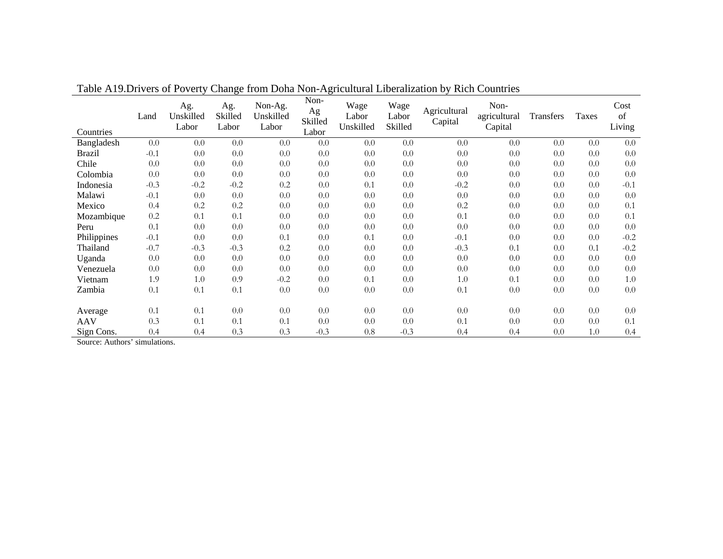| Countries     | Land   | Ag.<br>Unskilled<br>Labor | Ag.<br>Skilled<br>Labor | Non-Ag.<br>Unskilled<br>Labor | Non-<br>Ag<br>Skilled<br>Labor | Wage<br>Labor<br>Unskilled | Wage<br>Labor<br>Skilled | Agricultural<br>Capital | Non-<br>agricultural<br>Capital | Transfers | <b>Taxes</b> | Cost<br>of<br>Living |
|---------------|--------|---------------------------|-------------------------|-------------------------------|--------------------------------|----------------------------|--------------------------|-------------------------|---------------------------------|-----------|--------------|----------------------|
| Bangladesh    | 0.0    | 0.0                       | 0.0                     | 0.0                           | 0.0                            | 0.0                        | 0.0                      | 0.0                     | 0.0                             | 0.0       | 0.0          | 0.0                  |
| <b>Brazil</b> | $-0.1$ | 0.0                       | 0.0                     | 0.0                           | 0.0                            | 0.0                        | 0.0                      | 0.0                     | 0.0                             | 0.0       | 0.0          | 0.0                  |
| Chile         | 0.0    | 0.0                       | 0.0                     | 0.0                           | 0.0                            | 0.0                        | 0.0                      | 0.0                     | 0.0                             | 0.0       | 0.0          | 0.0                  |
| Colombia      | 0.0    | 0.0                       | 0.0                     | 0.0                           | 0.0                            | 0.0                        | 0.0                      | 0.0                     | 0.0                             | 0.0       | 0.0          | 0.0                  |
| Indonesia     | $-0.3$ | $-0.2$                    | $-0.2$                  | 0.2                           | 0.0                            | 0.1                        | 0.0                      | $-0.2$                  | 0.0                             | 0.0       | 0.0          | $-0.1$               |
| Malawi        | $-0.1$ | 0.0                       | 0.0                     | 0.0                           | 0.0                            | 0.0                        | 0.0                      | 0.0                     | 0.0                             | 0.0       | 0.0          | 0.0                  |
| Mexico        | 0.4    | 0.2                       | 0.2                     | 0.0                           | 0.0                            | 0.0                        | 0.0                      | 0.2                     | 0.0                             | 0.0       | 0.0          | 0.1                  |
| Mozambique    | 0.2    | 0.1                       | 0.1                     | 0.0                           | 0.0                            | 0.0                        | 0.0                      | 0.1                     | 0.0                             | 0.0       | 0.0          | 0.1                  |
| Peru          | 0.1    | 0.0                       | 0.0                     | 0.0                           | 0.0                            | 0.0                        | 0.0                      | 0.0                     | 0.0                             | 0.0       | 0.0          | 0.0                  |
| Philippines   | $-0.1$ | 0.0                       | 0.0                     | 0.1                           | 0.0                            | 0.1                        | 0.0                      | $-0.1$                  | 0.0                             | 0.0       | 0.0          | $-0.2$               |
| Thailand      | $-0.7$ | $-0.3$                    | $-0.3$                  | 0.2                           | 0.0                            | 0.0                        | 0.0                      | $-0.3$                  | 0.1                             | 0.0       | 0.1          | $-0.2$               |
| Uganda        | 0.0    | 0.0                       | 0.0                     | 0.0                           | 0.0                            | 0.0                        | 0.0                      | 0.0                     | 0.0                             | 0.0       | 0.0          | 0.0                  |
| Venezuela     | 0.0    | 0.0                       | 0.0                     | 0.0                           | 0.0                            | 0.0                        | 0.0                      | 0.0                     | 0.0                             | 0.0       | 0.0          | 0.0                  |
| Vietnam       | 1.9    | 1.0                       | 0.9                     | $-0.2$                        | 0.0                            | 0.1                        | 0.0                      | 1.0                     | 0.1                             | 0.0       | 0.0          | 1.0                  |
| Zambia        | 0.1    | 0.1                       | 0.1                     | 0.0                           | 0.0                            | 0.0                        | 0.0                      | 0.1                     | 0.0                             | 0.0       | 0.0          | 0.0                  |
|               |        |                           |                         |                               |                                |                            |                          |                         |                                 |           |              |                      |
| Average       | 0.1    | 0.1                       | 0.0                     | 0.0                           | 0.0                            | 0.0                        | 0.0                      | 0.0                     | 0.0                             | 0.0       | 0.0          | 0.0                  |
| <b>AAV</b>    | 0.3    | 0.1                       | 0.1                     | 0.1                           | 0.0                            | 0.0                        | 0.0                      | 0.1                     | 0.0                             | 0.0       | 0.0          | 0.1                  |
| Sign Cons.    | 0.4    | 0.4                       | 0.3                     | 0.3                           | $-0.3$                         | 0.8                        | $-0.3$                   | 0.4                     | 0.4                             | 0.0       | 1.0          | 0.4                  |

Table A19.Drivers of Poverty Change from Doha Non-Agricultural Liberalization by Rich Countries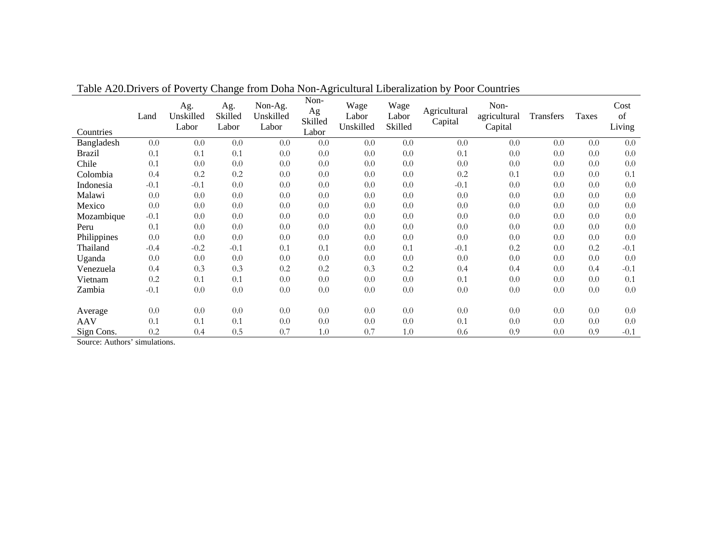| Countries     | Land   | Ag.<br>Unskilled<br>Labor | Ag.<br>Skilled<br>Labor | Non-Ag.<br>Unskilled<br>Labor | Non-<br>Ag<br>Skilled<br>Labor | Wage<br>Labor<br>Unskilled | Wage<br>Labor<br>Skilled | Agricultural<br>Capital | Non-<br>agricultural<br>Capital | <b>Transfers</b> | <b>Taxes</b> | Cost<br>of<br>Living |
|---------------|--------|---------------------------|-------------------------|-------------------------------|--------------------------------|----------------------------|--------------------------|-------------------------|---------------------------------|------------------|--------------|----------------------|
| Bangladesh    | 0.0    | 0.0                       | 0.0                     | 0.0                           | 0.0                            | 0.0                        | 0.0                      | 0.0                     | 0.0                             | 0.0              | 0.0          | 0.0                  |
| <b>Brazil</b> | 0.1    | 0.1                       | 0.1                     | 0.0                           | 0.0                            | 0.0                        | 0.0                      | 0.1                     | 0.0                             | 0.0              | 0.0          | 0.0                  |
| Chile         | 0.1    | 0.0                       | 0.0                     | 0.0                           | 0.0                            | 0.0                        | 0.0                      | 0.0                     | 0.0                             | 0.0              | 0.0          | 0.0                  |
| Colombia      | 0.4    | 0.2                       | 0.2                     | 0.0                           | 0.0                            | 0.0                        | 0.0                      | 0.2                     | 0.1                             | 0.0              | 0.0          | 0.1                  |
| Indonesia     | $-0.1$ | $-0.1$                    | 0.0                     | 0.0                           | 0.0                            | 0.0                        | 0.0                      | $-0.1$                  | 0.0                             | 0.0              | 0.0          | 0.0                  |
| Malawi        | 0.0    | 0.0                       | 0.0                     | 0.0                           | 0.0                            | 0.0                        | 0.0                      | 0.0                     | 0.0                             | 0.0              | 0.0          | 0.0                  |
| Mexico        | 0.0    | 0.0                       | 0.0                     | 0.0                           | 0.0                            | 0.0                        | 0.0                      | 0.0                     | 0.0                             | 0.0              | 0.0          | 0.0                  |
| Mozambique    | $-0.1$ | 0.0                       | 0.0                     | 0.0                           | 0.0                            | 0.0                        | 0.0                      | 0.0                     | 0.0                             | 0.0              | 0.0          | 0.0                  |
| Peru          | 0.1    | 0.0                       | 0.0                     | 0.0                           | 0.0                            | 0.0                        | 0.0                      | 0.0                     | 0.0                             | 0.0              | 0.0          | 0.0                  |
| Philippines   | 0.0    | 0.0                       | 0.0                     | 0.0                           | 0.0                            | 0.0                        | 0.0                      | 0.0                     | 0.0                             | 0.0              | 0.0          | 0.0                  |
| Thailand      | $-0.4$ | $-0.2$                    | $-0.1$                  | 0.1                           | 0.1                            | 0.0                        | 0.1                      | $-0.1$                  | 0.2                             | 0.0              | 0.2          | $-0.1$               |
| Uganda        | 0.0    | 0.0                       | 0.0                     | 0.0                           | 0.0                            | 0.0                        | 0.0                      | 0.0                     | 0.0                             | 0.0              | 0.0          | 0.0                  |
| Venezuela     | 0.4    | 0.3                       | 0.3                     | 0.2                           | 0.2                            | 0.3                        | 0.2                      | 0.4                     | 0.4                             | 0.0              | 0.4          | $-0.1$               |
| Vietnam       | 0.2    | 0.1                       | 0.1                     | 0.0                           | 0.0                            | 0.0                        | 0.0                      | 0.1                     | 0.0                             | 0.0              | 0.0          | 0.1                  |
| Zambia        | $-0.1$ | 0.0                       | 0.0                     | 0.0                           | 0.0                            | 0.0                        | 0.0                      | 0.0                     | 0.0                             | 0.0              | 0.0          | 0.0                  |
|               |        |                           |                         |                               |                                |                            |                          |                         |                                 |                  |              |                      |
| Average       | 0.0    | 0.0                       | 0.0                     | 0.0                           | 0.0                            | 0.0                        | 0.0                      | 0.0                     | 0.0                             | 0.0              | 0.0          | 0.0                  |
| <b>AAV</b>    | 0.1    | 0.1                       | 0.1                     | 0.0                           | 0.0                            | 0.0                        | 0.0                      | 0.1                     | 0.0                             | 0.0              | 0.0          | 0.0                  |
| Sign Cons.    | 0.2    | 0.4                       | 0.5                     | 0.7                           | 1.0                            | 0.7                        | 1.0                      | 0.6                     | 0.9                             | 0.0              | 0.9          | $-0.1$               |

Table A20.Drivers of Poverty Change from Doha Non-Agricultural Liberalization by Poor Countries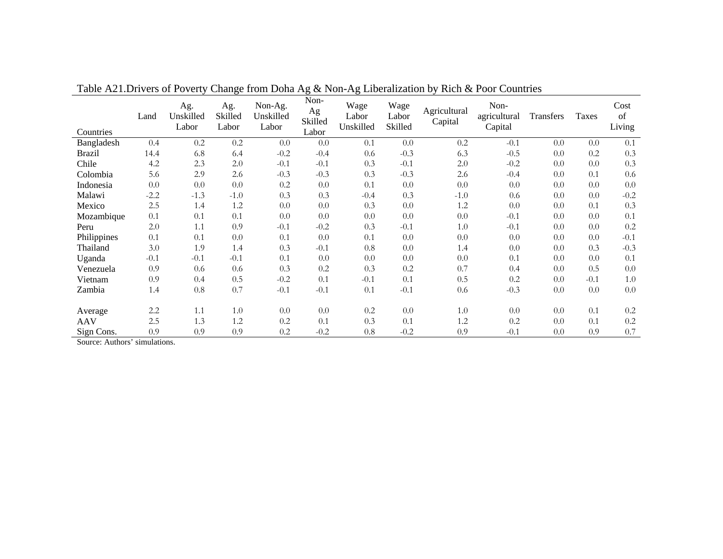| Countries     | Land   | Ag.<br>Unskilled<br>Labor | Ag.<br>Skilled<br>Labor | Non-Ag.<br>Unskilled<br>Labor | Non-<br>Ag<br>Skilled<br>Labor | Wage<br>Labor<br>Unskilled | Wage<br>Labor<br>Skilled | Agricultural<br>Capital | Non-<br>agricultural<br>Capital | Transfers | Taxes  | Cost<br>of<br>Living |
|---------------|--------|---------------------------|-------------------------|-------------------------------|--------------------------------|----------------------------|--------------------------|-------------------------|---------------------------------|-----------|--------|----------------------|
| Bangladesh    | 0.4    | 0.2                       | 0.2                     | 0.0                           | 0.0                            | 0.1                        | 0.0                      | 0.2                     | $-0.1$                          | 0.0       | 0.0    | 0.1                  |
| <b>Brazil</b> | 14.4   | 6.8                       | 6.4                     | $-0.2$                        | $-0.4$                         | 0.6                        | $-0.3$                   | 6.3                     | $-0.5$                          | 0.0       | 0.2    | 0.3                  |
| Chile         | 4.2    | 2.3                       | 2.0                     | $-0.1$                        | $-0.1$                         | 0.3                        | $-0.1$                   | 2.0                     | $-0.2$                          | 0.0       | 0.0    | 0.3                  |
| Colombia      | 5.6    | 2.9                       | 2.6                     | $-0.3$                        | $-0.3$                         | 0.3                        | $-0.3$                   | 2.6                     | $-0.4$                          | 0.0       | 0.1    | 0.6                  |
| Indonesia     | 0.0    | 0.0                       | 0.0                     | 0.2                           | 0.0                            | 0.1                        | 0.0                      | 0.0                     | 0.0                             | 0.0       | 0.0    | 0.0                  |
| Malawi        | $-2.2$ | $-1.3$                    | $-1.0$                  | 0.3                           | 0.3                            | $-0.4$                     | 0.3                      | $-1.0$                  | 0.6                             | 0.0       | 0.0    | $-0.2$               |
| Mexico        | 2.5    | 1.4                       | 1.2                     | 0.0                           | 0.0                            | 0.3                        | 0.0                      | 1.2                     | 0.0                             | 0.0       | 0.1    | 0.3                  |
| Mozambique    | 0.1    | 0.1                       | 0.1                     | 0.0                           | 0.0                            | 0.0                        | 0.0                      | 0.0                     | $-0.1$                          | 0.0       | 0.0    | 0.1                  |
| Peru          | 2.0    | 1.1                       | 0.9                     | $-0.1$                        | $-0.2$                         | 0.3                        | $-0.1$                   | 1.0                     | $-0.1$                          | 0.0       | 0.0    | 0.2                  |
| Philippines   | 0.1    | 0.1                       | 0.0                     | 0.1                           | 0.0                            | 0.1                        | 0.0                      | 0.0                     | 0.0                             | 0.0       | 0.0    | $-0.1$               |
| Thailand      | 3.0    | 1.9                       | 1.4                     | 0.3                           | $-0.1$                         | 0.8                        | 0.0                      | 1.4                     | 0.0                             | 0.0       | 0.3    | $-0.3$               |
| Uganda        | $-0.1$ | $-0.1$                    | $-0.1$                  | 0.1                           | 0.0                            | 0.0                        | 0.0                      | 0.0                     | 0.1                             | 0.0       | 0.0    | 0.1                  |
| Venezuela     | 0.9    | 0.6                       | 0.6                     | 0.3                           | 0.2                            | 0.3                        | 0.2                      | 0.7                     | 0.4                             | 0.0       | 0.5    | 0.0                  |
| Vietnam       | 0.9    | 0.4                       | 0.5                     | $-0.2$                        | 0.1                            | $-0.1$                     | 0.1                      | 0.5                     | 0.2                             | 0.0       | $-0.1$ | 1.0                  |
| Zambia        | 1.4    | 0.8                       | 0.7                     | $-0.1$                        | $-0.1$                         | 0.1                        | $-0.1$                   | 0.6                     | $-0.3$                          | 0.0       | 0.0    | 0.0                  |
|               |        |                           |                         |                               |                                |                            |                          |                         |                                 |           |        |                      |
| Average       | 2.2    | 1.1                       | 1.0                     | 0.0                           | 0.0                            | 0.2                        | 0.0                      | 1.0                     | 0.0                             | 0.0       | 0.1    | 0.2                  |
| <b>AAV</b>    | 2.5    | 1.3                       | 1.2                     | 0.2                           | 0.1                            | 0.3                        | 0.1                      | 1.2                     | 0.2                             | 0.0       | 0.1    | 0.2                  |
| Sign Cons.    | 0.9    | 0.9                       | 0.9                     | 0.2                           | $-0.2$                         | 0.8                        | $-0.2$                   | 0.9                     | $-0.1$                          | 0.0       | 0.9    | 0.7                  |

Table A21.Drivers of Poverty Change from Doha Ag & Non-Ag Liberalization by Rich & Poor Countries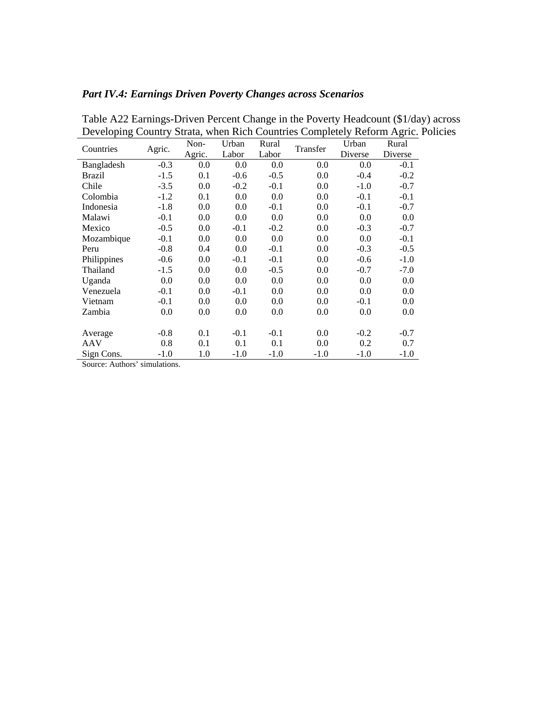## *Part IV.4: Earnings Driven Poverty Changes across Scenarios*

| Developing Country Strata, when Kien Countries Completely Kelorin Agric. I |        |        |        |        |          |         |         |
|----------------------------------------------------------------------------|--------|--------|--------|--------|----------|---------|---------|
| Countries                                                                  | Agric. | Non-   | Urban  | Rural  | Transfer | Urban   | Rural   |
|                                                                            |        | Agric. | Labor  | Labor  |          | Diverse | Diverse |
| Bangladesh                                                                 | $-0.3$ | 0.0    | 0.0    | 0.0    | 0.0      | 0.0     | $-0.1$  |
| Brazil                                                                     | $-1.5$ | 0.1    | $-0.6$ | $-0.5$ | 0.0      | $-0.4$  | $-0.2$  |
| Chile                                                                      | $-3.5$ | 0.0    | $-0.2$ | $-0.1$ | 0.0      | $-1.0$  | $-0.7$  |
| Colombia                                                                   | $-1.2$ | 0.1    | 0.0    | 0.0    | 0.0      | $-0.1$  | $-0.1$  |
| Indonesia                                                                  | $-1.8$ | 0.0    | 0.0    | $-0.1$ | 0.0      | $-0.1$  | $-0.7$  |
| Malawi                                                                     | $-0.1$ | 0.0    | 0.0    | 0.0    | 0.0      | 0.0     | 0.0     |
| Mexico                                                                     | $-0.5$ | 0.0    | $-0.1$ | $-0.2$ | 0.0      | $-0.3$  | $-0.7$  |
| Mozambique                                                                 | $-0.1$ | 0.0    | 0.0    | 0.0    | 0.0      | 0.0     | $-0.1$  |
| Peru                                                                       | $-0.8$ | 0.4    | 0.0    | $-0.1$ | 0.0      | $-0.3$  | $-0.5$  |
| Philippines                                                                | $-0.6$ | 0.0    | $-0.1$ | $-0.1$ | 0.0      | $-0.6$  | $-1.0$  |
| Thailand                                                                   | $-1.5$ | 0.0    | 0.0    | $-0.5$ | 0.0      | $-0.7$  | $-7.0$  |
| Uganda                                                                     | 0.0    | 0.0    | 0.0    | 0.0    | 0.0      | 0.0     | 0.0     |
| Venezuela                                                                  | $-0.1$ | 0.0    | $-0.1$ | 0.0    | 0.0      | 0.0     | 0.0     |
| Vietnam                                                                    | $-0.1$ | 0.0    | 0.0    | 0.0    | 0.0      | $-0.1$  | 0.0     |
| Zambia                                                                     | 0.0    | 0.0    | 0.0    | 0.0    | 0.0      | 0.0     | 0.0     |
|                                                                            |        |        |        |        |          |         |         |
| Average                                                                    | $-0.8$ | 0.1    | $-0.1$ | $-0.1$ | 0.0      | $-0.2$  | $-0.7$  |
| AAV                                                                        | 0.8    | 0.1    | 0.1    | 0.1    | 0.0      | 0.2     | 0.7     |
| Sign Cons.                                                                 | $-1.0$ | 1.0    | $-1.0$ | $-1.0$ | $-1.0$   | $-1.0$  | $-1.0$  |

Table A22 Earnings-Driven Percent Change in the Poverty Headcount (\$1/day) across Developing Country Strata, when Rich Countries Completely Reform Agric. Policies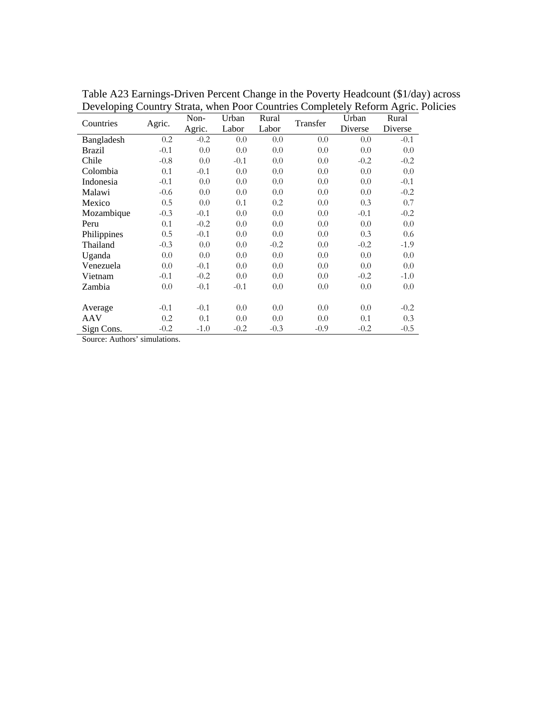| $Dovov_pmg$<br>Countries | Agric. | Non-   | Urban  | Rural  | $\beta$ and $\beta$ and $\alpha$ countries completely recrommation.<br>Transfer | Urban   | Rural   |
|--------------------------|--------|--------|--------|--------|---------------------------------------------------------------------------------|---------|---------|
|                          |        | Agric. | Labor  | Labor  |                                                                                 | Diverse | Diverse |
| Bangladesh               | 0.2    | $-0.2$ | 0.0    | 0.0    | 0.0                                                                             | 0.0     | $-0.1$  |
| <b>Brazil</b>            | $-0.1$ | 0.0    | 0.0    | 0.0    | 0.0                                                                             | 0.0     | 0.0     |
| Chile                    | $-0.8$ | 0.0    | $-0.1$ | 0.0    | 0.0                                                                             | $-0.2$  | $-0.2$  |
| Colombia                 | 0.1    | $-0.1$ | 0.0    | 0.0    | 0.0                                                                             | 0.0     | 0.0     |
| Indonesia                | $-0.1$ | 0.0    | 0.0    | 0.0    | 0.0                                                                             | 0.0     | $-0.1$  |
| Malawi                   | $-0.6$ | 0.0    | 0.0    | 0.0    | 0.0                                                                             | 0.0     | $-0.2$  |
| Mexico                   | 0.5    | 0.0    | 0.1    | 0.2    | 0.0                                                                             | 0.3     | 0.7     |
| Mozambique               | $-0.3$ | $-0.1$ | 0.0    | 0.0    | 0.0                                                                             | $-0.1$  | $-0.2$  |
| Peru                     | 0.1    | $-0.2$ | 0.0    | 0.0    | 0.0                                                                             | 0.0     | 0.0     |
| Philippines              | 0.5    | $-0.1$ | 0.0    | 0.0    | 0.0                                                                             | 0.3     | 0.6     |
| Thailand                 | $-0.3$ | 0.0    | 0.0    | $-0.2$ | 0.0                                                                             | $-0.2$  | $-1.9$  |
| Uganda                   | 0.0    | 0.0    | 0.0    | 0.0    | 0.0                                                                             | 0.0     | 0.0     |
| Venezuela                | 0.0    | $-0.1$ | 0.0    | 0.0    | 0.0                                                                             | 0.0     | 0.0     |
| Vietnam                  | $-0.1$ | $-0.2$ | 0.0    | 0.0    | 0.0                                                                             | $-0.2$  | $-1.0$  |
| Zambia                   | 0.0    | $-0.1$ | $-0.1$ | 0.0    | 0.0                                                                             | 0.0     | 0.0     |
|                          |        |        |        |        |                                                                                 |         |         |
| Average                  | $-0.1$ | $-0.1$ | 0.0    | 0.0    | 0.0                                                                             | 0.0     | $-0.2$  |
| AAV                      | 0.2    | 0.1    | 0.0    | 0.0    | 0.0                                                                             | 0.1     | 0.3     |
| Sign Cons.               | $-0.2$ | $-1.0$ | $-0.2$ | $-0.3$ | $-0.9$                                                                          | $-0.2$  | $-0.5$  |

Table A23 Earnings-Driven Percent Change in the Poverty Headcount (\$1/day) across Developing Country Strata, when Poor Countries Completely Reform Agric. Policies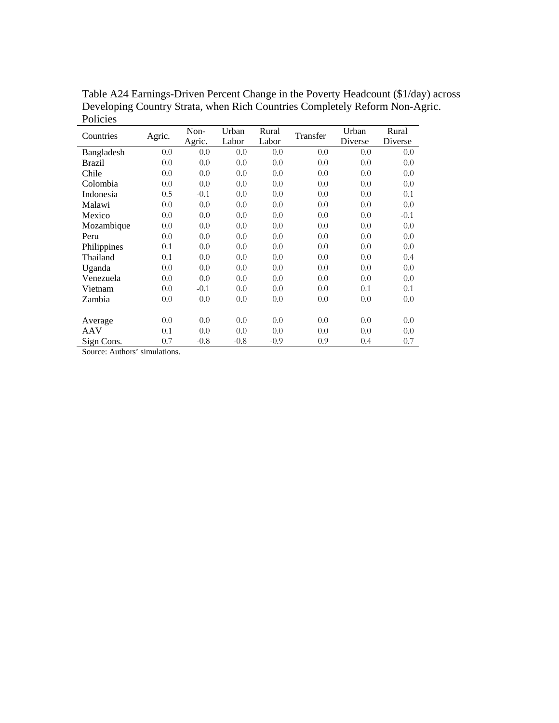| Countries   | Agric. | Non-<br>Agric. | Urban<br>Labor | Rural<br>Labor | Transfer | Urban<br>Diverse | Rural<br>Diverse |
|-------------|--------|----------------|----------------|----------------|----------|------------------|------------------|
| Bangladesh  | 0.0    | 0.0            | 0.0            | 0.0            | 0.0      | 0.0              | 0.0              |
| Brazil      | 0.0    | 0.0            | 0.0            | 0.0            | 0.0      | 0.0              | 0.0              |
| Chile       | 0.0    | 0.0            | 0.0            | 0.0            | 0.0      | 0.0              | 0.0              |
| Colombia    | 0.0    | 0.0            | 0.0            | 0.0            | 0.0      | 0.0              | 0.0              |
| Indonesia   | 0.5    | $-0.1$         | 0.0            | 0.0            | 0.0      | 0.0              | 0.1              |
| Malawi      | 0.0    | 0.0            | 0.0            | 0.0            | 0.0      | 0.0              | 0.0              |
| Mexico      | 0.0    | 0.0            | 0.0            | 0.0            | 0.0      | 0.0              | $-0.1$           |
| Mozambique  | 0.0    | 0.0            | 0.0            | 0.0            | 0.0      | 0.0              | 0.0              |
| Peru        | 0.0    | 0.0            | 0.0            | 0.0            | 0.0      | 0.0              | 0.0              |
| Philippines | 0.1    | 0.0            | 0.0            | 0.0            | 0.0      | 0.0              | 0.0              |
| Thailand    | 0.1    | 0.0            | 0.0            | 0.0            | 0.0      | 0.0              | 0.4              |
| Uganda      | 0.0    | 0.0            | 0.0            | 0.0            | 0.0      | 0.0              | 0.0              |
| Venezuela   | 0.0    | 0.0            | 0.0            | 0.0            | 0.0      | 0.0              | 0.0              |
| Vietnam     | 0.0    | $-0.1$         | 0.0            | 0.0            | 0.0      | 0.1              | 0.1              |
| Zambia      | 0.0    | 0.0            | 0.0            | 0.0            | 0.0      | 0.0              | 0.0              |
|             |        |                |                |                |          |                  |                  |
| Average     | 0.0    | 0.0            | 0.0            | 0.0            | 0.0      | 0.0              | 0.0              |
| AAV         | 0.1    | 0.0            | 0.0            | 0.0            | 0.0      | 0.0              | 0.0              |
| Sign Cons.  | 0.7    | $-0.8$         | $-0.8$         | $-0.9$         | 0.9      | 0.4              | 0.7              |

Table A24 Earnings-Driven Percent Change in the Poverty Headcount (\$1/day) across Developing Country Strata, when Rich Countries Completely Reform Non-Agric. Policies L,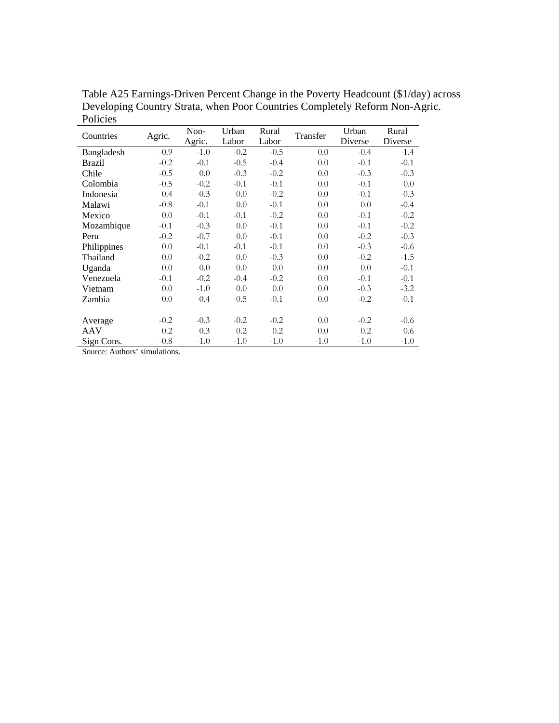| Countries   | Agric. | Non-<br>Agric. | Urban<br>Labor | Rural<br>Labor | Transfer | Urban<br>Diverse | Rural<br>Diverse |
|-------------|--------|----------------|----------------|----------------|----------|------------------|------------------|
| Bangladesh  | $-0.9$ | $-1.0$         | $-0.2$         | $-0.5$         | 0.0      | $-0.4$           | $-1.4$           |
| Brazil      | $-0.2$ | $-0.1$         | $-0.5$         | $-0.4$         | 0.0      | $-0.1$           | $-0.1$           |
| Chile       | $-0.5$ | 0.0            | $-0.3$         | $-0.2$         | 0.0      | $-0.3$           | $-0.3$           |
| Colombia    | $-0.5$ | $-0.2$         | $-0.1$         | $-0.1$         | 0.0      | $-0.1$           | 0.0              |
| Indonesia   | 0.4    | $-0.3$         | 0.0            | $-0.2$         | 0.0      | $-0.1$           | $-0.3$           |
| Malawi      | $-0.8$ | $-0.1$         | 0.0            | $-0.1$         | 0.0      | 0.0              | $-0.4$           |
| Mexico      | 0.0    | $-0.1$         | $-0.1$         | $-0.2$         | 0.0      | $-0.1$           | $-0.2$           |
| Mozambique  | $-0.1$ | $-0.3$         | 0.0            | $-0.1$         | 0.0      | $-0.1$           | $-0.2$           |
| Peru        | $-0.2$ | $-0.7$         | 0.0            | $-0.1$         | 0.0      | $-0.2$           | $-0.3$           |
| Philippines | 0.0    | $-0.1$         | $-0.1$         | $-0.1$         | 0.0      | $-0.3$           | $-0.6$           |
| Thailand    | 0.0    | $-0.2$         | 0.0            | $-0.3$         | 0.0      | $-0.2$           | $-1.5$           |
| Uganda      | 0.0    | 0.0            | 0.0            | 0.0            | 0.0      | 0.0              | $-0.1$           |
| Venezuela   | $-0.1$ | $-0.2$         | $-0.4$         | $-0.2$         | 0.0      | $-0.1$           | $-0.1$           |
| Vietnam     | 0.0    | $-1.0$         | 0.0            | 0.0            | 0.0      | $-0.3$           | $-3.2$           |
| Zambia      | 0.0    | $-0.4$         | $-0.5$         | $-0.1$         | 0.0      | $-0.2$           | $-0.1$           |
|             |        |                |                |                |          |                  |                  |
| Average     | $-0.2$ | $-0.3$         | $-0.2$         | $-0.2$         | 0.0      | $-0.2$           | $-0.6$           |
| AAV         | 0.2    | 0.3            | 0.2            | 0.2            | 0.0      | 0.2              | 0.6              |
| Sign Cons.  | $-0.8$ | $-1.0$         | $-1.0$         | $-1.0$         | $-1.0$   | $-1.0$           | $-1.0$           |

Table A25 Earnings-Driven Percent Change in the Poverty Headcount (\$1/day) across Developing Country Strata, when Poor Countries Completely Reform Non-Agric. Policies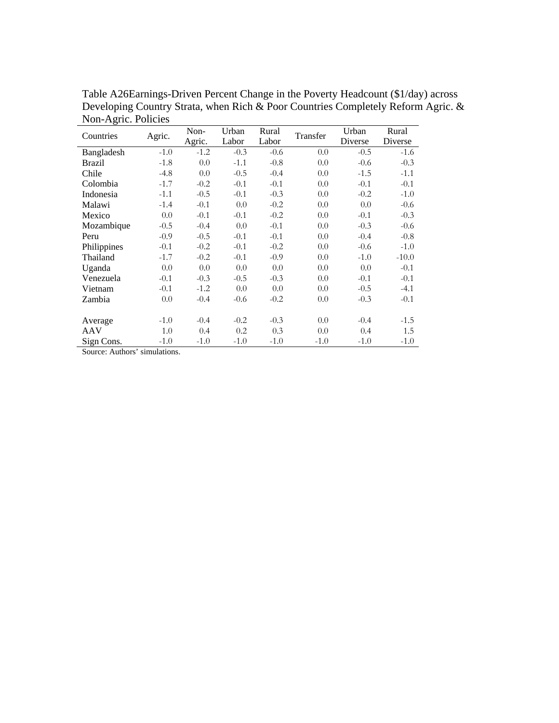| Countries     | Agric. | Non-<br>Agric. | Urban<br>Labor | Rural<br>Labor | Transfer | Urban<br>Diverse | Rural<br>Diverse |
|---------------|--------|----------------|----------------|----------------|----------|------------------|------------------|
| Bangladesh    | $-1.0$ | $-1.2$         | $-0.3$         | $-0.6$         | 0.0      | $-0.5$           | $-1.6$           |
| <b>Brazil</b> | $-1.8$ | 0.0            | $-1.1$         | $-0.8$         | 0.0      | $-0.6$           | $-0.3$           |
| Chile         | $-4.8$ | 0.0            | $-0.5$         | $-0.4$         | 0.0      | $-1.5$           | $-1.1$           |
| Colombia      | $-1.7$ | $-0.2$         | $-0.1$         | $-0.1$         | 0.0      | $-0.1$           | $-0.1$           |
| Indonesia     | $-1.1$ | $-0.5$         | $-0.1$         | $-0.3$         | 0.0      | $-0.2$           | $-1.0$           |
| Malawi        | $-1.4$ | $-0.1$         | 0.0            | $-0.2$         | 0.0      | 0.0              | $-0.6$           |
| Mexico        | 0.0    | $-0.1$         | $-0.1$         | $-0.2$         | 0.0      | $-0.1$           | $-0.3$           |
| Mozambique    | $-0.5$ | $-0.4$         | 0.0            | $-0.1$         | 0.0      | $-0.3$           | $-0.6$           |
| Peru          | $-0.9$ | $-0.5$         | $-0.1$         | $-0.1$         | 0.0      | $-0.4$           | $-0.8$           |
| Philippines   | $-0.1$ | $-0.2$         | $-0.1$         | $-0.2$         | 0.0      | $-0.6$           | $-1.0$           |
| Thailand      | $-1.7$ | $-0.2$         | $-0.1$         | $-0.9$         | 0.0      | $-1.0$           | $-10.0$          |
| Uganda        | 0.0    | 0.0            | 0.0            | 0.0            | 0.0      | 0.0              | $-0.1$           |
| Venezuela     | $-0.1$ | $-0.3$         | $-0.5$         | $-0.3$         | 0.0      | $-0.1$           | $-0.1$           |
| Vietnam       | $-0.1$ | $-1.2$         | 0.0            | 0.0            | 0.0      | $-0.5$           | $-4.1$           |
| Zambia        | 0.0    | $-0.4$         | $-0.6$         | $-0.2$         | 0.0      | $-0.3$           | $-0.1$           |
|               |        |                |                |                |          |                  |                  |
| Average       | $-1.0$ | $-0.4$         | $-0.2$         | $-0.3$         | 0.0      | $-0.4$           | $-1.5$           |
| AAV           | 1.0    | 0.4            | 0.2            | 0.3            | 0.0      | 0.4              | 1.5              |
| Sign Cons.    | $-1.0$ | $-1.0$         | $-1.0$         | $-1.0$         | $-1.0$   | $-1.0$           | $-1.0$           |

Table A26Earnings-Driven Percent Change in the Poverty Headcount (\$1/day) across Developing Country Strata, when Rich & Poor Countries Completely Reform Agric. & Non-Agric. Policies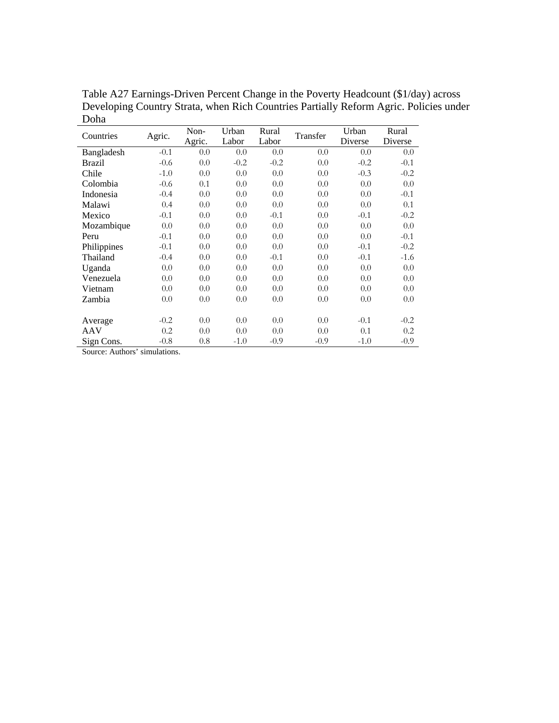| Countries   | Agric. | Non-<br>Agric. | Urban<br>Labor | Rural<br>Labor | Transfer | Urban<br>Diverse | Rural<br>Diverse |
|-------------|--------|----------------|----------------|----------------|----------|------------------|------------------|
| Bangladesh  | $-0.1$ | 0.0            | 0.0            | 0.0            | 0.0      | 0.0              | 0.0              |
| Brazil      | $-0.6$ | 0.0            | $-0.2$         | $-0.2$         | 0.0      | $-0.2$           | $-0.1$           |
| Chile       | $-1.0$ | 0.0            | 0.0            | 0.0            | 0.0      | $-0.3$           | $-0.2$           |
| Colombia    | $-0.6$ | 0.1            | 0.0            | 0.0            | 0.0      | 0.0              | 0.0              |
| Indonesia   | $-0.4$ | 0.0            | 0.0            | 0.0            | 0.0      | 0.0              | $-0.1$           |
| Malawi      | 0.4    | 0.0            | 0.0            | 0.0            | 0.0      | 0.0              | 0.1              |
| Mexico      | $-0.1$ | 0.0            | 0.0            | $-0.1$         | 0.0      | $-0.1$           | $-0.2$           |
| Mozambique  | 0.0    | 0.0            | 0.0            | 0.0            | 0.0      | 0.0              | 0.0              |
| Peru        | $-0.1$ | 0.0            | 0.0            | 0.0            | 0.0      | 0.0              | $-0.1$           |
| Philippines | $-0.1$ | 0.0            | 0.0            | 0.0            | 0.0      | $-0.1$           | $-0.2$           |
| Thailand    | $-0.4$ | 0.0            | 0.0            | $-0.1$         | 0.0      | $-0.1$           | $-1.6$           |
| Uganda      | 0.0    | 0.0            | 0.0            | 0.0            | 0.0      | 0.0              | 0.0              |
| Venezuela   | 0.0    | 0.0            | 0.0            | 0.0            | 0.0      | 0.0              | 0.0              |
| Vietnam     | 0.0    | 0.0            | 0.0            | 0.0            | 0.0      | 0.0              | 0.0              |
| Zambia      | 0.0    | 0.0            | 0.0            | 0.0            | 0.0      | 0.0              | 0.0              |
|             |        |                |                |                |          |                  |                  |
| Average     | $-0.2$ | 0.0            | 0.0            | 0.0            | 0.0      | $-0.1$           | $-0.2$           |
| AAV         | 0.2    | 0.0            | 0.0            | 0.0            | 0.0      | 0.1              | 0.2              |
| Sign Cons.  | $-0.8$ | 0.8            | $-1.0$         | $-0.9$         | $-0.9$   | $-1.0$           | $-0.9$           |

Table A27 Earnings-Driven Percent Change in the Poverty Headcount (\$1/day) across Developing Country Strata, when Rich Countries Partially Reform Agric. Policies under Doha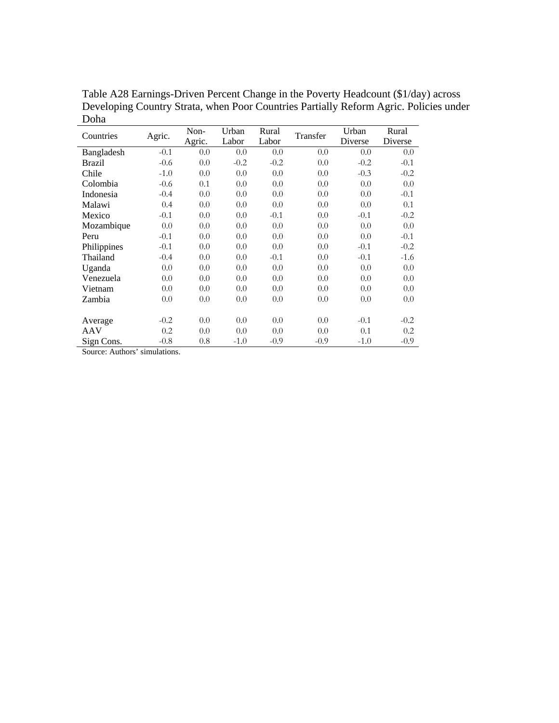| Countries   | Agric. | Non-<br>Agric. | Urban<br>Labor | Rural<br>Labor | Transfer | Urban<br>Diverse | Rural<br>Diverse |
|-------------|--------|----------------|----------------|----------------|----------|------------------|------------------|
| Bangladesh  | $-0.1$ | 0.0            | 0.0            | 0.0            | 0.0      | 0.0              | 0.0              |
| Brazil      | $-0.6$ | 0.0            | $-0.2$         | $-0.2$         | 0.0      | $-0.2$           | $-0.1$           |
| Chile       | $-1.0$ | 0.0            | 0.0            | 0.0            | 0.0      | $-0.3$           | $-0.2$           |
| Colombia    | $-0.6$ | 0.1            | 0.0            | 0.0            | 0.0      | 0.0              | 0.0              |
| Indonesia   | $-0.4$ | 0.0            | 0.0            | 0.0            | 0.0      | 0.0              | $-0.1$           |
| Malawi      | 0.4    | 0.0            | 0.0            | 0.0            | 0.0      | 0.0              | 0.1              |
| Mexico      | $-0.1$ | 0.0            | 0.0            | $-0.1$         | 0.0      | $-0.1$           | $-0.2$           |
| Mozambique  | 0.0    | 0.0            | 0.0            | 0.0            | 0.0      | 0.0              | 0.0              |
| Peru        | $-0.1$ | 0.0            | 0.0            | 0.0            | 0.0      | 0.0              | $-0.1$           |
| Philippines | $-0.1$ | 0.0            | 0.0            | 0.0            | 0.0      | $-0.1$           | $-0.2$           |
| Thailand    | $-0.4$ | 0.0            | 0.0            | $-0.1$         | 0.0      | $-0.1$           | $-1.6$           |
| Uganda      | 0.0    | 0.0            | 0.0            | 0.0            | 0.0      | 0.0              | 0.0              |
| Venezuela   | 0.0    | 0.0            | 0.0            | 0.0            | 0.0      | 0.0              | 0.0              |
| Vietnam     | 0.0    | 0.0            | 0.0            | 0.0            | 0.0      | 0.0              | 0.0              |
| Zambia      | 0.0    | 0.0            | 0.0            | 0.0            | 0.0      | 0.0              | 0.0              |
|             |        |                |                |                |          |                  |                  |
| Average     | $-0.2$ | 0.0            | 0.0            | 0.0            | 0.0      | $-0.1$           | $-0.2$           |
| AAV         | 0.2    | 0.0            | 0.0            | 0.0            | 0.0      | 0.1              | 0.2              |
| Sign Cons.  | $-0.8$ | 0.8            | $-1.0$         | $-0.9$         | $-0.9$   | $-1.0$           | $-0.9$           |

Table A28 Earnings-Driven Percent Change in the Poverty Headcount (\$1/day) across Developing Country Strata, when Poor Countries Partially Reform Agric. Policies under Doha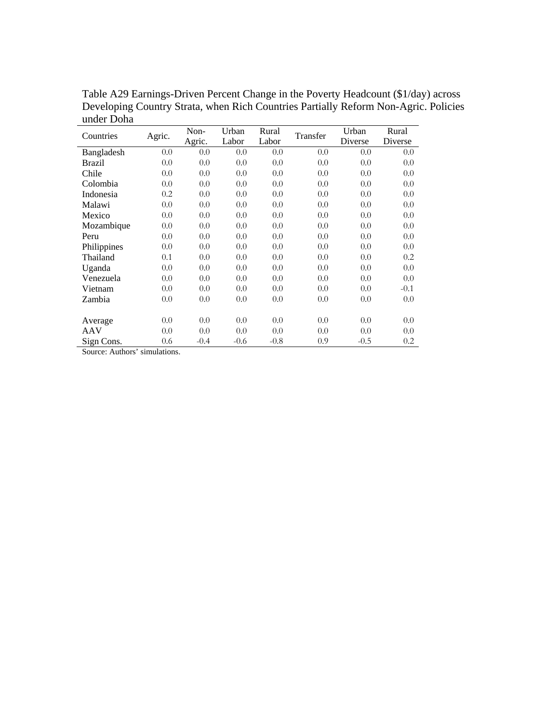| Countries   | Agric. | Non-<br>Agric. | Urban<br>Labor | Rural<br>Labor | Transfer | Urban<br>Diverse | Rural<br>Diverse |
|-------------|--------|----------------|----------------|----------------|----------|------------------|------------------|
| Bangladesh  | 0.0    | 0.0            | 0.0            | 0.0            | 0.0      | 0.0              | 0.0              |
| Brazil      | 0.0    | 0.0            | 0.0            | 0.0            | 0.0      | 0.0              | 0.0              |
| Chile       | 0.0    | 0.0            | 0.0            | 0.0            | 0.0      | 0.0              | 0.0              |
| Colombia    | 0.0    | 0.0            | 0.0            | 0.0            | 0.0      | 0.0              | 0.0              |
| Indonesia   | 0.2    | 0.0            | 0.0            | 0.0            | 0.0      | 0.0              | 0.0              |
| Malawi      | 0.0    | 0.0            | 0.0            | 0.0            | 0.0      | 0.0              | 0.0              |
| Mexico      | 0.0    | 0.0            | 0.0            | 0.0            | 0.0      | 0.0              | 0.0              |
| Mozambique  | 0.0    | 0.0            | 0.0            | 0.0            | 0.0      | 0.0              | 0.0              |
| Peru        | 0.0    | 0.0            | 0.0            | 0.0            | 0.0      | 0.0              | 0.0              |
| Philippines | 0.0    | 0.0            | 0.0            | 0.0            | 0.0      | 0.0              | 0.0              |
| Thailand    | 0.1    | 0.0            | 0.0            | 0.0            | 0.0      | 0.0              | 0.2              |
| Uganda      | 0.0    | 0.0            | 0.0            | 0.0            | 0.0      | 0.0              | 0.0              |
| Venezuela   | 0.0    | 0.0            | 0.0            | 0.0            | 0.0      | 0.0              | 0.0              |
| Vietnam     | 0.0    | 0.0            | 0.0            | 0.0            | 0.0      | 0.0              | $-0.1$           |
| Zambia      | 0.0    | 0.0            | 0.0            | 0.0            | 0.0      | 0.0              | 0.0              |
|             |        |                |                |                |          |                  |                  |
| Average     | 0.0    | 0.0            | 0.0            | 0.0            | 0.0      | 0.0              | 0.0              |
| AAV         | 0.0    | 0.0            | 0.0            | 0.0            | 0.0      | 0.0              | 0.0              |
| Sign Cons.  | 0.6    | $-0.4$         | $-0.6$         | $-0.8$         | 0.9      | $-0.5$           | 0.2              |

Table A29 Earnings-Driven Percent Change in the Poverty Headcount (\$1/day) across Developing Country Strata, when Rich Countries Partially Reform Non-Agric. Policies under Doha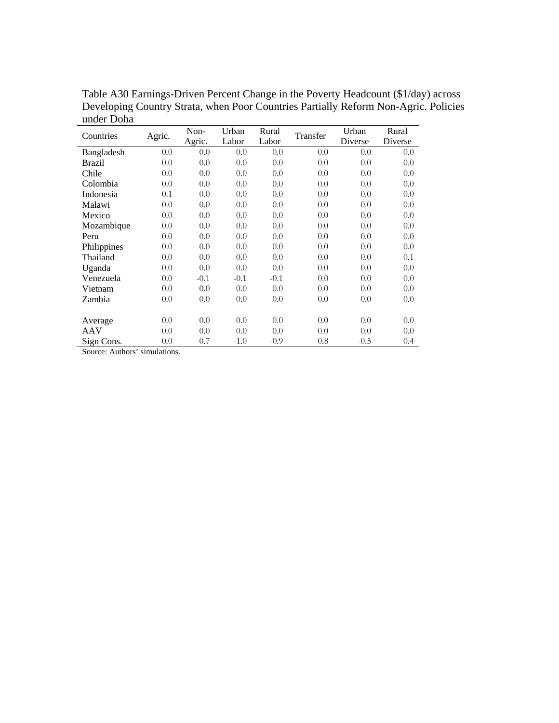| Countries   | Agric. | Non-<br>Agric. | Urban<br>Labor | Rural<br>Labor | Transfer | Urban<br>Diverse | Rural<br>Diverse |
|-------------|--------|----------------|----------------|----------------|----------|------------------|------------------|
| Bangladesh  | 0.0    | 0.0            | 0.0            | 0.0            | 0.0      | 0.0              | 0.0              |
| Brazil      | 0.0    | 0.0            | 0.0            | 0.0            | 0.0      | 0.0              | 0.0              |
| Chile       | 0.0    | 0.0            | 0.0            | 0.0            | 0.0      | 0.0              | 0.0              |
| Colombia    | 0.0    | 0.0            | 0.0            | 0.0            | 0.0      | 0.0              | 0.0              |
| Indonesia   | 0.1    | 0.0            | 0.0            | 0.0            | 0.0      | 0.0              | 0.0              |
| Malawi      | 0.0    | 0.0            | 0.0            | 0.0            | 0.0      | 0.0              | 0.0              |
| Mexico      | 0.0    | 0.0            | 0.0            | 0.0            | 0.0      | 0.0              | 0.0              |
| Mozambique  | 0.0    | 0.0            | 0.0            | 0.0            | 0.0      | 0.0              | 0.0              |
| Peru        | 0.0    | 0.0            | 0.0            | 0.0            | 0.0      | 0.0              | 0.0              |
| Philippines | 0.0    | 0.0            | 0.0            | 0.0            | 0.0      | 0.0              | 0.0              |
| Thailand    | 0.0    | 0.0            | 0.0            | 0.0            | 0.0      | 0.0              | 0.1              |
| Uganda      | 0.0    | 0.0            | 0.0            | 0.0            | 0.0      | 0.0              | 0.0              |
| Venezuela   | 0.0    | $-0.1$         | $-0.1$         | $-0.1$         | 0.0      | 0.0              | 0.0              |
| Vietnam     | 0.0    | 0.0            | 0.0            | 0.0            | 0.0      | 0.0              | 0.0              |
| Zambia      | 0.0    | 0.0            | 0.0            | 0.0            | 0.0      | 0.0              | 0.0              |
|             |        |                |                |                |          |                  |                  |
| Average     | 0.0    | 0.0            | 0.0            | 0.0            | 0.0      | 0.0              | 0.0              |
| AAV         | 0.0    | 0.0            | 0.0            | 0.0            | 0.0      | 0.0              | 0.0              |
| Sign Cons.  | 0.0    | $-0.7$         | $-1.0$         | $-0.9$         | 0.8      | $-0.5$           | 0.4              |

Table A30 Earnings-Driven Percent Change in the Poverty Headcount (\$1/day) across Developing Country Strata, when Poor Countries Partially Reform Non-Agric. Policies under Doha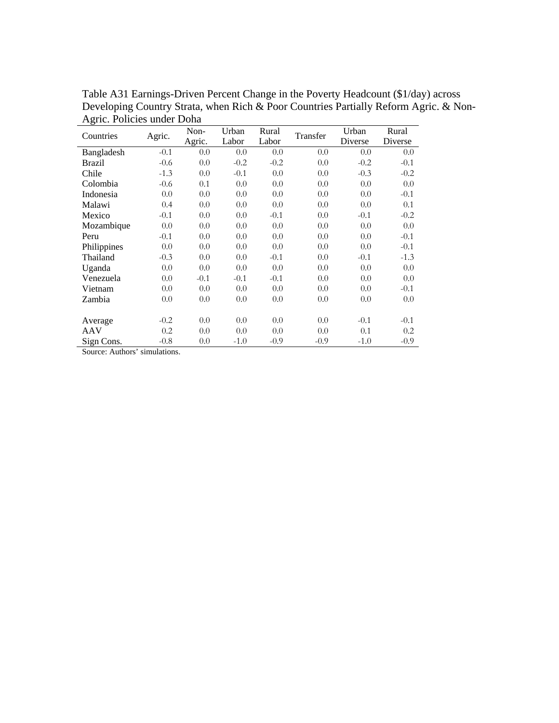| Countries   | Agric. | Non-<br>Agric. | Urban<br>Labor | Rural<br>Labor | Transfer | Urban<br>Diverse | Rural<br>Diverse |
|-------------|--------|----------------|----------------|----------------|----------|------------------|------------------|
| Bangladesh  | $-0.1$ | 0.0            | 0.0            | 0.0            | 0.0      | 0.0              | 0.0              |
| Brazil      | $-0.6$ | 0.0            | $-0.2$         | $-0.2$         | 0.0      | $-0.2$           | $-0.1$           |
| Chile       | $-1.3$ | 0.0            | $-0.1$         | 0.0            | 0.0      | $-0.3$           | $-0.2$           |
| Colombia    | $-0.6$ | 0.1            | 0.0            | 0.0            | 0.0      | 0.0              | 0.0              |
| Indonesia   | 0.0    | 0.0            | 0.0            | 0.0            | 0.0      | 0.0              | $-0.1$           |
| Malawi      | 0.4    | 0.0            | 0.0            | 0.0            | 0.0      | 0.0              | 0.1              |
| Mexico      | $-0.1$ | 0.0            | 0.0            | $-0.1$         | 0.0      | $-0.1$           | $-0.2$           |
| Mozambique  | 0.0    | 0.0            | 0.0            | 0.0            | 0.0      | 0.0              | 0.0              |
| Peru        | $-0.1$ | 0.0            | 0.0            | 0.0            | 0.0      | 0.0              | $-0.1$           |
| Philippines | 0.0    | 0.0            | 0.0            | 0.0            | 0.0      | 0.0              | $-0.1$           |
| Thailand    | $-0.3$ | 0.0            | 0.0            | $-0.1$         | 0.0      | $-0.1$           | $-1.3$           |
| Uganda      | 0.0    | 0.0            | 0.0            | 0.0            | 0.0      | 0.0              | 0.0              |
| Venezuela   | 0.0    | $-0.1$         | $-0.1$         | $-0.1$         | 0.0      | 0.0              | 0.0              |
| Vietnam     | 0.0    | 0.0            | 0.0            | 0.0            | 0.0      | 0.0              | $-0.1$           |
| Zambia      | 0.0    | 0.0            | 0.0            | 0.0            | 0.0      | 0.0              | 0.0              |
|             |        |                |                |                |          |                  |                  |
| Average     | $-0.2$ | 0.0            | 0.0            | 0.0            | 0.0      | $-0.1$           | $-0.1$           |
| AAV         | 0.2    | 0.0            | 0.0            | 0.0            | 0.0      | 0.1              | 0.2              |
| Sign Cons.  | $-0.8$ | 0.0            | $-1.0$         | $-0.9$         | $-0.9$   | $-1.0$           | $-0.9$           |

Table A31 Earnings-Driven Percent Change in the Poverty Headcount (\$1/day) across Developing Country Strata, when Rich & Poor Countries Partially Reform Agric. & Non-Agric. Policies under Doha L,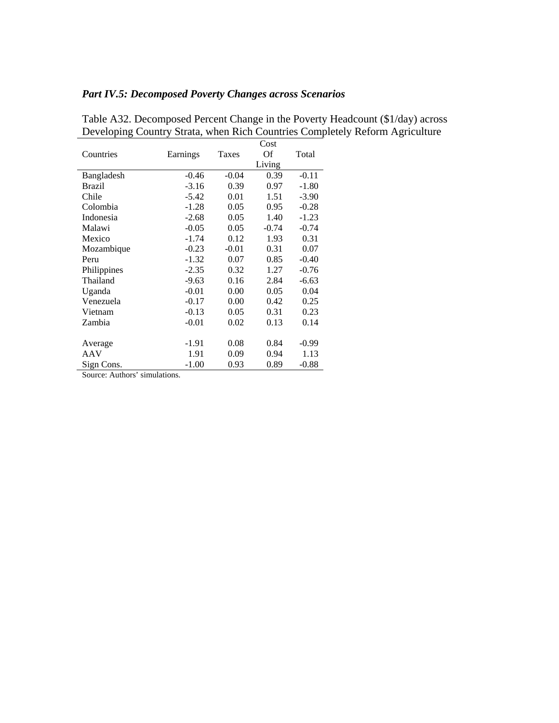#### *Part IV.5: Decomposed Poverty Changes across Scenarios*

| Countries                     | Earnings | <b>Taxes</b> | Cost<br>Of | Total   |
|-------------------------------|----------|--------------|------------|---------|
|                               |          |              | Living     |         |
| Bangladesh                    | $-0.46$  | $-0.04$      | 0.39       | $-0.11$ |
| Brazil                        | $-3.16$  | 0.39         | 0.97       | $-1.80$ |
| Chile                         | $-5.42$  | 0.01         | 1.51       | $-3.90$ |
| Colombia                      | $-1.28$  | 0.05         | 0.95       | $-0.28$ |
| Indonesia                     | $-2.68$  | 0.05         | 1.40       | $-1.23$ |
| Malawi                        | $-0.05$  | 0.05         | $-0.74$    | $-0.74$ |
| Mexico                        | $-1.74$  | 0.12         | 1.93       | 0.31    |
| Mozambique                    | $-0.23$  | $-0.01$      | 0.31       | 0.07    |
| Peru                          | $-1.32$  | 0.07         | 0.85       | $-0.40$ |
| Philippines                   | $-2.35$  | 0.32         | 1.27       | $-0.76$ |
| Thailand                      | $-9.63$  | 0.16         | 2.84       | $-6.63$ |
| Uganda                        | $-0.01$  | 0.00         | 0.05       | 0.04    |
| Venezuela                     | $-0.17$  | 0.00         | 0.42       | 0.25    |
| Vietnam                       | $-0.13$  | 0.05         | 0.31       | 0.23    |
| Zambia                        | $-0.01$  | 0.02         | 0.13       | 0.14    |
| Average                       | $-1.91$  | 0.08         | 0.84       | $-0.99$ |
| AAV                           | 1.91     | 0.09         | 0.94       | 1.13    |
| Sign Cons.                    | $-1.00$  | 0.93         | 0.89       | $-0.88$ |
| Source: Authors' simulations. |          |              |            |         |

Table A32. Decomposed Percent Change in the Poverty Headcount (\$1/day) across Developing Country Strata, when Rich Countries Completely Reform Agriculture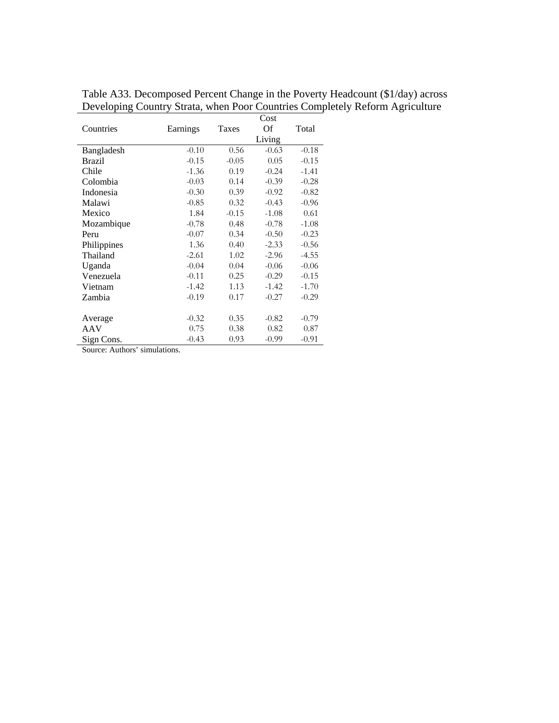|               |          |              | Cost    |         |
|---------------|----------|--------------|---------|---------|
| Countries     | Earnings | <b>Taxes</b> | Of      | Total   |
|               |          |              | Living  |         |
| Bangladesh    | $-0.10$  | 0.56         | $-0.63$ | $-0.18$ |
| <b>Brazil</b> | $-0.15$  | $-0.05$      | 0.05    | $-0.15$ |
| Chile         | $-1.36$  | 0.19         | $-0.24$ | $-1.41$ |
| Colombia      | $-0.03$  | 0.14         | $-0.39$ | $-0.28$ |
| Indonesia     | $-0.30$  | 0.39         | $-0.92$ | $-0.82$ |
| Malawi        | $-0.85$  | 0.32         | $-0.43$ | $-0.96$ |
| Mexico        | 1.84     | $-0.15$      | $-1.08$ | 0.61    |
| Mozambique    | $-0.78$  | 0.48         | $-0.78$ | $-1.08$ |
| Peru          | $-0.07$  | 0.34         | $-0.50$ | $-0.23$ |
| Philippines   | 1.36     | 0.40         | $-2.33$ | $-0.56$ |
| Thailand      | $-2.61$  | 1.02         | $-2.96$ | $-4.55$ |
| Uganda        | $-0.04$  | 0.04         | $-0.06$ | $-0.06$ |
| Venezuela     | $-0.11$  | 0.25         | $-0.29$ | $-0.15$ |
| Vietnam       | $-1.42$  | 1.13         | $-1.42$ | $-1.70$ |
| Zambia        | $-0.19$  | 0.17         | $-0.27$ | $-0.29$ |
|               |          |              |         |         |
| Average       | $-0.32$  | 0.35         | $-0.82$ | $-0.79$ |
| AAV           | 0.75     | 0.38         | 0.82    | 0.87    |
| Sign Cons.    | $-0.43$  | 0.93         | $-0.99$ | $-0.91$ |

Table A33. Decomposed Percent Change in the Poverty Headcount (\$1/day) across Developing Country Strata, when Poor Countries Completely Reform Agriculture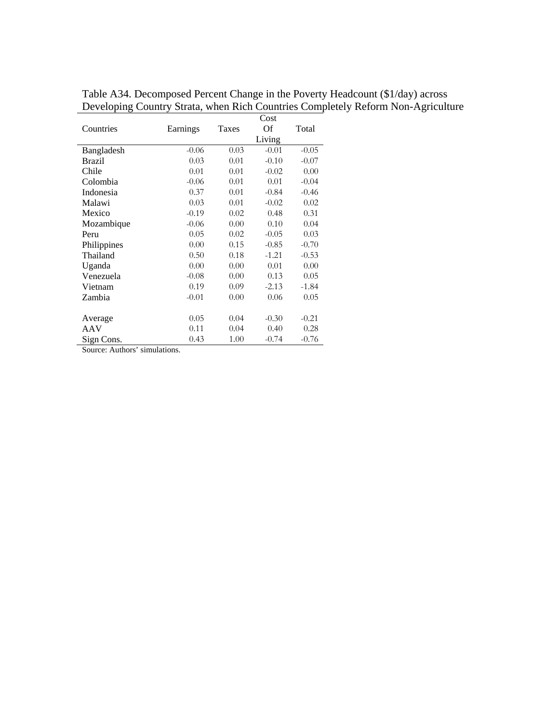|               |          |              | Cost    |         |
|---------------|----------|--------------|---------|---------|
| Countries     | Earnings | <b>Taxes</b> | Of      | Total   |
|               |          |              | Living  |         |
| Bangladesh    | $-0.06$  | 0.03         | $-0.01$ | $-0.05$ |
| <b>Brazil</b> | 0.03     | 0.01         | $-0.10$ | $-0.07$ |
| Chile         | 0.01     | 0.01         | $-0.02$ | 0.00    |
| Colombia      | $-0.06$  | 0.01         | 0.01    | $-0.04$ |
| Indonesia     | 0.37     | 0.01         | $-0.84$ | $-0.46$ |
| Malawi        | 0.03     | 0.01         | $-0.02$ | 0.02    |
| Mexico        | $-0.19$  | 0.02         | 0.48    | 0.31    |
| Mozambique    | $-0.06$  | 0.00         | 0.10    | 0.04    |
| Peru          | 0.05     | 0.02         | $-0.05$ | 0.03    |
| Philippines   | 0.00     | 0.15         | $-0.85$ | $-0.70$ |
| Thailand      | 0.50     | 0.18         | $-1.21$ | $-0.53$ |
| Uganda        | 0.00     | 0.00         | 0.01    | 0.00    |
| Venezuela     | $-0.08$  | 0.00         | 0.13    | 0.05    |
| Vietnam       | 0.19     | 0.09         | $-2.13$ | $-1.84$ |
| Zambia        | $-0.01$  | 0.00         | 0.06    | 0.05    |
|               |          |              |         |         |
| Average       | 0.05     | 0.04         | $-0.30$ | $-0.21$ |
| AAV           | 0.11     | 0.04         | 0.40    | 0.28    |
| Sign Cons.    | 0.43     | 1.00         | $-0.74$ | $-0.76$ |

Table A34. Decomposed Percent Change in the Poverty Headcount (\$1/day) across Developing Country Strata, when Rich Countries Completely Reform Non-Agriculture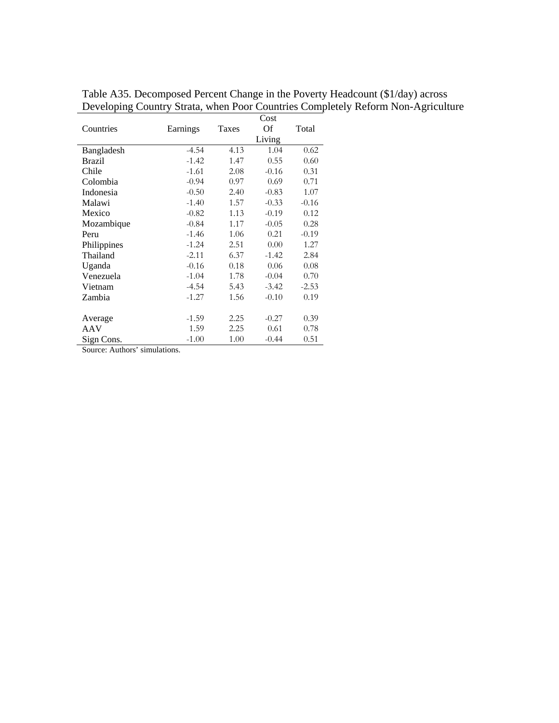|               |          |       | Cost    |         |
|---------------|----------|-------|---------|---------|
| Countries     | Earnings | Taxes | Of      | Total   |
|               |          |       | Living  |         |
| Bangladesh    | $-4.54$  | 4.13  | 1.04    | 0.62    |
| <b>Brazil</b> | $-1.42$  | 1.47  | 0.55    | 0.60    |
| Chile         | $-1.61$  | 2.08  | $-0.16$ | 0.31    |
| Colombia      | $-0.94$  | 0.97  | 0.69    | 0.71    |
| Indonesia     | $-0.50$  | 2.40  | $-0.83$ | 1.07    |
| Malawi        | $-1.40$  | 1.57  | $-0.33$ | $-0.16$ |
| Mexico        | $-0.82$  | 1.13  | $-0.19$ | 0.12    |
| Mozambique    | $-0.84$  | 1.17  | $-0.05$ | 0.28    |
| Peru          | $-1.46$  | 1.06  | 0.21    | $-0.19$ |
| Philippines   | $-1.24$  | 2.51  | 0.00    | 1.27    |
| Thailand      | $-2.11$  | 6.37  | $-1.42$ | 2.84    |
| Uganda        | $-0.16$  | 0.18  | 0.06    | 0.08    |
| Venezuela     | $-1.04$  | 1.78  | $-0.04$ | 0.70    |
| Vietnam       | $-4.54$  | 5.43  | $-3.42$ | $-2.53$ |
| Zambia        | $-1.27$  | 1.56  | $-0.10$ | 0.19    |
|               |          |       |         |         |
| Average       | $-1.59$  | 2.25  | $-0.27$ | 0.39    |
| AAV           | 1.59     | 2.25  | 0.61    | 0.78    |
| Sign Cons.    | $-1.00$  | 1.00  | $-0.44$ | 0.51    |

Table A35. Decomposed Percent Change in the Poverty Headcount (\$1/day) across Developing Country Strata, when Poor Countries Completely Reform Non-Agriculture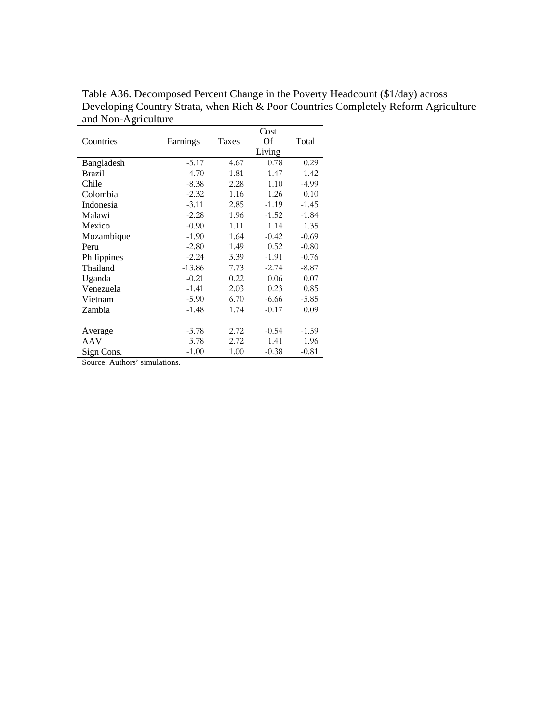|               |          | Cost  |         |         |  |  |  |
|---------------|----------|-------|---------|---------|--|--|--|
| Countries     | Earnings | Taxes | Of      | Total   |  |  |  |
|               |          |       | Living  |         |  |  |  |
| Bangladesh    | $-5.17$  | 4.67  | 0.78    | 0.29    |  |  |  |
| <b>Brazil</b> | $-4.70$  | 1.81  | 1.47    | $-1.42$ |  |  |  |
| Chile         | $-8.38$  | 2.28  | 1.10    | $-4.99$ |  |  |  |
| Colombia      | $-2.32$  | 1.16  | 1.26    | 0.10    |  |  |  |
| Indonesia     | $-3.11$  | 2.85  | $-1.19$ | $-1.45$ |  |  |  |
| Malawi        | $-2.28$  | 1.96  | $-1.52$ | $-1.84$ |  |  |  |
| Mexico        | $-0.90$  | 1.11  | 1.14    | 1.35    |  |  |  |
| Mozambique    | $-1.90$  | 1.64  | $-0.42$ | $-0.69$ |  |  |  |
| Peru          | $-2.80$  | 1.49  | 0.52    | $-0.80$ |  |  |  |
| Philippines   | $-2.24$  | 3.39  | $-1.91$ | $-0.76$ |  |  |  |
| Thailand      | $-13.86$ | 7.73  | $-2.74$ | $-8.87$ |  |  |  |
| Uganda        | $-0.21$  | 0.22  | 0.06    | 0.07    |  |  |  |
| Venezuela     | $-1.41$  | 2.03  | 0.23    | 0.85    |  |  |  |
| Vietnam       | $-5.90$  | 6.70  | $-6.66$ | $-5.85$ |  |  |  |
| Zambia        | $-1.48$  | 1.74  | $-0.17$ | 0.09    |  |  |  |
|               |          |       |         |         |  |  |  |
| Average       | $-3.78$  | 2.72  | $-0.54$ | $-1.59$ |  |  |  |
| AAV           | 3.78     | 2.72  | 1.41    | 1.96    |  |  |  |
| Sign Cons.    | $-1.00$  | 1.00  | $-0.38$ | $-0.81$ |  |  |  |

Table A36. Decomposed Percent Change in the Poverty Headcount (\$1/day) across Developing Country Strata, when Rich & Poor Countries Completely Reform Agriculture and Non-Agriculture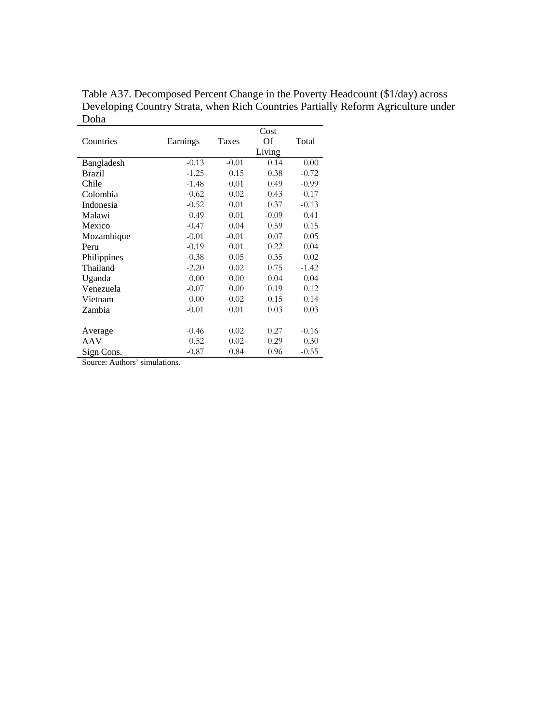|             |          |         | Cost    |         |
|-------------|----------|---------|---------|---------|
| Countries   | Earnings | Taxes   | Of      | Total   |
|             |          |         | Living  |         |
| Bangladesh  | $-0.13$  | $-0.01$ | 0.14    | 0.00    |
| Brazil      | $-1.25$  | 0.15    | 0.38    | $-0.72$ |
| Chile       | $-1.48$  | 0.01    | 0.49    | $-0.99$ |
| Colombia    | $-0.62$  | 0.02    | 0.43    | $-0.17$ |
| Indonesia   | $-0.52$  | 0.01    | 0.37    | $-0.13$ |
| Malawi      | 0.49     | 0.01    | $-0.09$ | 0.41    |
| Mexico      | $-0.47$  | 0.04    | 0.59    | 0.15    |
| Mozambique  | $-0.01$  | $-0.01$ | 0.07    | 0.05    |
| Peru        | $-0.19$  | 0.01    | 0.22    | 0.04    |
| Philippines | $-0.38$  | 0.05    | 0.35    | 0.02    |
| Thailand    | $-2.20$  | 0.02    | 0.75    | $-1.42$ |
| Uganda      | 0.00     | 0.00    | 0.04    | 0.04    |
| Venezuela   | $-0.07$  | 0.00    | 0.19    | 0.12    |
| Vietnam     | 0.00     | $-0.02$ | 0.15    | 0.14    |
| Zambia      | $-0.01$  | 0.01    | 0.03    | 0.03    |
|             |          |         |         |         |
| Average     | $-0.46$  | 0.02    | 0.27    | $-0.16$ |
| AAV         | 0.52     | 0.02    | 0.29    | 0.30    |
| Sign Cons.  | $-0.87$  | 0.84    | 0.96    | $-0.55$ |

Table A37. Decomposed Percent Change in the Poverty Headcount (\$1/day) across Developing Country Strata, when Rich Countries Partially Reform Agriculture under Doha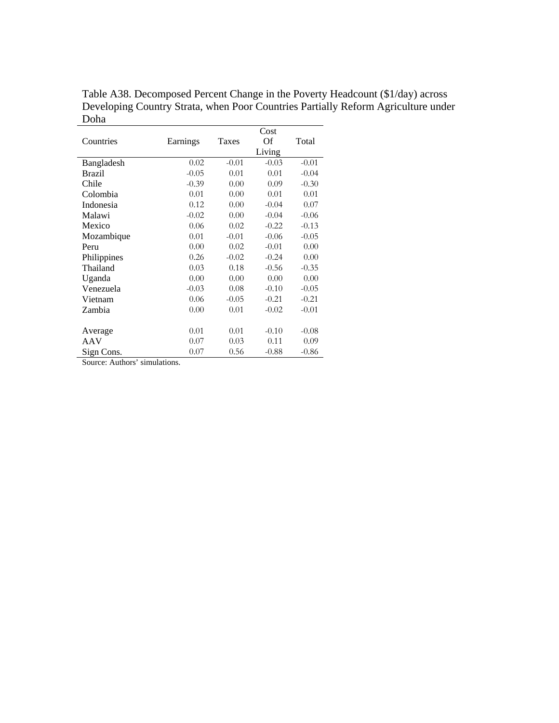|               |          |         | Cost    |         |
|---------------|----------|---------|---------|---------|
| Countries     | Earnings | Taxes   | Of      | Total   |
|               |          |         | Living  |         |
| Bangladesh    | 0.02     | $-0.01$ | $-0.03$ | $-0.01$ |
| <b>Brazil</b> | $-0.05$  | 0.01    | 0.01    | $-0.04$ |
| Chile         | $-0.39$  | 0.00    | 0.09    | $-0.30$ |
| Colombia      | 0.01     | 0.00    | 0.01    | 0.01    |
| Indonesia     | 0.12     | 0.00    | $-0.04$ | 0.07    |
| Malawi        | $-0.02$  | 0.00    | $-0.04$ | $-0.06$ |
| Mexico        | 0.06     | 0.02    | $-0.22$ | $-0.13$ |
| Mozambique    | 0.01     | $-0.01$ | $-0.06$ | $-0.05$ |
| Peru          | 0.00     | 0.02    | $-0.01$ | 0.00    |
| Philippines   | 0.26     | $-0.02$ | $-0.24$ | 0.00    |
| Thailand      | 0.03     | 0.18    | $-0.56$ | $-0.35$ |
| Uganda        | 0.00     | 0.00    | 0.00    | 0.00    |
| Venezuela     | $-0.03$  | 0.08    | $-0.10$ | $-0.05$ |
| Vietnam       | 0.06     | $-0.05$ | $-0.21$ | $-0.21$ |
| Zambia        | 0.00     | 0.01    | $-0.02$ | $-0.01$ |
|               |          |         |         |         |
| Average       | 0.01     | 0.01    | $-0.10$ | $-0.08$ |
| AAV           | 0.07     | 0.03    | 0.11    | 0.09    |
| Sign Cons.    | 0.07     | 0.56    | $-0.88$ | $-0.86$ |

Table A38. Decomposed Percent Change in the Poverty Headcount (\$1/day) across Developing Country Strata, when Poor Countries Partially Reform Agriculture under Doha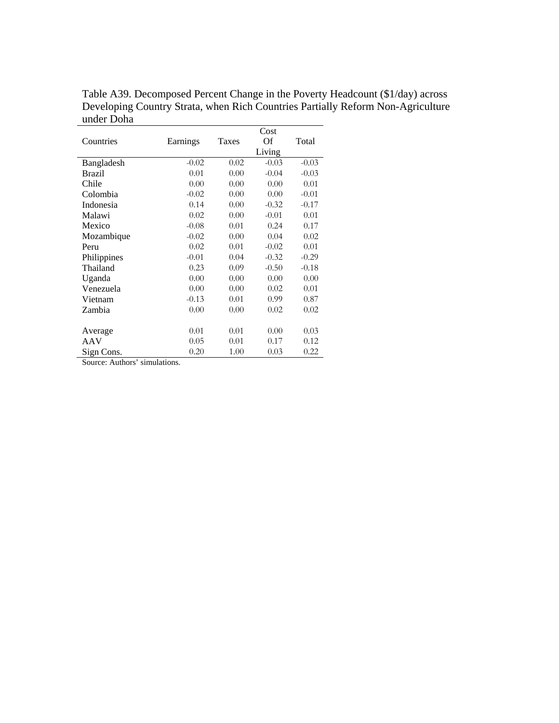|                      |          |              | Cost    |         |
|----------------------|----------|--------------|---------|---------|
| Countries            | Earnings | <b>Taxes</b> | Of      | Total   |
|                      |          |              | Living  |         |
| Bangladesh           | $-0.02$  | 0.02         | $-0.03$ | $-0.03$ |
| <b>Brazil</b>        | 0.01     | 0.00         | $-0.04$ | $-0.03$ |
| Chile                | 0.00     | 0.00         | 0.00    | 0.01    |
| Colombia             | $-0.02$  | 0.00         | 0.00    | $-0.01$ |
| Indonesia            | 0.14     | 0.00         | $-0.32$ | $-0.17$ |
| Malawi               | 0.02     | 0.00         | $-0.01$ | 0.01    |
| Mexico               | $-0.08$  | 0.01         | 0.24    | 0.17    |
| Mozambique           | $-0.02$  | 0.00         | 0.04    | 0.02    |
| Peru                 | 0.02     | 0.01         | $-0.02$ | 0.01    |
| Philippines          | $-0.01$  | 0.04         | $-0.32$ | $-0.29$ |
| Thailand             | 0.23     | 0.09         | $-0.50$ | $-0.18$ |
| Uganda               | 0.00     | 0.00         | 0.00    | 0.00    |
| Venezuela            | 0.00     | 0.00         | 0.02    | 0.01    |
| Vietnam              | $-0.13$  | 0.01         | 0.99    | 0.87    |
| Zambia               | 0.00     | 0.00         | 0.02    | 0.02    |
|                      |          |              |         |         |
| Average              | 0.01     | 0.01         | 0.00    | 0.03    |
| AAV                  | 0.05     | 0.01         | 0.17    | 0.12    |
| Sign Cons.<br>$\sim$ | 0.20     | 1.00         | 0.03    | 0.22    |

Table A39. Decomposed Percent Change in the Poverty Headcount (\$1/day) across Developing Country Strata, when Rich Countries Partially Reform Non-Agriculture under Doha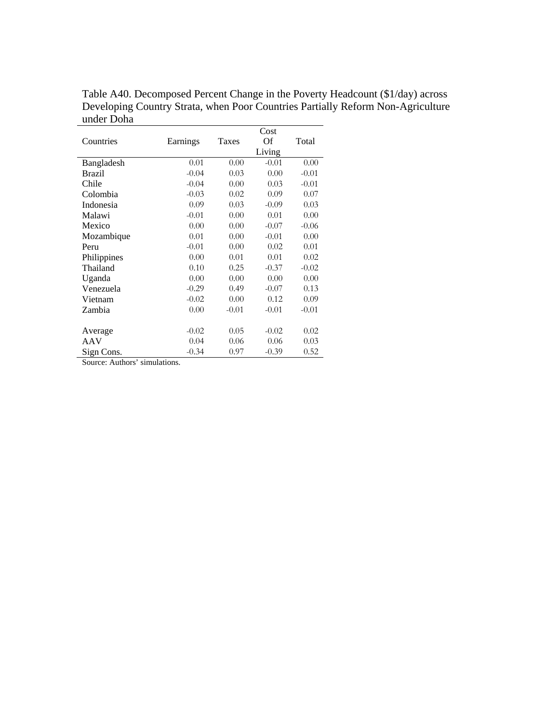|             |          |         | Cost    |         |
|-------------|----------|---------|---------|---------|
| Countries   | Earnings | Taxes   | Of      | Total   |
|             |          |         | Living  |         |
| Bangladesh  | 0.01     | 0.00    | $-0.01$ | 0.00    |
| Brazil      | $-0.04$  | 0.03    | 0.00    | $-0.01$ |
| Chile       | $-0.04$  | 0.00    | 0.03    | $-0.01$ |
| Colombia    | $-0.03$  | 0.02    | 0.09    | 0.07    |
| Indonesia   | 0.09     | 0.03    | $-0.09$ | 0.03    |
| Malawi      | $-0.01$  | 0.00    | 0.01    | 0.00    |
| Mexico      | 0.00     | 0.00    | $-0.07$ | $-0.06$ |
| Mozambique  | 0.01     | 0.00    | $-0.01$ | 0.00    |
| Peru        | $-0.01$  | 0.00    | 0.02    | 0.01    |
| Philippines | 0.00     | 0.01    | 0.01    | 0.02    |
| Thailand    | 0.10     | 0.25    | $-0.37$ | $-0.02$ |
| Uganda      | 0.00     | 0.00    | 0.00    | 0.00    |
| Venezuela   | $-0.29$  | 0.49    | $-0.07$ | 0.13    |
| Vietnam     | $-0.02$  | 0.00    | 0.12    | 0.09    |
| Zambia      | 0.00     | $-0.01$ | $-0.01$ | $-0.01$ |
|             |          |         |         |         |
| Average     | $-0.02$  | 0.05    | $-0.02$ | 0.02    |
| AAV         | 0.04     | 0.06    | 0.06    | 0.03    |
| Sign Cons.  | $-0.34$  | 0.97    | $-0.39$ | 0.52    |

Table A40. Decomposed Percent Change in the Poverty Headcount (\$1/day) across Developing Country Strata, when Poor Countries Partially Reform Non-Agriculture under Doha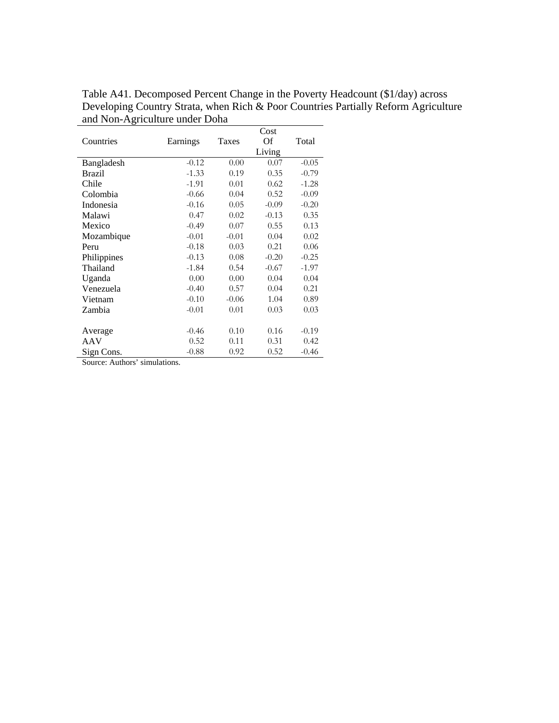|                                                          |          |         | Cost    |         |
|----------------------------------------------------------|----------|---------|---------|---------|
| Countries                                                | Earnings | Taxes   | Of      | Total   |
|                                                          |          |         | Living  |         |
| Bangladesh                                               | $-0.12$  | 0.00    | 0.07    | $-0.05$ |
| Brazil                                                   | $-1.33$  | 0.19    | 0.35    | $-0.79$ |
| Chile                                                    | $-1.91$  | 0.01    | 0.62    | $-1.28$ |
| Colombia                                                 | $-0.66$  | 0.04    | 0.52    | $-0.09$ |
| Indonesia                                                | $-0.16$  | 0.05    | $-0.09$ | $-0.20$ |
| Malawi                                                   | 0.47     | 0.02    | $-0.13$ | 0.35    |
| Mexico                                                   | $-0.49$  | 0.07    | 0.55    | 0.13    |
| Mozambique                                               | $-0.01$  | $-0.01$ | 0.04    | 0.02    |
| Peru                                                     | $-0.18$  | 0.03    | 0.21    | 0.06    |
| Philippines                                              | $-0.13$  | 0.08    | $-0.20$ | $-0.25$ |
| Thailand                                                 | $-1.84$  | 0.54    | $-0.67$ | $-1.97$ |
| Uganda                                                   | 0.00     | 0.00    | 0.04    | 0.04    |
| Venezuela                                                | $-0.40$  | 0.57    | 0.04    | 0.21    |
| Vietnam                                                  | $-0.10$  | $-0.06$ | 1.04    | 0.89    |
| Zambia                                                   | $-0.01$  | 0.01    | 0.03    | 0.03    |
|                                                          |          |         |         |         |
| Average                                                  | $-0.46$  | 0.10    | 0.16    | $-0.19$ |
| AAV                                                      | 0.52     | 0.11    | 0.31    | 0.42    |
| Sign Cons.<br>$\mathbf{u} = \mathbf{u} \cdot \mathbf{v}$ | $-0.88$  | 0.92    | 0.52    | $-0.46$ |

Table A41. Decomposed Percent Change in the Poverty Headcount (\$1/day) across Developing Country Strata, when Rich & Poor Countries Partially Reform Agriculture and Non-Agriculture under Doha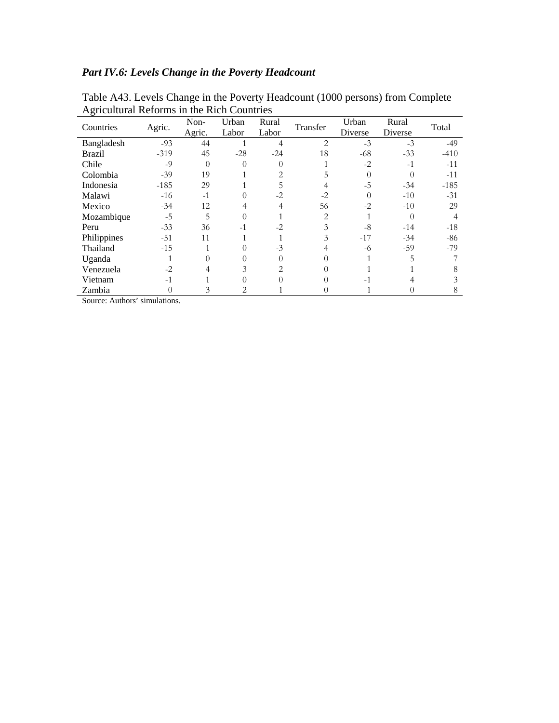## *Part IV.6: Levels Change in the Poverty Headcount*

| 1 april 1977 rue<br>Countries                 | Agric.                                              | Non-<br>Agric. | ormo in the ruen countries<br>Urban<br>Labor | Rural<br>Labor | Transfer       | Urban<br>Diverse | Rural<br>Diverse | Total  |
|-----------------------------------------------|-----------------------------------------------------|----------------|----------------------------------------------|----------------|----------------|------------------|------------------|--------|
| Bangladesh                                    | $-93$                                               | 44             |                                              |                | $\overline{2}$ | $-3$             | $-3$             | $-49$  |
| <b>Brazil</b>                                 | $-319$                                              | 45             | $-28$                                        | $-24$          | 18             | $-68$            | $-33$            | $-410$ |
| Chile                                         | $-9$                                                | 0              | $\Omega$                                     |                |                | $-2$             | $-1$             | $-11$  |
| Colombia                                      | $-39$                                               | 19             |                                              |                |                | $\Omega$         |                  | $-11$  |
| Indonesia                                     | $-185$                                              | 29             |                                              |                |                | $-5$             | $-34$            | $-185$ |
| Malawi                                        | $-16$                                               | $-1$           | 0                                            | $-2$           | $-2$           | $\Omega$         | $-10$            | $-31$  |
| Mexico                                        | $-34$                                               | 12             |                                              |                | 56             | $-2$             | $-10$            | 29     |
| Mozambique                                    | $-5$                                                | 5              |                                              |                | $\overline{2}$ |                  |                  |        |
| Peru                                          | $-33$                                               | 36             | $-1$                                         | $-2$           | 3              | $-8$             | $-14$            | $-18$  |
| Philippines                                   | $-51$                                               | 11             |                                              |                |                | $-17$            | $-34$            | -86    |
| Thailand                                      | $-15$                                               |                | 0                                            | $-3$           |                | -6               | $-59$            | $-79$  |
| Uganda                                        |                                                     |                |                                              |                |                |                  | 5                |        |
| Venezuela                                     | $-2$                                                |                | 3                                            |                |                |                  |                  |        |
| Vietnam                                       | $-1$                                                |                | 0                                            |                |                | $-1$             |                  |        |
| Zambia<br>$\mathbf{A}$ $\mathbf{A}$<br>$\sim$ | 0<br>$\cdot$ $\cdot$<br>$\mathbf{u}$ . $\mathbf{v}$ | 3              | 2                                            |                | $\theta$       |                  |                  | 8      |

Table A43. Levels Change in the Poverty Headcount (1000 persons) from Complete Agricultural Reforms in the Rich Countries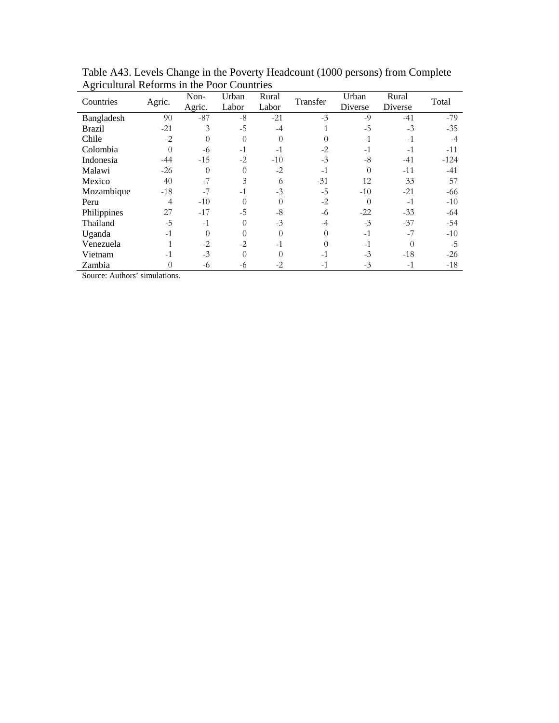| Countries     | Agric.   | Non-<br>Agric. | Urban<br>Labor | Rural<br>Labor | Transfer | Urban<br>Diverse | Rural<br>Diverse | Total  |
|---------------|----------|----------------|----------------|----------------|----------|------------------|------------------|--------|
| Bangladesh    | 90       | $-87$          | $-8$           | $-21$          | $-3$     | $-9$             | $-41$            | $-79$  |
| <b>Brazil</b> | $-21$    | 3              | $-5$           | $-4$           |          | $-5$             | $-3$             | $-35$  |
| Chile         | $-2$     | 0              | $\theta$       |                | 0        | $-1$             | $-1$             | -4     |
| Colombia      | $\theta$ | -6             | $-1$           | $-1$           | $-2$     | $-1$             | $-1$             | $-11$  |
| Indonesia     | $-44$    | $-15$          | $-2$           | $-10$          | $-3$     | $-8$             | $-41$            | $-124$ |
| Malawi        | $-26$    | 0              | $\theta$       | $-2$           | $-1$     | $\overline{0}$   | $-11$            | $-41$  |
| Mexico        | 40       | $-7$           | 3              | 6              | $-31$    | 12               | 33               | 57     |
| Mozambique    | $-18$    | $-7$           | $-1$           | $-3$           | $-5$     | $-10$            | $-21$            | -66    |
| Peru          | 4        | $-10$          | $\theta$       | $\Omega$       | $-2$     | $\theta$         | $-1$             | $-10$  |
| Philippines   | 27       | $-17$          | $-5$           | $-8$           | -6       | $-22$            | $-33$            | -64    |
| Thailand      | $-5$     | $-1$           | $\theta$       | $-3$           | $-4$     | $-3$             | $-37$            | $-54$  |
| Uganda        | $-1$     | $\Omega$       | $\theta$       | $\Omega$       | 0        | $-1$             | $-7$             | $-10$  |
| Venezuela     |          | $-2$           | $-2$           | $-1$           | 0        | $-1$             | $\Omega$         | $-5$   |
| Vietnam       | $-1$     | $-3$           | $\theta$       |                | $-1$     | $-3$             | $-18$            | $-26$  |
| Zambia        | 0        | -6             | -6             | $-2$           | $-1$     | $-3$             | $-1$             | $-18$  |

Table A43. Levels Change in the Poverty Headcount (1000 persons) from Complete Agricultural Reforms in the Poor Countries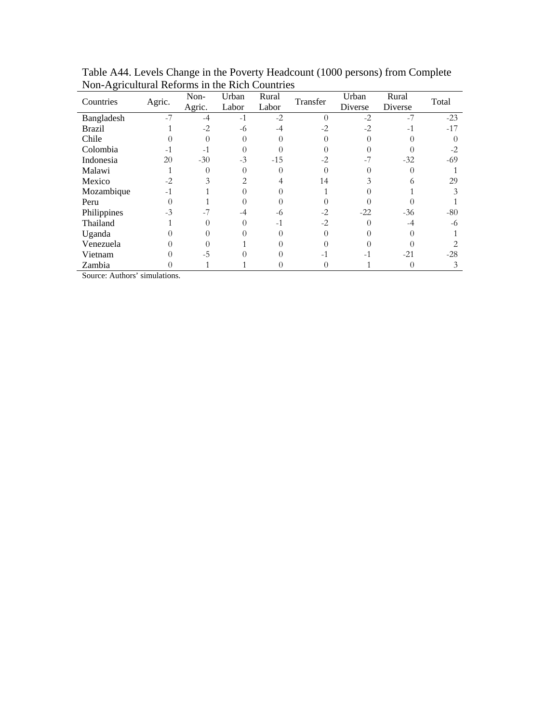| Countries     | Agric. | Non-   | Urban<br>Labor | Rural<br>Labor | Transfer | Urban<br>Diverse | Rural<br>Diverse | Total |
|---------------|--------|--------|----------------|----------------|----------|------------------|------------------|-------|
|               |        | Agric. |                |                |          |                  |                  |       |
| Bangladesh    | $-7$   | $-4$   | $-1$           | $-2$           | $\Omega$ | $-2$             | $-7$             | $-23$ |
| <b>Brazil</b> |        | $-2$   | -6             |                |          | $-2$             | $-1$             | $-17$ |
| Chile         |        |        |                |                |          |                  |                  |       |
| Colombia      | $-1$   | $-1$   |                |                |          |                  |                  | $-2$  |
| Indonesia     | 20     | $-30$  | $-3$           | $-15$          | $-2$     | $-7$             | $-32$            | $-69$ |
| Malawi        |        |        |                |                |          |                  |                  |       |
| Mexico        | $-2$   |        | $\mathfrak{D}$ |                | 14       |                  |                  | 29    |
| Mozambique    | $-1$   |        |                |                |          |                  |                  |       |
| Peru          |        |        |                |                |          |                  |                  |       |
| Philippines   | $-3$   |        | -4             | -6             | $-2$     | $-22$            | $-36$            | $-80$ |
| Thailand      |        |        |                |                | $-2$     |                  |                  | -6    |
| Uganda        |        |        |                |                |          |                  |                  |       |
| Venezuela     |        |        |                |                |          |                  |                  |       |
| Vietnam       |        | -5     |                |                | $-1$     | $-1$             | $-21$            | $-28$ |
| Zambia        |        |        |                |                |          |                  |                  | 3     |

Table A44. Levels Change in the Poverty Headcount (1000 persons) from Complete Non-Agricultural Reforms in the Rich Countries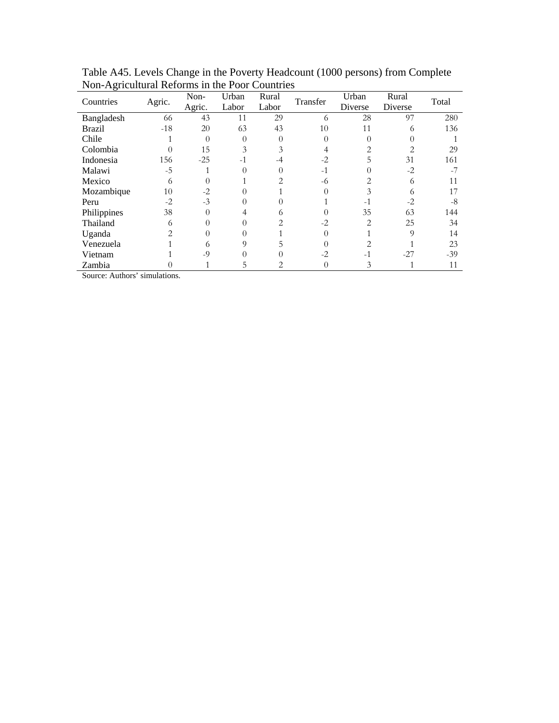| Ton <i>Tightanural</i> Keromis in the Fool Countries<br>Countries | Agric. | Non-   | Urban    | Rural | Transfer | Urban          | Rural          | Total |
|-------------------------------------------------------------------|--------|--------|----------|-------|----------|----------------|----------------|-------|
|                                                                   |        | Agric. | Labor    | Labor |          | Diverse        | Diverse        |       |
| Bangladesh                                                        | 66     | 43     | 11       | 29    | 6        | 28             | 97             | 280   |
| <b>Brazil</b>                                                     | $-18$  | 20     | 63       | 43    | 10       | 11             | 6              | 136   |
| Chile                                                             |        |        | $\Omega$ |       | 0        | $\Omega$       |                |       |
| Colombia                                                          |        | 15     | 3        |       |          | 2              | $\overline{2}$ | 29    |
| Indonesia                                                         | 156    | $-25$  | $-1$     |       | $-2$     |                | 31             | 161   |
| Malawi                                                            | $-5$   |        | 0        |       | $-1$     | 0              | $-2$           | -7    |
| Mexico                                                            | 6      |        |          | 2     | -6       | 2              | 6              | 11    |
| Mozambique                                                        | 10     | $-2$   |          |       |          | 3              | 6              | 17    |
| Peru                                                              | $-2$   | $-3$   | 0        |       |          | $-1$           | $-2$           | -8    |
| Philippines                                                       | 38     |        |          | 6     |          | 35             | 63             | 144   |
| Thailand                                                          | 6      |        |          |       | $-2$     | $\overline{c}$ | 25             | 34    |
| Uganda                                                            | 2      |        |          |       | 0        |                | 9              | 14    |
| Venezuela                                                         |        |        |          | 5     |          | 2              |                | 23    |
| Vietnam                                                           |        | $-9$   |          |       | $-2$     |                | $-27$          | $-39$ |
| Zambia                                                            |        |        | 5        |       | 0        | 3              |                | 11    |

Table A45. Levels Change in the Poverty Headcount (1000 persons) from Complete Non-Agricultural Reforms in the Poor Countries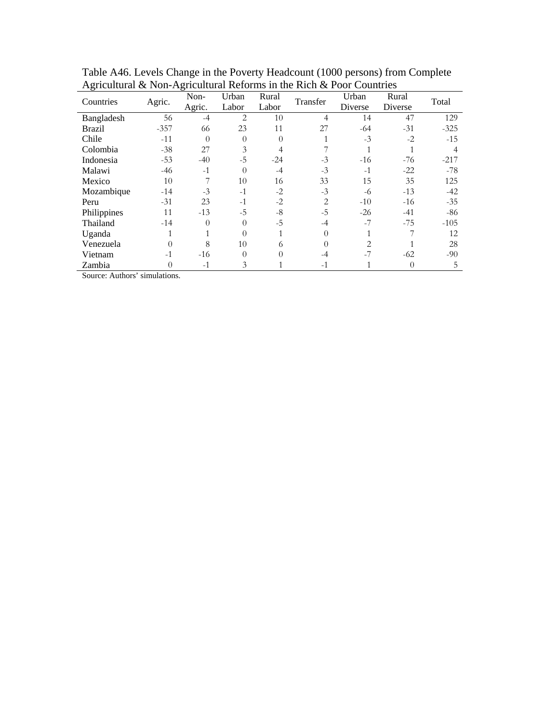|             | Agnetitural & IVOII-Agnetitural<br>THE INITIAL FOUL COMMENTS |                |                |                |          |                  |                  |        |
|-------------|--------------------------------------------------------------|----------------|----------------|----------------|----------|------------------|------------------|--------|
| Countries   | Agric.                                                       | Non-<br>Agric. | Urban<br>Labor | Rural<br>Labor | Transfer | Urban<br>Diverse | Rural<br>Diverse | Total  |
|             |                                                              |                |                |                |          |                  |                  |        |
| Bangladesh  | 56                                                           | $-4$           | 2              | 10             | 4        | 14               | 47               | 129    |
| Brazil      | $-357$                                                       | 66             | 23             | 11             | 27       | $-64$            | $-31$            | $-325$ |
| Chile       | $-11$                                                        | $\theta$       | 0              |                |          | $-3$             | $-2$             | $-15$  |
| Colombia    | $-38$                                                        | 27             | 3              |                |          |                  |                  |        |
| Indonesia   | $-53$                                                        | $-40$          | $-5$           | $-24$          | $-3$     | $-16$            | $-76$            | $-217$ |
| Malawi      | $-46$                                                        | $-1$           | $\Omega$       | $-4$           | $-3$     | $-1$             | $-22$            | $-78$  |
| Mexico      | 10                                                           |                | 10             | 16             | 33       | 15               | 35               | 125    |
| Mozambique  | $-14$                                                        | $-3$           | $-1$           | $-2$           | $-3$     | -6               | $-13$            | $-42$  |
| Peru        | $-31$                                                        | 23             | $-1$           | $-2$           | 2        | $-10$            | $-16$            | $-35$  |
| Philippines | 11                                                           | $-13$          | $-5$           | $-8$           | $-5$     | $-26$            | $-41$            | -86    |
| Thailand    | $-14$                                                        |                | $\theta$       | $-5$           | -4       | $-7$             | $-75$            | $-105$ |
| Uganda      |                                                              |                | $\Omega$       |                |          |                  |                  | 12     |
| Venezuela   | 0                                                            | 8              | 10             | 6              | 0        | 2                |                  | 28     |
| Vietnam     | $-1$                                                         | $-16$          | $\Omega$       |                | -4       | $-7$             | $-62$            | $-90$  |
| Zambia      | 0                                                            | $-1$           | 3              |                | $-1$     |                  | $\theta$         | 5      |

Table A46. Levels Change in the Poverty Headcount (1000 persons) from Complete Agricultural & Non-Agricultural Reforms in the Rich & Poor Countries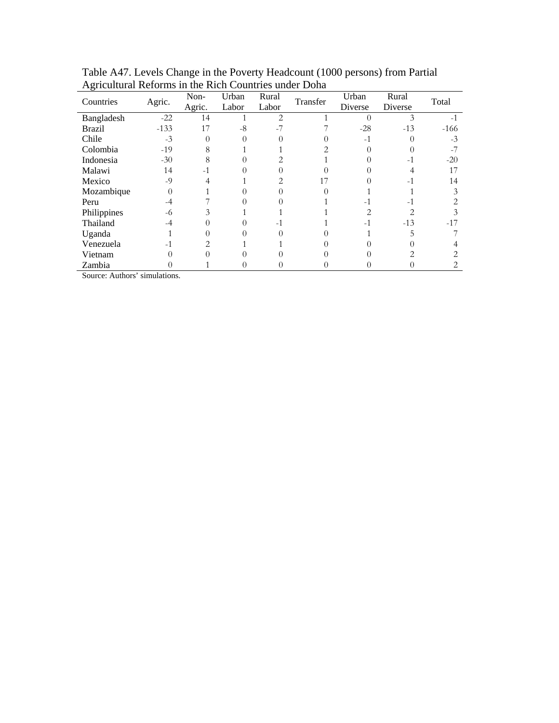| Countries     | Agric. | Non-   | Urban | Rural                         | Transfer | Urban   | Rural   | Total  |
|---------------|--------|--------|-------|-------------------------------|----------|---------|---------|--------|
|               |        | Agric. | Labor | Labor                         |          | Diverse | Diverse |        |
| Bangladesh    | $-22$  | 14     |       | $\mathfrak{D}_{\mathfrak{p}}$ |          |         |         | $-1$   |
| <b>Brazil</b> | $-133$ | 17     | $-8$  |                               |          | $-28$   | $-13$   | $-166$ |
| Chile         | $-3$   |        |       |                               |          | $-1$    |         | $-3$   |
| Colombia      | $-19$  | 8      |       |                               |          |         |         |        |
| Indonesia     | $-30$  | 8      |       |                               |          |         | $-1$    | $-20$  |
| Malawi        | 14     |        |       |                               |          |         |         | 17     |
| Mexico        | $-9$   |        |       |                               | 17       |         | $-1$    | 14     |
| Mozambique    | 0      |        |       |                               |          |         |         |        |
| Peru          | -4     |        |       |                               |          | $-1$    | $-1$    |        |
| Philippines   | -6     |        |       |                               |          |         |         |        |
| Thailand      | -4     |        |       |                               |          | $-1$    | $-13$   | $-17$  |
| Uganda        |        |        |       |                               |          |         |         |        |
| Venezuela     | $-1$   |        |       |                               |          |         |         |        |
| Vietnam       |        |        |       |                               |          |         |         |        |
| Zambia        |        |        |       |                               |          |         |         | 2.     |

Table A47. Levels Change in the Poverty Headcount (1000 persons) from Partial Agricultural Reforms in the Rich Countries under Doha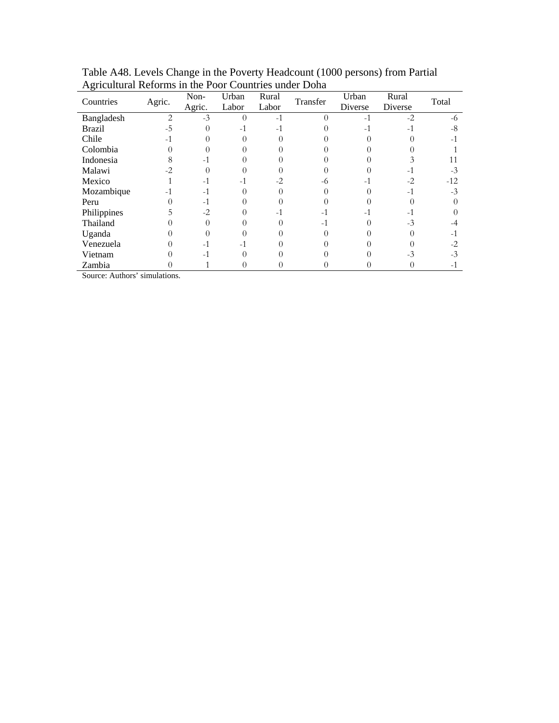| Countries     | Agric.         | Non-   | Urban    | Rural | Transfer | Urban   | Rural   | Total |
|---------------|----------------|--------|----------|-------|----------|---------|---------|-------|
|               |                | Agric. | Labor    | Labor |          | Diverse | Diverse |       |
| Bangladesh    | $\overline{c}$ | $-3$   | $\theta$ | $-1$  | $\Omega$ | $-1$    | $-2$    | -6    |
| <b>Brazil</b> | $-5$           |        | $-1$     |       |          | $-1$    | $-1$    | -8    |
| Chile         | -1             |        |          |       |          |         |         | - 1   |
| Colombia      |                |        |          |       |          |         |         |       |
| Indonesia     |                |        |          |       |          |         |         |       |
| Malawi        | $-2$           |        |          |       |          |         | - 1     | $-3$  |
| Mexico        |                |        | $-1$     | $-2$  | -6       | $-1$    | $-2$    | $-12$ |
| Mozambique    |                | $-1$   |          |       |          |         | $-1$    | $-3$  |
| Peru          |                | $-1$   |          |       |          |         |         |       |
| Philippines   |                | $-2$   |          |       |          | $-1$    | $-1$    |       |
| Thailand      |                |        |          |       | - 1      |         | $-3$    |       |
| Uganda        |                |        |          |       |          |         |         |       |
| Venezuela     |                |        | $-1$     |       |          |         |         | $-2$  |
| Vietnam       |                |        |          |       |          |         | $-3$    | -3    |
| Zambia        |                |        |          |       |          |         |         |       |

Table A48. Levels Change in the Poverty Headcount (1000 persons) from Partial Agricultural Reforms in the Poor Countries under Doha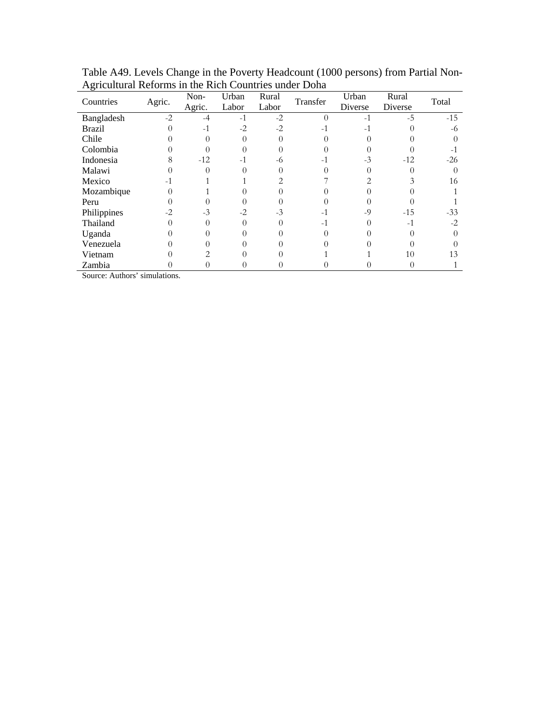| Countries     | Agric. | Non-   | Urban | Rural | Transfer | Urban   | Rural   | Total |
|---------------|--------|--------|-------|-------|----------|---------|---------|-------|
|               |        | Agric. | Labor | Labor |          | Diverse | Diverse |       |
| Bangladesh    | $-2$   | $-4$   | $-1$  | $-2$  | $\Omega$ | $-1$    | $-5$    | $-15$ |
| <b>Brazil</b> |        | $-1$   | $-2$  | $-2$  |          | $-1$    |         | -6    |
| Chile         |        |        |       |       |          |         |         |       |
| Colombia      |        |        |       |       |          |         |         |       |
| Indonesia     |        | $-12$  | $-1$  | -6    | - 1      | $-3$    | $-12$   | $-26$ |
| Malawi        |        |        |       |       |          |         |         |       |
| Mexico        | -1     |        |       |       |          |         |         | 16    |
| Mozambique    |        |        |       |       |          |         |         |       |
| Peru          |        |        |       |       |          |         |         |       |
| Philippines   | $-2$   | $-3$   | $-2$  | $-3$  |          | $-9$    | $-15$   | $-33$ |
| Thailand      |        |        |       |       | -1       |         | $-1$    | $-2$  |
| Uganda        |        |        |       |       |          |         |         |       |
| Venezuela     |        |        |       |       |          |         |         |       |
| Vietnam       |        |        |       |       |          |         | 10      | 13    |
| Zambia        |        |        |       |       |          |         |         |       |

Table A49. Levels Change in the Poverty Headcount (1000 persons) from Partial Non-Agricultural Reforms in the Rich Countries under Doha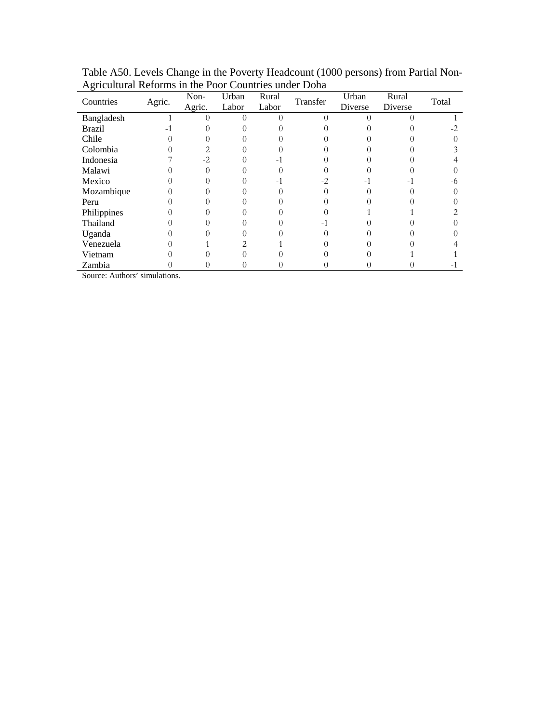| Countries     | Agric. | Non-<br>Agric. | Urban<br>Labor | Rural<br>Labor | Transfer | Urban<br>Diverse | Rural<br>Diverse | Total |
|---------------|--------|----------------|----------------|----------------|----------|------------------|------------------|-------|
| Bangladesh    |        |                |                |                |          |                  |                  |       |
| <b>Brazil</b> |        |                |                |                |          |                  |                  |       |
| Chile         |        |                |                |                |          |                  |                  |       |
| Colombia      |        |                |                |                |          |                  |                  |       |
| Indonesia     |        | $-2$           |                |                |          |                  |                  |       |
| Malawi        |        |                |                |                |          |                  |                  |       |
| Mexico        |        |                |                |                | $-2$     | $-1$             | -1               | -6    |
| Mozambique    |        |                |                |                |          |                  |                  |       |
| Peru          |        |                |                |                |          |                  |                  |       |
| Philippines   |        |                |                |                |          |                  |                  |       |
| Thailand      |        |                |                |                |          |                  |                  |       |
| Uganda        |        |                |                |                |          |                  |                  |       |
| Venezuela     |        |                |                |                |          |                  |                  |       |
| Vietnam       |        |                |                |                |          |                  |                  |       |
| Zambia        |        |                |                |                |          |                  |                  |       |

Table A50. Levels Change in the Poverty Headcount (1000 persons) from Partial Non-Agricultural Reforms in the Poor Countries under Doha